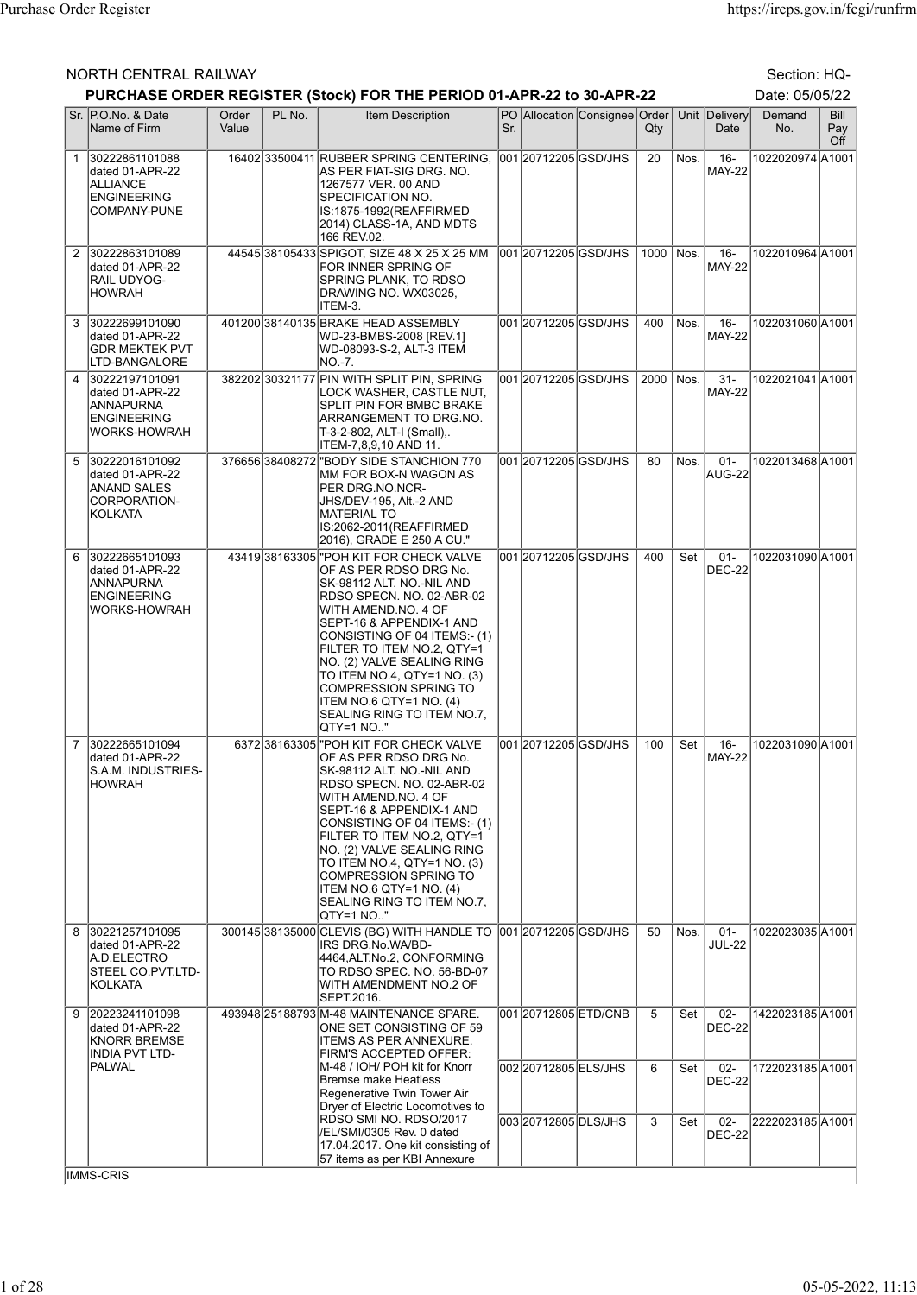## NORTH CENTRAL RAILWAY Section: HQ-

|                |                                                                                             |                |        | PURCHASE ORDER REGISTER (Stock) FOR THE PERIOD 01-APR-22 to 30-APR-22                                                                                                                                                                                                                                                                                                                                      |     |                       |                               |             |        |                         | Date: 05/05/22   |                           |
|----------------|---------------------------------------------------------------------------------------------|----------------|--------|------------------------------------------------------------------------------------------------------------------------------------------------------------------------------------------------------------------------------------------------------------------------------------------------------------------------------------------------------------------------------------------------------------|-----|-----------------------|-------------------------------|-------------|--------|-------------------------|------------------|---------------------------|
|                | Sr. P.O.No. & Date<br>Name of Firm                                                          | Order<br>Value | PL No. | <b>Item Description</b>                                                                                                                                                                                                                                                                                                                                                                                    | Sr. |                       | PO Allocation Consignee Order | Qty         |        | Unit Delivery<br>Date   | Demand<br>No.    | <b>Bill</b><br>Pay<br>Off |
| $\mathbf{1}$   | 30222861101088<br>dated 01-APR-22<br><b>ALLIANCE</b><br><b>ENGINEERING</b><br>COMPANY-PUNE  |                |        | 16402 33500411 RUBBER SPRING CENTERING,<br>AS PER FIAT-SIG DRG. NO.<br>1267577 VER. 00 AND<br>SPECIFICATION NO.<br>IS:1875-1992(REAFFIRMED<br>2014) CLASS-1A, AND MDTS<br>166 REV.02.                                                                                                                                                                                                                      |     | 001 2071 2205 GSD/JHS |                               | 20          | Nos.   | $16 -$<br><b>MAY-22</b> | 1022020974 A1001 |                           |
| $\overline{2}$ | 30222863101089<br>dated 01-APR-22<br><b>RAIL UDYOG-</b><br><b>HOWRAH</b>                    |                |        | 44545 38105433 SPIGOT, SIZE 48 X 25 X 25 MM<br>FOR INNER SPRING OF<br>SPRING PLANK, TO RDSO<br>DRAWING NO. WX03025,<br>ITEM-3.                                                                                                                                                                                                                                                                             |     | 001 20712205 GSD/JHS  |                               | 1000   Nos. |        | $16 -$<br><b>MAY-22</b> | 1022010964 A1001 |                           |
| 3              | 30222699101090<br>dated 01-APR-22<br>GDR MEKTEK PVT<br>LTD-BANGALORE                        |                |        | 401200 38140135 BRAKE HEAD ASSEMBLY<br>WD-23-BMBS-2008 [REV.1]<br>WD-08093-S-2, ALT-3 ITEM<br>NO. 7.                                                                                                                                                                                                                                                                                                       |     | 001 20712205 GSD/JHS  |                               | 400         | Nos.   | $16-$<br><b>MAY-22</b>  | 1022031060 A1001 |                           |
| 4              | 30222197101091<br>dated 01-APR-22<br>ANNAPURNA<br><b>ENGINEERING</b><br>WORKS-HOWRAH        |                |        | 382202 30321177 PIN WITH SPLIT PIN, SPRING<br>LOCK WASHER, CASTLE NUT,<br>SPLIT PIN FOR BMBC BRAKE<br>ARRANGEMENT TO DRG.NO.<br>T-3-2-802, ALT-I (Small),.<br>ITEM-7,8,9,10 AND 11.                                                                                                                                                                                                                        |     | 001 20712205 GSD/JHS  |                               | 2000        | l Nos. | $31 -$<br><b>MAY-22</b> | 1022021041 A1001 |                           |
| 5              | 30222016101092<br>dated 01-APR-22<br><b>ANAND SALES</b><br>CORPORATION-<br><b>KOLKATA</b>   |                |        | 376656 38408272 "BODY SIDE STANCHION 770<br>IMM FOR BOX-N WAGON AS<br>PER DRG.NO.NCR-<br>JHS/DEV-195, Alt.-2 AND<br>MATERIAL TO<br>IS:2062-2011(REAFFIRMED<br>2016), GRADE E 250 A CU."                                                                                                                                                                                                                    |     | 001 20712205 GSD/JHS  |                               | 80          | Nos.   | $01 -$<br>AUG-22        | 1022013468 A1001 |                           |
| 6              | 30222665101093<br>dated 01-APR-22<br>ANNAPURNA<br><b>ENGINEERING</b><br><b>WORKS-HOWRAH</b> |                |        | 43419 38163305 "POH KIT FOR CHECK VALVE<br>OF AS PER RDSO DRG No.<br>SK-98112 ALT. NO.-NIL AND<br>RDSO SPECN. NO. 02-ABR-02<br>WITH AMEND.NO. 4 OF<br>SEPT-16 & APPENDIX-1 AND<br>CONSISTING OF 04 ITEMS:- (1)<br>FILTER TO ITEM NO.2, QTY=1<br>NO. (2) VALVE SEALING RING<br>TO ITEM NO.4, QTY=1 NO. (3)<br>COMPRESSION SPRING TO<br>ITEM NO.6 QTY=1 NO. (4)<br>SEALING RING TO ITEM NO.7,<br> QTY=1 NO"  |     | 001 20712205 GSD/JHS  |                               | 400         | Set    | $01 -$<br>DEC-22        | 1022031090 A1001 |                           |
| $\overline{7}$ | 30222665101094<br>dated 01-APR-22<br>S.A.M. INDUSTRIES-<br> HOWRAH                          |                |        | 6372 38163305 POH KIT FOR CHECK VALVE<br>OF AS PER RDSO DRG No.<br> SK-98112 ALT. NO.-NIL AND<br>RDSO SPECN. NO. 02-ABR-02<br>WITH AMEND.NO. 4 OF<br>SEPT-16 & APPENDIX-1 AND<br>CONSISTING OF 04 ITEMS:- (1)<br>FILTER TO ITEM NO.2, QTY=1<br>INO. (2) VALVE SEALING RING<br>TO ITEM NO.4, QTY=1 NO. (3)<br>COMPRESSION SPRING TO<br> ITEM NO.6 QTY=1 NO. (4)<br>SEALING RING TO ITEM NO.7.<br> QTY=1 NO" |     | 00120712205GSD/JHS    |                               | 100         | Set    | $16-$<br><b>MAY-22</b>  | 1022031090 A1001 |                           |
| 8              | 30221257101095<br>dated 01-APR-22<br>A.D.ELECTRO<br>STEEL CO.PVT.LTD-<br>KOLKATA            |                |        | 30014538135000 CLEVIS (BG) WITH HANDLE TO<br>IRS DRG.No.WA/BD-<br>4464, ALT.No.2, CONFORMING<br>TO RDSO SPEC. NO. 56-BD-07<br>WITH AMENDMENT NO.2 OF<br>SEPT.2016.                                                                                                                                                                                                                                         |     | 00120712205 GSD/JHS   |                               | 50          | Nos.   | $01 -$<br><b>JUL-22</b> | 1022023035 A1001 |                           |
| 9              | 20223241101098<br>dated 01-APR-22<br><b>KNORR BREMSE</b><br><b>INDIA PVT LTD-</b>           |                |        | 493948 25188793 M-48 MAINTENANCE SPARE.<br>ONE SET CONSISTING OF 59<br>ITEMS AS PER ANNEXURE.<br><b>FIRM'S ACCEPTED OFFER:</b>                                                                                                                                                                                                                                                                             |     | 001 20712805 ETD/CNB  |                               | 5           | Set    | $02 -$<br><b>DEC-22</b> | 1422023185 A1001 |                           |
|                | PALWAL                                                                                      |                |        | M-48 / IOH/ POH kit for Knorr<br>lBremse make Heatless<br>Regenerative Twin Tower Air<br>Dryer of Electric Locomotives to                                                                                                                                                                                                                                                                                  |     | 002 2071 2805 ELS/JHS |                               | 6           | Set    | $02-$<br><b>DEC-22</b>  | 1722023185 A1001 |                           |
|                |                                                                                             |                |        | RDSO SMI NO. RDSO/2017<br>/EL/SMI/0305 Rev. 0 dated<br>17.04.2017. One kit consisting of<br>57 items as per KBI Annexure                                                                                                                                                                                                                                                                                   |     | 003 2071 2805 DLS/JHS |                               | 3           | Set    | $02-$<br><b>DEC-22</b>  | 2222023185 A1001 |                           |
|                | <b>IMMS-CRIS</b>                                                                            |                |        |                                                                                                                                                                                                                                                                                                                                                                                                            |     |                       |                               |             |        |                         |                  |                           |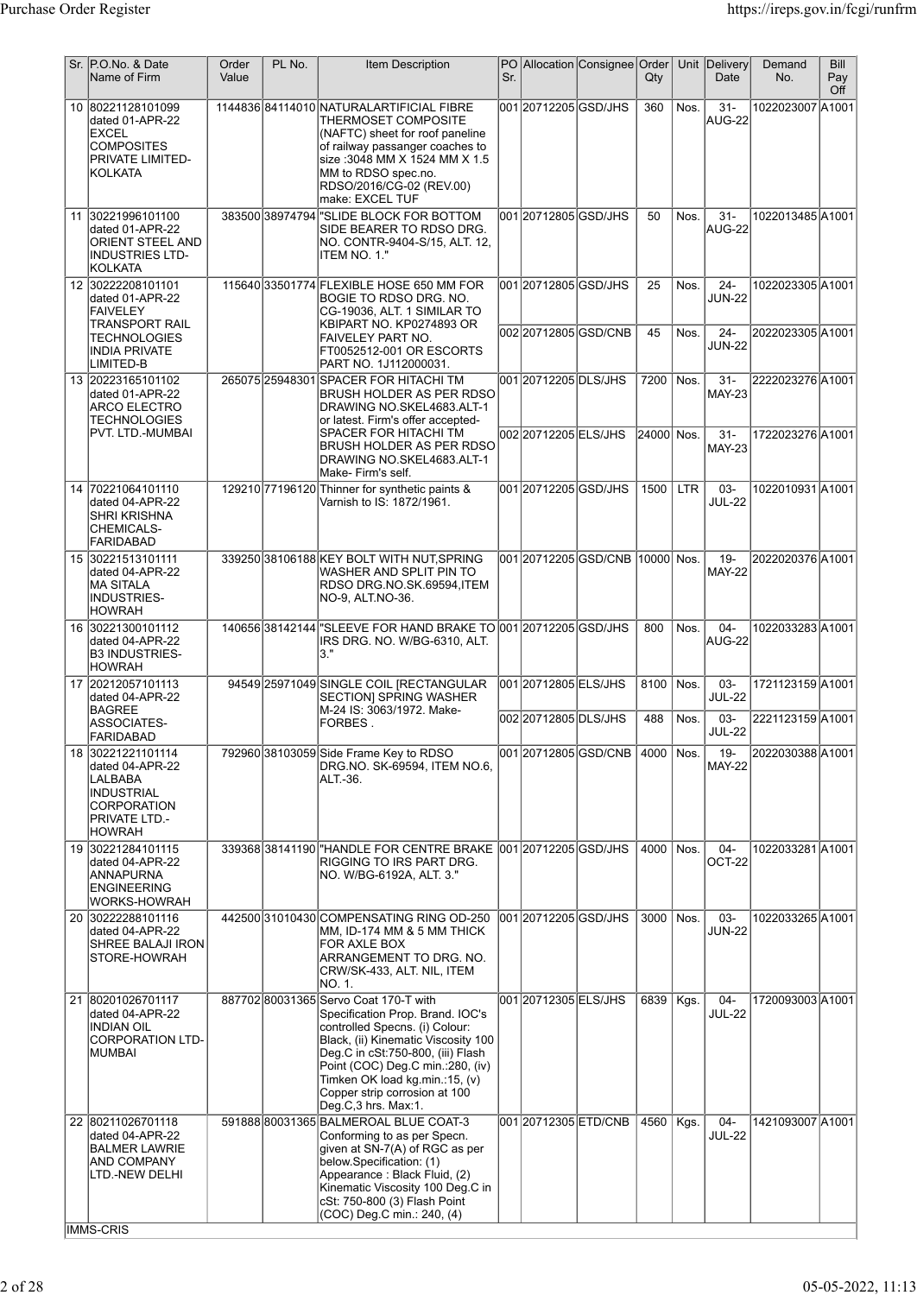| Sr. | P.O.No. & Date<br>Name of Firm                                                                                                      | Order<br>Value | PL No. | <b>Item Description</b>                                                                                                                                                                                                                                                                                               | Sr. |                                             | PO Allocation Consignee Order       | Qty         | Unit         | Delivery<br>Date               | Demand<br>No.                        | Bill<br>Pay<br>Off |
|-----|-------------------------------------------------------------------------------------------------------------------------------------|----------------|--------|-----------------------------------------------------------------------------------------------------------------------------------------------------------------------------------------------------------------------------------------------------------------------------------------------------------------------|-----|---------------------------------------------|-------------------------------------|-------------|--------------|--------------------------------|--------------------------------------|--------------------|
|     | 10 80221128101099<br>dated 01-APR-22<br><b>EXCEL</b><br><b>COMPOSITES</b><br>PRIVATE LIMITED-<br>KOLKATA                            |                |        | 114483684114010NATURALARTIFICIAL FIBRE<br>THERMOSET COMPOSITE<br>(NAFTC) sheet for roof paneline<br>of railway passanger coaches to<br>size :3048 MM X 1524 MM X 1.5<br>MM to RDSO spec.no.<br>RDSO/2016/CG-02 (REV.00)<br>lmake: EXCEL TUF                                                                           |     | 00120712205GSD/JHS                          |                                     | 360         | Nos.         | $31 -$<br>AUG-22               | 1022023007 A1001                     |                    |
|     | 11 30221996101100<br>dated 01-APR-22<br><b>ORIENT STEEL AND</b><br><b>INDUSTRIES LTD-</b><br><b>KOLKATA</b>                         |                |        | 383500 38974794 "SLIDE BLOCK FOR BOTTOM<br>SIDE BEARER TO RDSO DRG.<br>NO. CONTR-9404-S/15, ALT. 12,<br>ITEM NO. 1."                                                                                                                                                                                                  |     | 001 2071 2805 GSD/JHS                       |                                     | 50          | Nos.         | $31 -$<br>AUG-22               | 1022013485 A1001                     |                    |
|     | 12 30222208101101<br>dated 01-APR-22<br><b>FAIVELEY</b><br>TRANSPORT RAIL                                                           |                |        | 115640 33501774 FLEXIBLE HOSE 650 MM FOR<br>BOGIE TO RDSO DRG. NO.<br>CG-19036, ALT. 1 SIMILAR TO<br>KBIPART NO. KP0274893 OR                                                                                                                                                                                         |     | 001 20712805 GSD/JHS                        |                                     | 25          | Nos.         | $24 -$<br><b>JUN-22</b>        | 1022023305 A1001                     |                    |
|     | <b>TECHNOLOGIES</b><br><b>INDIA PRIVATE</b><br>LIMITED-B                                                                            |                |        | <b>FAIVELEY PART NO.</b><br>FT0052512-001 OR ESCORTS<br>PART NO. 1J112000031.                                                                                                                                                                                                                                         |     |                                             | 00220712805GSD/CNB                  | 45          | Nos.         | $24 -$<br><b>JUN-22</b>        | 2022023305 A1001                     |                    |
|     | 13 20223165101102<br>dated 01-APR-22<br><b>ARCO ELECTRO</b><br>TECHNOLOGIES                                                         |                |        | 265075 25948301 SPACER FOR HITACHI TM<br>BRUSH HOLDER AS PER RDSO<br>DRAWING NO.SKEL4683.ALT-1<br>or latest. Firm's offer accepted-                                                                                                                                                                                   |     | 001 2071 2205 DLS/JHS                       |                                     | 7200        | Nos.         | $31 -$<br><b>MAY-23</b>        | 2222023276 A1001                     |                    |
|     | PVT. LTD.-MUMBAI                                                                                                                    |                |        | <b>SPACER FOR HITACHI TM</b><br>BRUSH HOLDER AS PER RDSO<br>DRAWING NO.SKEL4683.ALT-1<br>Make- Firm's self.                                                                                                                                                                                                           |     | 002 2071 2205 ELS/JHS                       |                                     | 24000  Nos. |              | $31 -$<br><b>MAY-23</b>        | 1722023276 A1001                     |                    |
|     | 14 70221064101110<br>dated 04-APR-22<br>SHRI KRISHNA<br>CHEMICALS-<br><b>FARIDABAD</b>                                              |                |        | 129210 77196120 Thinner for synthetic paints &<br>Varnish to IS: 1872/1961.                                                                                                                                                                                                                                           |     | 001 20712205 GSD/JHS                        |                                     | 1500        | <b>LTR</b>   | 03-<br><b>JUL-22</b>           | 1022010931 A1001                     |                    |
|     | 15 30221513101111<br>dated 04-APR-22<br><b>MA SITALA</b><br><b>INDUSTRIES-</b><br><b>HOWRAH</b>                                     |                |        | 339250 38106188 KEY BOLT WITH NUT SPRING<br>WASHER AND SPLIT PIN TO<br>RDSO DRG.NO.SK.69594,ITEM<br>NO-9, ALT.NO-36.                                                                                                                                                                                                  |     |                                             | 001 20712205 GSD/CNB  10000  Nos.   |             |              | $19 -$<br><b>MAY-22</b>        | 2022020376 A1001                     |                    |
|     | 16 30221300101112<br>dated 04-APR-22<br><b>B3 INDUSTRIES-</b><br><b>HOWRAH</b>                                                      |                |        | 140656 38142144 SLEEVE FOR HAND BRAKE TO 001 20712205 GSD/JHS<br>IRS DRG. NO. W/BG-6310, ALT.<br>l3."                                                                                                                                                                                                                 |     |                                             |                                     | 800         | Nos.         | $04 -$<br>AUG-22               | 1022033283A1001                      |                    |
|     | 17 20212057101113<br>dated 04-APR-22<br><b>BAGREE</b>                                                                               |                |        | 94549 25971049 SINGLE COIL [RECTANGULAR<br><b>SECTION] SPRING WASHER</b><br>M-24 IS: 3063/1972. Make-                                                                                                                                                                                                                 |     | 00120712805ELS/JHS<br>002 2071 2805 DLS/JHS |                                     | 8100<br>488 | Nos.<br>Nos. | $03 -$<br><b>JUL-22</b><br>03- | 1721123159 A1001<br>2221123159 A1001 |                    |
|     | ASSOCIATES-<br><b>FARIDABAD</b>                                                                                                     |                |        | FORBES.                                                                                                                                                                                                                                                                                                               |     |                                             |                                     |             |              | <b>JUL-22</b>                  |                                      |                    |
|     | 18 30221221101114<br>dated 04-APR-22<br>LALBABA<br><b>INDUSTRIAL</b><br><b>CORPORATION</b><br><b>PRIVATE LTD.-</b><br><b>HOWRAH</b> |                |        | 792960 38103059 Side Frame Key to RDSO<br>DRG.NO. SK-69594, ITEM NO.6,<br>ALT.-36.                                                                                                                                                                                                                                    |     |                                             | 001 2071 2805 GSD/CNB   4000   Nos. |             |              | 19-<br><b>MAY-22</b>           | 2022030388 A1001                     |                    |
|     | 19 30221284101115<br>dated 04-APR-22<br>ANNAPURNA<br><b>ENGINEERING</b><br>WORKS-HOWRAH                                             |                |        | RIGGING TO IRS PART DRG.<br> NO. W/BG-6192A, ALT. 3."                                                                                                                                                                                                                                                                 |     |                                             |                                     | 4000        | Nos.         | $04 -$<br>OCT-22               | 1022033281A1001                      |                    |
|     | 20 30222288101116<br>dated 04-APR-22<br>SHREE BALAJI IRON<br>STORE-HOWRAH                                                           |                |        | 442500 31010430 COMPENSATING RING OD-250<br>MM, ID-174 MM & 5 MM THICK<br>FOR AXLE BOX<br>ARRANGEMENT TO DRG. NO.<br>CRW/SK-433, ALT. NIL, ITEM<br>NO. 1.                                                                                                                                                             |     | 001 2071 2205 GSD/JHS                       |                                     | 3000        | Nos.         | 03-<br><b>JUN-22</b>           | 1022033265lA1001                     |                    |
| 21  | 80201026701117<br>dated 04-APR-22<br><b>INDIAN OIL</b><br><b>CORPORATION LTD-</b><br>MUMBAI                                         |                |        | 887702 80031365 Servo Coat 170-T with<br>Specification Prop. Brand. IOC's<br>controlled Specns. (i) Colour:<br>Black, (ii) Kinematic Viscosity 100<br>Deg.C in cSt:750-800, (iii) Flash<br>Point (COC) Deg.C min.:280, (iv)<br>Timken OK load kg.min.:15, (v)<br>Copper strip corrosion at 100<br>Deg.C,3 hrs. Max:1. |     | 001 20712305 ELS/JHS                        |                                     | 6839        | Kgs.         | $04 -$<br><b>JUL-22</b>        | 1720093003 A1001                     |                    |
|     | 22 80211026701118<br>dated 04-APR-22<br><b>BALMER LAWRIE</b><br>AND COMPANY<br>LTD.-NEW DELHI<br>IMMS-CRIS                          |                |        | 591888 80031365 BALMEROAL BLUE COAT-3<br>Conforming to as per Specn.<br>given at SN-7(A) of RGC as per<br>below.Specification: (1)<br>Appearance: Black Fluid, (2)<br>Kinematic Viscosity 100 Deg.C in<br>cSt: 750-800 (3) Flash Point<br>(COC) Deg.C min.: 240, (4)                                                  |     | 001 20712305 ETD/CNB                        |                                     | 4560        | Kgs.         | $04 -$<br><b>JUL-22</b>        | 1421093007 A1001                     |                    |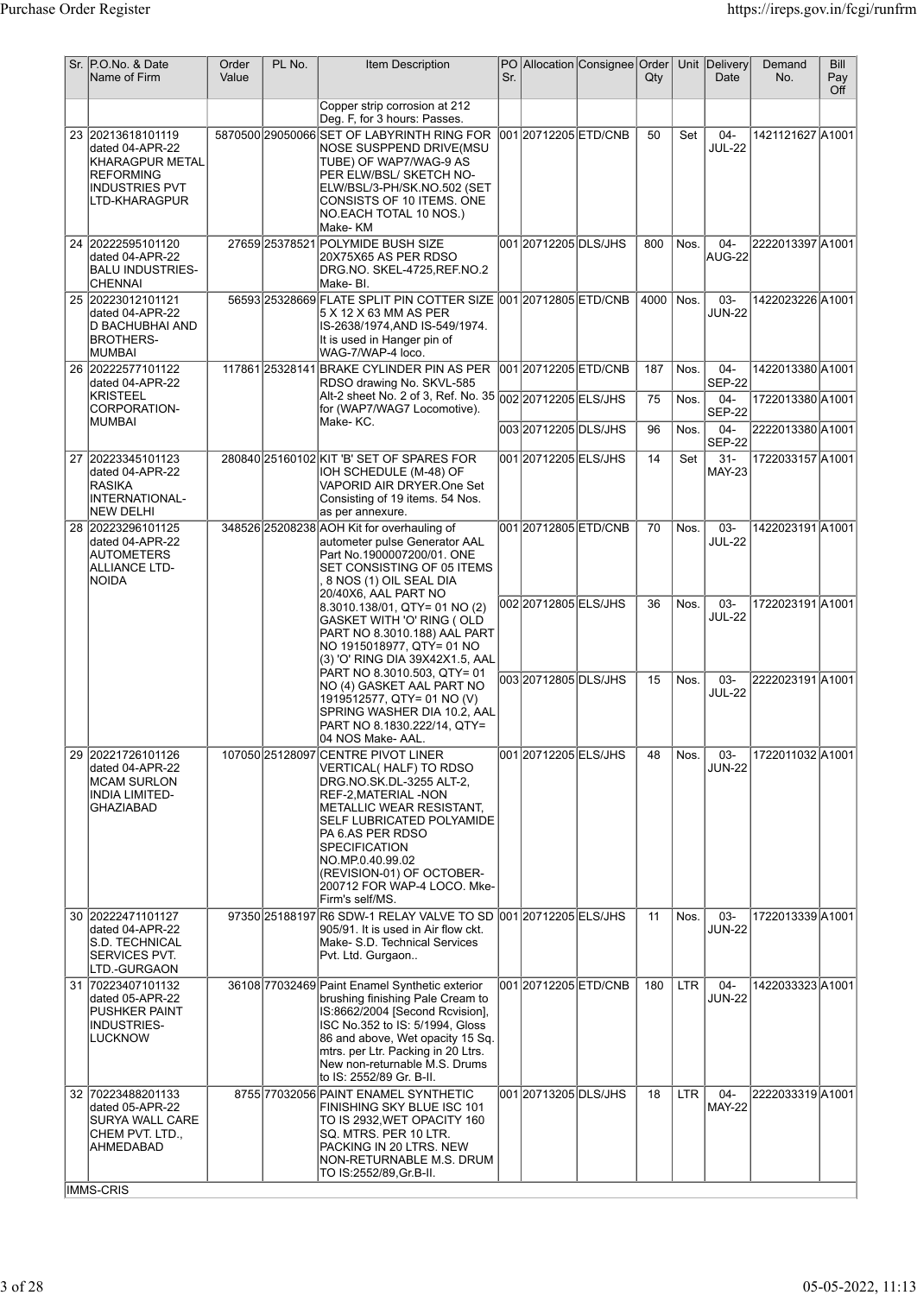|    | Sr. P.O.No. & Date<br>Name of Firm                                                                             | Order<br>Value | PL No. | <b>Item Description</b>                                                                                                                                                                                                                                                                                                                | Sr. |                       | PO Allocation Consignee Order | $Q$ ty      |            | Unit Delivery<br>Date   | Demand<br>No.    | Bill<br>Pay<br>Off |
|----|----------------------------------------------------------------------------------------------------------------|----------------|--------|----------------------------------------------------------------------------------------------------------------------------------------------------------------------------------------------------------------------------------------------------------------------------------------------------------------------------------------|-----|-----------------------|-------------------------------|-------------|------------|-------------------------|------------------|--------------------|
|    |                                                                                                                |                |        | Copper strip corrosion at 212<br>Deg. F, for 3 hours: Passes.                                                                                                                                                                                                                                                                          |     |                       |                               |             |            |                         |                  |                    |
|    | 23 20213618101119<br>dated 04-APR-22<br>KHARAGPUR METAL<br>REFORMING<br><b>INDUSTRIES PVT</b><br>LTD-KHARAGPUR |                |        | 5870500 29050066 SET OF LABYRINTH RING FOR<br>NOSE SUSPPEND DRIVE(MSU<br>TUBE) OF WAP7/WAG-9 AS<br>PER ELW/BSL/ SKETCH NO-<br>ELW/BSL/3-PH/SK.NO.502 (SET<br>CONSISTS OF 10 ITEMS. ONE<br>NO.EACH TOTAL 10 NOS.)<br>Make-KM                                                                                                            |     | 001 20712205 ETD/CNB  |                               | 50          | Set        | $04 -$<br><b>JUL-22</b> | 1421121627 A1001 |                    |
|    | 24 20222595101120<br>dated 04-APR-22<br><b>BALU INDUSTRIES-</b><br><b>CHENNAI</b>                              |                |        | 27659 25378521 POLYMIDE BUSH SIZE<br>20X75X65 AS PER RDSO<br>DRG.NO. SKEL-4725, REF.NO.2<br>Make-BI.                                                                                                                                                                                                                                   |     | 001 20712205 DLS/JHS  |                               | 800         | Nos.       | $04 -$<br>AUG-22        | 2222013397 A1001 |                    |
|    | 25 20223012101121<br>dated 04-APR-22<br>D BACHUBHAI AND<br>BROTHERS-<br><b>MUMBAI</b>                          |                |        | 56593 25328669 FLATE SPLIT PIN COTTER SIZE 001 20712805 ETD/CNB<br>5 X 12 X 63 MM AS PER<br>IS-2638/1974,AND IS-549/1974.<br>It is used in Hanger pin of<br>WAG-7/WAP-4 loco.                                                                                                                                                          |     |                       |                               | 4000   Nos. |            | 03-<br><b>JUN-22</b>    | 1422023226 A1001 |                    |
|    | 26 20222577101122<br>dated 04-APR-22                                                                           |                |        | 117861 25328141 BRAKE CYLINDER PIN AS PER<br>RDSO drawing No. SKVL-585                                                                                                                                                                                                                                                                 |     | 001 2071 2205 ETD/CNB |                               | 187         | Nos.       | $04 -$<br><b>SEP-22</b> | 1422013380 A1001 |                    |
|    | <b>KRISTEEL</b><br>CORPORATION-                                                                                |                |        | Alt-2 sheet No. 2 of 3, Ref. No. 35 002 20712205 ELS/JHS<br>for (WAP7/WAG7 Locomotive).                                                                                                                                                                                                                                                |     |                       |                               | 75          | Nos.       | $04 -$<br><b>SEP-22</b> | 1722013380 A1001 |                    |
|    | <b>MUMBAI</b>                                                                                                  |                |        | Make-KC.                                                                                                                                                                                                                                                                                                                               |     | 003 20712205 DLS/JHS  |                               | 96          | Nos.       | $04 -$<br><b>SEP-22</b> | 2222013380 A1001 |                    |
|    | 27 20223345101123<br>dated 04-APR-22<br><b>RASIKA</b><br><b>INTERNATIONAL-</b><br>NEW DELHI                    |                |        | 280840 25160102 KIT 'B' SET OF SPARES FOR<br>IOH SCHEDULE (M-48) OF<br>VAPORID AIR DRYER.One Set<br>Consisting of 19 items. 54 Nos.<br>as per annexure.                                                                                                                                                                                |     | 001 2071 2005 ELS/JHS |                               | 14          | Set        | $31 -$<br><b>MAY-23</b> | 1722033157 A1001 |                    |
|    | 28 20223296101125<br>dated 04-APR-22<br><b>AUTOMETERS</b><br>ALLIANCE LTD-<br>NOIDA                            |                |        | 348526 25208238 AOH Kit for overhauling of<br>autometer pulse Generator AAL<br>Part No.1900007200/01. ONE<br>SET CONSISTING OF 05 ITEMS<br>8 NOS (1) OIL SEAL DIA<br>20/40X6, AAL PART NO                                                                                                                                              |     | 001 2071 2805 ETD/CNB |                               | 70          | Nos.       | 03-<br><b>JUL-22</b>    | 1422023191 A1001 |                    |
|    |                                                                                                                |                |        | 8.3010.138/01, QTY= 01 NO (2)<br>GASKET WITH 'O' RING ( OLD<br>PART NO 8.3010.188) AAL PART<br>NO 1915018977, QTY= 01 NO<br>(3) 'O' RING DIA 39X42X1.5, AAL                                                                                                                                                                            |     | 002 2071 2805 ELS/JHS |                               | 36          | Nos.       | 03-<br><b>JUL-22</b>    | 1722023191A1001  |                    |
|    |                                                                                                                |                |        | PART NO 8.3010.503, QTY= 01<br>NO (4) GASKET AAL PART NO<br>1919512577, QTY= 01 NO (V)<br>SPRING WASHER DIA 10.2, AAL<br>PART NO 8.1830.222/14, QTY=<br>04 NOS Make- AAL.                                                                                                                                                              |     | 00320712805DLS/JHS    |                               | 15          | Nos.       | 03-<br><b>JUL-22</b>    | 2222023191 A1001 |                    |
| 29 | 20221726101126<br>dated 04-APR-22<br><b>MCAM SURLON</b><br>INDIA LIMITED-<br>GHAZIABAD                         |                |        | 107050 25128097 CENTRE PIVOT LINER<br><b>VERTICAL(HALF) TO RDSO</b><br>DRG.NO.SK.DL-3255 ALT-2,<br><b>REF-2,MATERIAL -NON</b><br> METALLIC WEAR RESISTANT,<br>SELF LUBRICATED POLYAMIDE<br>PA 6.AS PER RDSO<br><b>SPECIFICATION</b><br>NO.MP.0.40.99.02<br>(REVISION-01) OF OCTOBER-<br>200712 FOR WAP-4 LOCO, Mke-<br>Firm's self/MS. |     | 001 2071 2005 ELS/JHS |                               | 48          | Nos.       | 03-<br><b>JUN-22</b>    | 1722011032 A1001 |                    |
|    | 30 20222471101127<br>dated 04-APR-22<br>S.D. TECHNICAL<br>SERVICES PVT.<br>LTD.-GURGAON                        |                |        | 97350 25188197 R6 SDW-1 RELAY VALVE TO SD 001 20712205 ELS/JHS<br>905/91. It is used in Air flow ckt.<br>Make- S.D. Technical Services<br>Pvt. Ltd. Gurgaon                                                                                                                                                                            |     |                       |                               | 11          | Nos.       | 03-<br><b>JUN-22</b>    | 1722013339 A1001 |                    |
|    | 31 70223407101132<br>dated 05-APR-22<br>PUSHKER PAINT<br>INDUSTRIES-<br><b>LUCKNOW</b>                         |                |        | 36108 77032469 Paint Enamel Synthetic exterior<br>brushing finishing Pale Cream to<br>IS:8662/2004 [Second Rcvision],<br>ISC No.352 to IS: 5/1994, Gloss<br>86 and above, Wet opacity 15 Sq.<br>mtrs. per Ltr. Packing in 20 Ltrs.<br>New non-returnable M.S. Drums<br>to IS: 2552/89 Gr. B-II.                                        |     | 001 20712205 ETD/CNB  |                               | 180         | <b>LTR</b> | $04 -$<br><b>JUN-22</b> | 1422033323 A1001 |                    |
|    | 32 70223488201133<br>dated 05-APR-22<br>SURYA WALL CARE<br>CHEM PVT. LTD.,<br>AHMEDABAD                        |                |        | 8755 77032056 PAINT ENAMEL SYNTHETIC<br>FINISHING SKY BLUE ISC 101<br>TO IS 2932,WET OPACITY 160<br>SQ. MTRS. PER 10 LTR.<br>PACKING IN 20 LTRS. NEW<br>NON-RETURNABLE M.S. DRUM<br>TO IS:2552/89, Gr. B-II.                                                                                                                           |     | 001 20713205 DLS/JHS  |                               | 18          | <b>LTR</b> | $04 -$<br><b>MAY-22</b> | 2222033319 A1001 |                    |
|    | <b>IMMS-CRIS</b>                                                                                               |                |        |                                                                                                                                                                                                                                                                                                                                        |     |                       |                               |             |            |                         |                  |                    |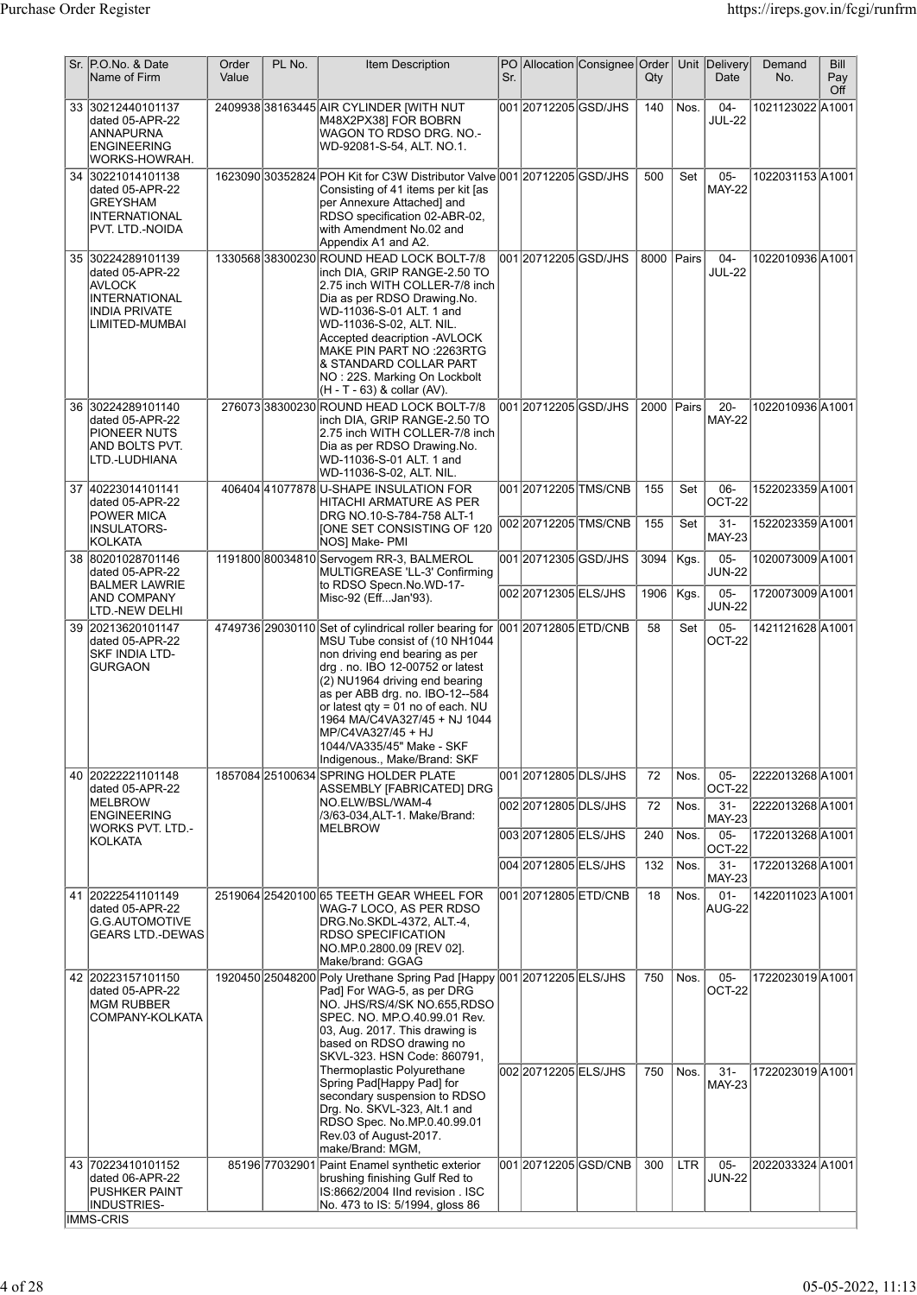|    | Sr. P.O.No. & Date<br>Name of Firm                                                                                      | Order<br>Value | PL No. | Item Description                                                                                                                                                                                                                                                                                                                                                                           | Sr. |                                               | PO Allocation Consignee Order                | Qty        |              | Unit Delivery<br>Date                    | Demand<br>No.                        | Bill<br>Pay<br>Off |
|----|-------------------------------------------------------------------------------------------------------------------------|----------------|--------|--------------------------------------------------------------------------------------------------------------------------------------------------------------------------------------------------------------------------------------------------------------------------------------------------------------------------------------------------------------------------------------------|-----|-----------------------------------------------|----------------------------------------------|------------|--------------|------------------------------------------|--------------------------------------|--------------------|
|    | 33 30212440101137<br>dated 05-APR-22<br>ANNAPURNA<br>ENGINEERING<br>WORKS-HOWRAH.                                       |                |        | 2409938 38163445 AIR CYLINDER [WITH NUT<br>M48X2PX38] FOR BOBRN<br>WAGON TO RDSO DRG. NO.-<br>WD-92081-S-54, ALT. NO.1.                                                                                                                                                                                                                                                                    |     | 001 2071 2205 GSD/JHS                         |                                              | 140        | Nos.         | $04 -$<br><b>JUL-22</b>                  | 1021123022 A1001                     |                    |
| 34 | 30221014101138<br>dated 05-APR-22<br>GREYSHAM<br><b>INTERNATIONAL</b><br>PVT. LTD.-NOIDA                                |                |        | 1623090 30352824 POH Kit for C3W Distributor Valve 001 20712205 GSD/JHS<br>Consisting of 41 items per kit [as<br>per Annexure Attached] and<br>RDSO specification 02-ABR-02,<br>with Amendment No.02 and<br>Appendix A1 and A2.                                                                                                                                                            |     |                                               |                                              | 500        | Set          | $05 -$<br><b>MAY-22</b>                  | 1022031153 A1001                     |                    |
|    | 35 30224289101139<br>dated 05-APR-22<br><b>AVLOCK</b><br><b>INTERNATIONAL</b><br><b>INDIA PRIVATE</b><br>LIMITED-MUMBAI |                |        | 1330568 38300230 ROUND HEAD LOCK BOLT-7/8<br>inch DIA, GRIP RANGE-2.50 TO<br>2.75 inch WITH COLLER-7/8 inch<br>Dia as per RDSO Drawing.No.<br>WD-11036-S-01 ALT. 1 and<br> WD-11036-S-02, ALT. NIL.<br>Accepted deacription -AVLOCK<br>MAKE PIN PART NO :2263RTG<br>& STANDARD COLLAR PART<br>NO: 22S. Marking On Lockbolt<br>(H - T - 63) & collar (AV).                                  |     | 001 20712205 GSD/JHS                          |                                              | 8000 Pairs |              | $04 -$<br><b>JUL-22</b>                  | 1022010936A1001                      |                    |
|    | 36 30224289101140<br>dated 05-APR-22<br>PIONEER NUTS<br>AND BOLTS PVT.<br>LTD.-LUDHIANA                                 |                |        | 27607338300230 ROUND HEAD LOCK BOLT-7/8<br>inch DIA, GRIP RANGE-2.50 TO<br>2.75 inch WITH COLLER-7/8 inch<br>Dia as per RDSO Drawing.No.<br>WD-11036-S-01 ALT. 1 and<br> WD-11036-S-02, ALT. NIL.                                                                                                                                                                                          |     | 001 20712205 GSD/JHS                          |                                              | 2000       | Pairs        | $20 -$<br><b>MAY-22</b>                  | 1022010936 A1001                     |                    |
|    | 37 40223014101141<br>dated 05-APR-22<br>POWER MICA<br>INSULATORS-                                                       |                |        | 406404 41077878 U-SHAPE INSULATION FOR<br>HITACHI ARMATURE AS PER<br>DRG NO.10-S-784-758 ALT-1<br>[ONE SET CONSISTING OF 120                                                                                                                                                                                                                                                               |     |                                               | 001 20712205 TMS/CNB<br>002 20712205 TMS/CNB | 155<br>155 | Set<br>Set   | 06-<br>OCT-22<br>$31 -$<br><b>MAY-23</b> | 1522023359 A1001<br>1522023359 A1001 |                    |
|    | KOLKATA<br>38 80201028701146                                                                                            |                |        | NOS] Make- PMI<br>1191800 80034810 Servogem RR-3, BALMEROL                                                                                                                                                                                                                                                                                                                                 |     | 001 20712305 GSD/JHS                          |                                              | 3094       | Kgs.         | $05 -$                                   | 1020073009 A1001                     |                    |
|    | dated 05-APR-22<br><b>BALMER LAWRIE</b><br>AND COMPANY<br>LTD.-NEW DELHI                                                |                |        | MULTIGREASE 'LL-3' Confirming<br>to RDSO Specn.No.WD-17-<br>Misc-92 (EffJan'93).                                                                                                                                                                                                                                                                                                           |     | 002 20712305 ELS/JHS                          |                                              | 1906       | Kgs.         | <b>JUN-22</b><br>$05 -$<br><b>JUN-22</b> | 1720073009 A1001                     |                    |
|    | 39 20213620101147<br>dated 05-APR-22<br>SKF INDIA LTD-<br><b>GURGAON</b>                                                |                |        | 4749736 29030110 Set of cylindrical roller bearing for<br>MSU Tube consist of (10 NH1044<br>non driving end bearing as per<br>drg. no. IBO 12-00752 or latest<br>(2) NU1964 driving end bearing<br>as per ABB drg. no. IBO-12--584<br>or latest qty = 01 no of each. NU<br>1964 MA/C4VA327/45 + NJ 1044<br>MP/C4VA327/45 + HJ<br>1044/VA335/45" Make - SKF<br>Indigenous., Make/Brand: SKF |     | 001 20712805 ETD/CNB                          |                                              | 58         | Set          | $05-$<br>OCT-22                          | 1421121628 A1001                     |                    |
|    | 40 20222221101148<br>dated 05-APR-22                                                                                    |                |        | 1857084 25100634 SPRING HOLDER PLATE<br>ASSEMBLY [FABRICATED] DRG                                                                                                                                                                                                                                                                                                                          |     | 001 20712805 DLS/JHS                          |                                              | 72         | Nos.         | $05 -$<br>OCT-22                         | 2222013268 A1001                     |                    |
|    | MELBROW<br><b>ENGINEERING</b><br><b>WORKS PVT. LTD.-</b><br> KOLKATA                                                    |                |        | NO.ELW/BSL/WAM-4<br>/3/63-034, ALT-1. Make/Brand:<br><b>MELBROW</b>                                                                                                                                                                                                                                                                                                                        |     | 002 20712805 DLS/JHS<br>003 2071 2805 ELS/JHS |                                              | 72<br>240  | Nos.<br>Nos. | $31 -$<br><b>MAY-23</b><br>$05-$         | 2222013268A1001<br>1722013268A1001   |                    |
|    |                                                                                                                         |                |        |                                                                                                                                                                                                                                                                                                                                                                                            |     | 004 2071 2805 ELS/JHS                         |                                              | 132        | Nos.         | OCT-22<br>$31 -$                         | 1722013268 A1001                     |                    |
|    | 41 20222541101149<br>dated 05-APR-22<br><b>G.G.AUTOMOTIVE</b><br>GEARS LTD.-DEWAS                                       |                |        | 2519064 25420100 65 TEETH GEAR WHEEL FOR<br>WAG-7 LOCO, AS PER RDSO<br>DRG.No.SKDL-4372, ALT.-4,<br><b>RDSO SPECIFICATION</b><br>NO.MP.0.2800.09 [REV 02].<br>Make/brand: GGAG                                                                                                                                                                                                             |     | 001 2071 2805 ETD/CNB                         |                                              | 18         | Nos.         | <b>MAY-23</b><br>$01 -$<br>AUG-22        | 1422011023 A1001                     |                    |
|    | 42 20223157101150<br>dated 05-APR-22<br>MGM RUBBER<br>COMPANY-KOLKATA                                                   |                |        | 1920450 25048200 Poly Urethane Spring Pad [Happy 001 20712205 ELS/JHS<br>Pad] For WAG-5, as per DRG<br>NO. JHS/RS/4/SK NO.655,RDSO<br>SPEC. NO. MP.O.40.99.01 Rev.<br>03, Aug. 2017. This drawing is<br>based on RDSO drawing no<br>SKVL-323. HSN Code: 860791,<br>Thermoplastic Polyurethane                                                                                              |     |                                               |                                              | 750        | Nos.         | $05 -$<br>OCT-22                         | 1722023019 A1001                     |                    |
|    |                                                                                                                         |                |        | Spring Pad[Happy Pad] for<br>secondary suspension to RDSO<br>Drg. No. SKVL-323, Alt.1 and<br>RDSO Spec. No.MP.0.40.99.01<br>Rev.03 of August-2017.<br>make/Brand: MGM,                                                                                                                                                                                                                     |     | 002 2071 2205 ELS/JHS                         |                                              | 750        | Nos.         | $31 -$<br><b>MAY-23</b>                  | 1722023019 A1001                     |                    |
|    | 43 70223410101152<br>dated 06-APR-22<br>PUSHKER PAINT<br>INDUSTRIES-<br><b>IMMS-CRIS</b>                                |                |        | 85196 77032901 Paint Enamel synthetic exterior<br>brushing finishing Gulf Red to<br>IS:8662/2004 IInd revision . ISC<br>No. 473 to IS: 5/1994, gloss 86                                                                                                                                                                                                                                    |     |                                               | 001 20712205 GSD/CNB                         | 300        | <b>LTR</b>   | $05 -$<br>JUN-22                         | 2022033324 A1001                     |                    |

 $\overline{\phantom{a}}$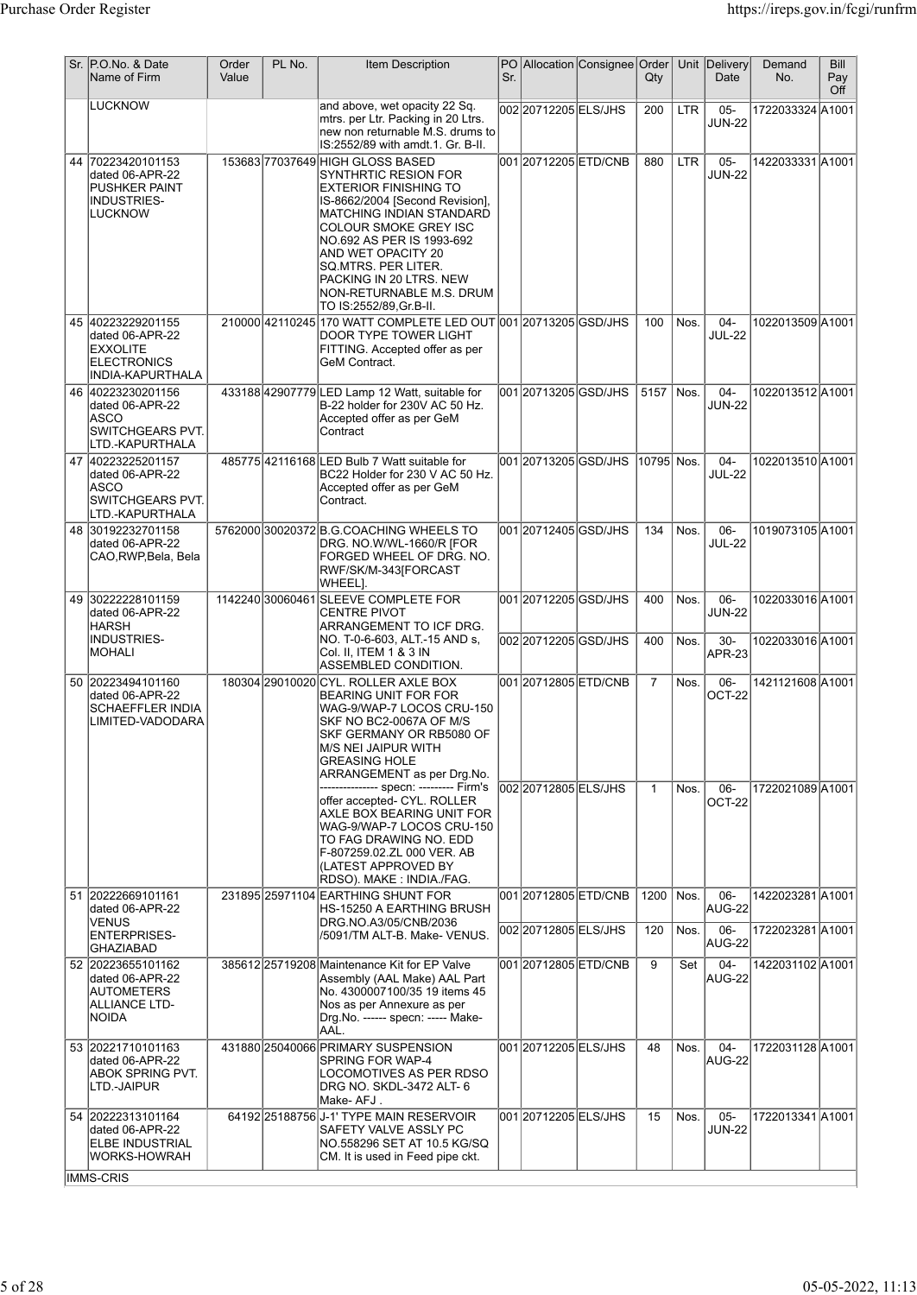|    | Sr. P.O.No. & Date<br>Name of Firm                                                                 | Order<br>Value | PL No. | <b>Item Description</b>                                                                                                                                                                                                                                                                                                               | Sr. |                                               | PO Allocation Consignee Order | Qty            |              | Unit Delivery<br>Date         | Demand<br>No.                        | Bill<br>Pay<br>Off |
|----|----------------------------------------------------------------------------------------------------|----------------|--------|---------------------------------------------------------------------------------------------------------------------------------------------------------------------------------------------------------------------------------------------------------------------------------------------------------------------------------------|-----|-----------------------------------------------|-------------------------------|----------------|--------------|-------------------------------|--------------------------------------|--------------------|
|    | <b>LUCKNOW</b>                                                                                     |                |        | and above, wet opacity 22 Sq.<br>mtrs. per Ltr. Packing in 20 Ltrs.<br>new non returnable M.S. drums to<br>IS:2552/89 with amdt.1. Gr. B-II.                                                                                                                                                                                          |     | 002 2071 2205 ELS/JHS                         |                               | 200            | <b>LTR</b>   | $05 -$<br><b>JUN-22</b>       | 1722033324 A1001                     |                    |
| 44 | 70223420101153<br>dated 06-APR-22<br><b>PUSHKER PAINT</b><br><b>INDUSTRIES-</b><br><b>LUCKNOW</b>  |                |        | 15368377037649 HIGH GLOSS BASED<br>SYNTHRTIC RESION FOR<br>EXTERIOR FINISHING TO<br>IS-8662/2004 [Second Revision],<br>MATCHING INDIAN STANDARD<br>COLOUR SMOKE GREY ISC<br>NO.692 AS PER IS 1993-692<br>AND WET OPACITY 20<br>SQ.MTRS. PER LITER.<br>PACKING IN 20 LTRS. NEW<br>NON-RETURNABLE M.S. DRUM<br>TO IS:2552/89, Gr. B-II. |     | 00120712205ETD/CNB                            |                               | 880            | <b>LTR</b>   | $05 -$<br><b>JUN-22</b>       | 1422033331A1001                      |                    |
|    | 45 40223229201155<br>dated 06-APR-22<br><b>EXXOLITE</b><br><b>ELECTRONICS</b><br>INDIA-KAPURTHALA  |                |        | 210000 42110245 170 WATT COMPLETE LED OUT 001 20713205 GSD/JHS<br>DOOR TYPE TOWER LIGHT<br>FITTING. Accepted offer as per<br>GeM Contract.                                                                                                                                                                                            |     |                                               |                               | 100            | Nos.         | $04 -$<br><b>JUL-22</b>       | 1022013509 A1001                     |                    |
|    | 46 40223230201156<br>dated 06-APR-22<br><b>ASCO</b><br><b>SWITCHGEARS PVT.</b><br>LTD.-KAPURTHALA  |                |        | 433188 42907779 LED Lamp 12 Watt, suitable for<br>B-22 holder for 230V AC 50 Hz.<br>Accepted offer as per GeM<br>Contract                                                                                                                                                                                                             |     | 001 20713205 GSD/JHS                          |                               | 5157           | Nos.         | $04 -$<br><b>JUN-22</b>       | 1022013512 A1001                     |                    |
|    | 47 40223225201157<br>dated 06-APR-22<br>ASCO<br>SWITCHGEARS PVT.<br>LTD.-KAPURTHALA                |                |        | 485775 42116168 LED Bulb 7 Watt suitable for<br>BC22 Holder for 230 V AC 50 Hz.<br>Accepted offer as per GeM<br>Contract.                                                                                                                                                                                                             |     | 001 20713205 GSD/JHS                          |                               | 10795 Nos.     |              | $04 -$<br><b>JUL-22</b>       | 1022013510 A1001                     |                    |
|    | 48 30192232701158<br>dated 06-APR-22<br>CAO, RWP, Bela, Bela                                       |                |        | 5762000 30020372 B.G.COACHING WHEELS TO<br>DRG. NO.W/WL-1660/R [FOR<br>FORGED WHEEL OF DRG. NO.<br>RWF/SK/M-343[FORCAST<br>WHEEL].                                                                                                                                                                                                    |     | 001 20712405 GSD/JHS                          |                               | 134            | Nos.         | $06 -$<br><b>JUL-22</b>       | 1019073105 A1001                     |                    |
|    | 49 30222228101159<br>dated 06-APR-22<br> HARSH<br><b>INDUSTRIES-</b>                               |                |        | 1142240 30060461 SLEEVE COMPLETE FOR<br>ICENTRE PIVOT<br>ARRANGEMENT TO ICF DRG.<br>NO. T-0-6-603, ALT.-15 AND s,                                                                                                                                                                                                                     |     | 001 20712205 GSD/JHS<br>002 2071 2205 GSD/JHS |                               | 400<br>400     | Nos.<br>Nos. | 06-<br><b>JUN-22</b><br>$30-$ | 1022033016 A1001<br>1022033016 A1001 |                    |
|    | <b>MOHALI</b>                                                                                      |                |        | Col. II, ITEM 1 & 3 IN<br>ASSEMBLED CONDITION.                                                                                                                                                                                                                                                                                        |     |                                               |                               |                |              | <b>APR-23</b>                 |                                      |                    |
|    | 50 20223494101160<br>dated 06-APR-22<br><b>SCHAEFFLER INDIA</b><br>LIMITED-VADODARA                |                |        | 180304 29010020 CYL. ROLLER AXLE BOX<br>BEARING UNIT FOR FOR<br>WAG-9/WAP-7 LOCOS CRU-150<br>SKF NO BC2-0067A OF M/S<br>SKF GERMANY OR RB5080 OF<br>M/S NEI JAIPUR WITH<br><b>GREASING HOLE</b><br>ARRANGEMENT as per Drg.No.                                                                                                         |     | 00120712805ETD/CNB                            |                               | $\overline{7}$ | Nos.         | $06 -$<br>OCT-22              | 1421121608 A1001                     |                    |
|    |                                                                                                    |                |        | offer accepted- CYL. ROLLER<br>AXLE BOX BEARING UNIT FOR<br>WAG-9/WAP-7 LOCOS CRU-150<br>TO FAG DRAWING NO. EDD<br>F-807259.02.ZL 000 VER. AB<br>(LATEST APPROVED BY<br>RDSO). MAKE : INDIA./FAG.                                                                                                                                     |     | 002 2071 2805 ELS/JHS                         |                               | $\mathbf{1}$   | Nos.         | 06-<br>OCT-22                 | 1722021089A1001                      |                    |
|    | 51 20222669101161<br>dated 06-APR-22                                                               |                |        | 231895 25971104 EARTHING SHUNT FOR<br> HS-15250 A EARTHING BRUSH                                                                                                                                                                                                                                                                      |     | 001 2071 2805 ETD/CNB                         |                               | 1200           | Nos.         | 06-<br>AUG-22                 | 1422023281 A1001                     |                    |
|    | <b>VENUS</b><br><b>ENTERPRISES-</b><br><b>GHAZIABAD</b>                                            |                |        | DRG.NO.A3/05/CNB/2036<br>/5091/TM ALT-B. Make- VENUS.                                                                                                                                                                                                                                                                                 |     | 00220712805ELS/JHS                            |                               | 120            | Nos.         | $06 -$<br>AUG-22              | 1722023281 A1001                     |                    |
|    | 52 20223655101162<br>dated 06-APR-22<br><b>AUTOMETERS</b><br>ALLIANCE LTD-<br>NOIDA                |                |        | 385612 25719208 Maintenance Kit for EP Valve<br>Assembly (AAL Make) AAL Part<br>No. 4300007100/35 19 items 45<br>Nos as per Annexure as per<br>Drg.No. ------ specn: ----- Make-<br>AAL.                                                                                                                                              |     | 00120712805ETD/CNB                            |                               | 9              | Set          | $04 -$<br>AUG-22              | 1422031102 A1001                     |                    |
|    | 53 20221710101163<br>dated 06-APR-22<br><b>ABOK SPRING PVT.</b><br>LTD.-JAIPUR                     |                |        | 431880 25040066 PRIMARY SUSPENSION<br>SPRING FOR WAP-4<br>LOCOMOTIVES AS PER RDSO<br>DRG NO. SKDL-3472 ALT- 6<br>Make-AFJ.                                                                                                                                                                                                            |     | 001 2071 2205 ELS/JHS                         |                               | 48             | Nos.         | $04 -$<br>AUG-22              | 1722031128 A1001                     |                    |
|    | 54 20222313101164<br>dated 06-APR-22<br><b>ELBE INDUSTRIAL</b><br><b>WORKS-HOWRAH</b><br>IMMS-CRIS |                |        | 64192 25188756 J-1' TYPE MAIN RESERVOIR<br>SAFETY VALVE ASSLY PC<br>NO.558296 SET AT 10.5 KG/SQ<br>CM. It is used in Feed pipe ckt.                                                                                                                                                                                                   |     | 001 20712205 ELS/JHS                          |                               | 15             | Nos.         | $05 -$<br><b>JUN-22</b>       | 1722013341 A1001                     |                    |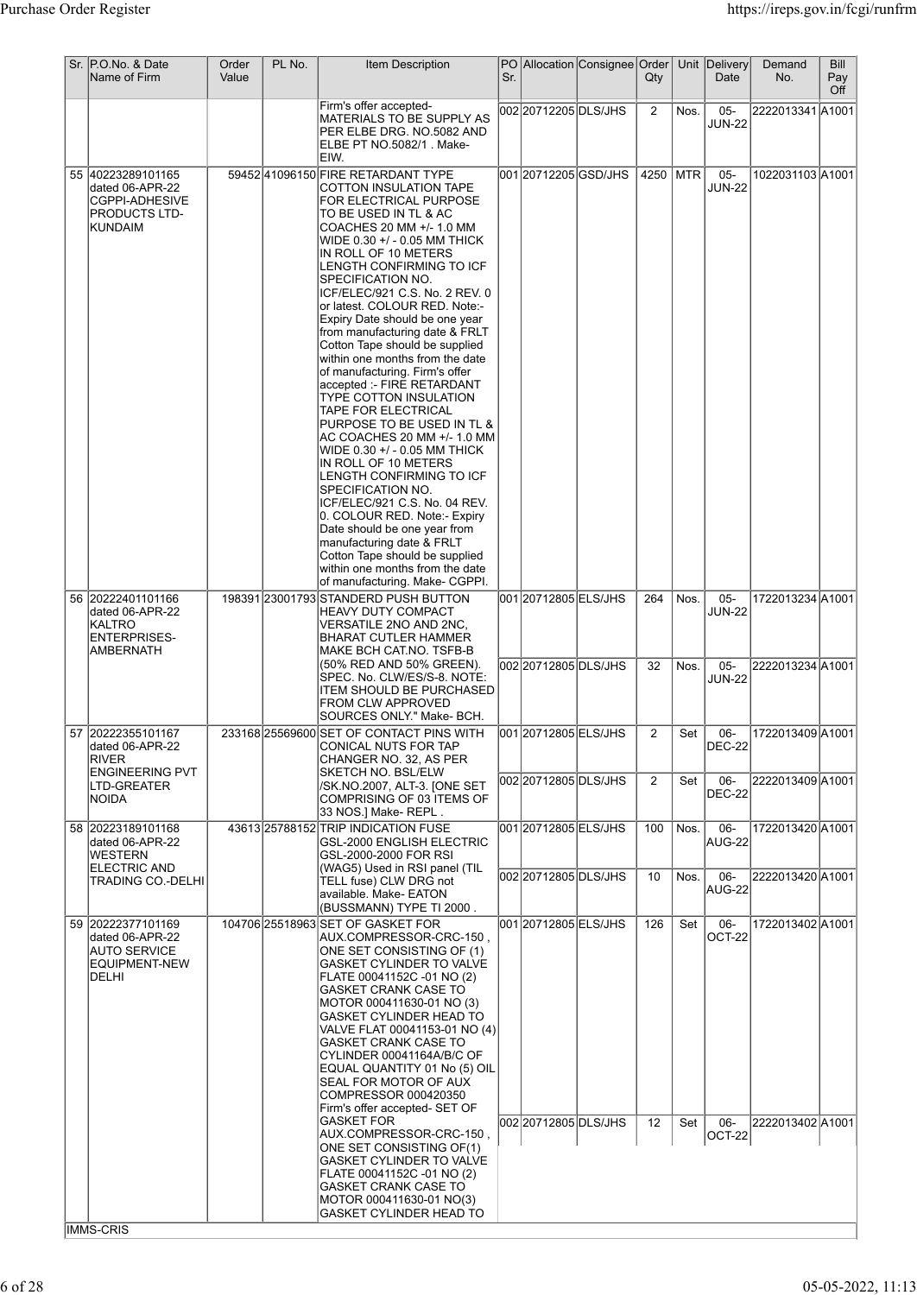| Sr. P.O.No. & Date<br>Name of Firm                                                                 | Order<br>Value | PL No. | <b>Item Description</b>                                                                                                                                                                                                                                                                                                                                                                                                                                                                                                                                                                                                                                                                                                                                                                                                                                                                                                                                                                      | Sr. |                                                | PO Allocation Consignee Order | Qty            |              | Unit Delivery<br>Date                              | Demand<br>No.                        | Bill<br>Pay<br>Off |
|----------------------------------------------------------------------------------------------------|----------------|--------|----------------------------------------------------------------------------------------------------------------------------------------------------------------------------------------------------------------------------------------------------------------------------------------------------------------------------------------------------------------------------------------------------------------------------------------------------------------------------------------------------------------------------------------------------------------------------------------------------------------------------------------------------------------------------------------------------------------------------------------------------------------------------------------------------------------------------------------------------------------------------------------------------------------------------------------------------------------------------------------------|-----|------------------------------------------------|-------------------------------|----------------|--------------|----------------------------------------------------|--------------------------------------|--------------------|
|                                                                                                    |                |        | Firm's offer accepted-<br>MATERIALS TO BE SUPPLY AS<br>PER ELBE DRG. NO.5082 AND<br>ELBE PT NO.5082/1 . Make-<br>IEIW.                                                                                                                                                                                                                                                                                                                                                                                                                                                                                                                                                                                                                                                                                                                                                                                                                                                                       |     | 00220712205DLS/JHS                             |                               | $\overline{2}$ | Nos.         | $05 -$<br><b>JUN-22</b>                            | 2222013341 A1001                     |                    |
| 55 40223289101165<br>dated 06-APR-22<br><b>CGPPI-ADHESIVE</b><br><b>PRODUCTS LTD-</b><br>KUNDAIM   |                |        | 59452 41096150 FIRE RETARDANT TYPE<br>COTTON INSULATION TAPE<br>FOR ELECTRICAL PURPOSE<br>TO BE USED IN TL & AC<br>COACHES 20 MM +/- 1.0 MM<br>WIDE 0.30 +/ - 0.05 MM THICK<br>IN ROLL OF 10 METERS<br>LENGTH CONFIRMING TO ICF<br>SPECIFICATION NO.<br>ICF/ELEC/921 C.S. No. 2 REV. 0<br>or latest. COLOUR RED. Note:-<br>Expiry Date should be one year<br>from manufacturing date & FRLT<br>Cotton Tape should be supplied<br>within one months from the date<br>of manufacturing. Firm's offer<br>accepted :- FIRE RETARDANT<br>TYPE COTTON INSULATION<br>TAPE FOR ELECTRICAL<br>PURPOSE TO BE USED IN TL &<br>AC COACHES 20 MM +/- 1.0 MM<br>WIDE 0.30 +/ - 0.05 MM THICK<br>IN ROLL OF 10 METERS<br>LENGTH CONFIRMING TO ICF<br>SPECIFICATION NO.<br>ICF/ELEC/921 C.S. No. 04 REV.<br>0. COLOUR RED. Note:- Expiry<br>Date should be one year from<br>manufacturing date & FRLT<br>Cotton Tape should be supplied<br>within one months from the date<br>of manufacturing. Make- CGPPI. |     | 001 20712205 GSD/JHS                           |                               | 4250           | MTR          | $05 -$<br><b>JUN-22</b>                            | 1022031103 A1001                     |                    |
| 56 20222401101166<br>dated 06-APR-22<br>KALTRO<br><b>ENTERPRISES-</b><br>AMBERNATH                 |                |        | 198391 23001793 STANDERD PUSH BUTTON<br><b>HEAVY DUTY COMPACT</b><br>VERSATILE 2NO AND 2NC,<br>BHARAT CUTLER HAMMER<br>MAKE BCH CAT.NO. TSFB-B<br>(50% RED AND 50% GREEN).<br>SPEC. No. CLW/ES/S-8. NOTE:<br>ITEM SHOULD BE PURCHASED<br><b>FROM CLW APPROVED</b>                                                                                                                                                                                                                                                                                                                                                                                                                                                                                                                                                                                                                                                                                                                            |     | 001 2071 2805 ELS/JHS<br>002 2071 2805 DLS/JHS |                               | 264<br>32      | Nos.<br>Nos. | $05 -$<br><b>JUN-22</b><br>$05 -$<br><b>JUN-22</b> | 1722013234 A1001<br>2222013234 A1001 |                    |
| 57 20222355101167<br>dated 06-APR-22<br>RIVER<br><b>ENGINEERING PVT</b>                            |                |        | SOURCES ONLY." Make- BCH.<br>233168 25569600 SET OF CONTACT PINS WITH<br>CONICAL NUTS FOR TAP<br>CHANGER NO. 32, AS PER<br><b>SKETCH NO. BSL/ELW</b>                                                                                                                                                                                                                                                                                                                                                                                                                                                                                                                                                                                                                                                                                                                                                                                                                                         |     | 001 2071 2805 ELS/JHS                          |                               | $\overline{2}$ | Set          | 06-<br><b>DEC-22</b>                               | 1722013409 A1001                     |                    |
| LTD-GREATER<br>NOIDA                                                                               |                |        | /SK.NO.2007, ALT-3. [ONE SET<br>COMPRISING OF 03 ITEMS OF<br>33 NOS.] Make-REPL.                                                                                                                                                                                                                                                                                                                                                                                                                                                                                                                                                                                                                                                                                                                                                                                                                                                                                                             |     | 002 2071 2805 DLS/JHS                          |                               | 2              | Set          | 06-<br><b>DEC-22</b>                               | 2222013409 A1001                     |                    |
| 58 20223189101168<br>dated 06-APR-22<br><b>WESTERN</b><br><b>ELECTRIC AND</b><br>TRADING CO.-DELHI |                |        | 43613 25788152 TRIP INDICATION FUSE<br>GSL-2000 ENGLISH ELECTRIC<br>GSL-2000-2000 FOR RSI<br>(WAG5) Used in RSI panel (TIL<br>TELL fuse) CLW DRG not                                                                                                                                                                                                                                                                                                                                                                                                                                                                                                                                                                                                                                                                                                                                                                                                                                         |     | 001 2071 2805 ELS/JHS<br>002 2071 2805 DLS/JHS |                               | 100<br>10      | Nos.<br>Nos. | 06-<br>AUG-22<br>06-                               | 1722013420 A1001<br>2222013420 A1001 |                    |
| 59 20222377101169                                                                                  |                |        | available. Make- EATON<br>(BUSSMANN) TYPE TI 2000.<br>104706 25518963 SET OF GASKET FOR                                                                                                                                                                                                                                                                                                                                                                                                                                                                                                                                                                                                                                                                                                                                                                                                                                                                                                      |     | 001 2071 2805 ELS/JHS                          |                               | 126            | Set          | AUG-22<br>$06 -$                                   | 1722013402 A1001                     |                    |
| dated 06-APR-22<br><b>AUTO SERVICE</b><br>EQUIPMENT-NEW<br>DELHI                                   |                |        | AUX.COMPRESSOR-CRC-150,<br>ONE SET CONSISTING OF (1)<br>GASKET CYLINDER TO VALVE<br> FLATE 00041152C -01 NO (2)<br><b>GASKET CRANK CASE TO</b><br>MOTOR 000411630-01 NO (3)<br>GASKET CYLINDER HEAD TO<br>VALVE FLAT 00041153-01 NO (4) <br><b>GASKET CRANK CASE TO</b><br>CYLINDER 00041164A/B/C OF<br>EQUAL QUANTITY 01 No (5) OIL<br>SEAL FOR MOTOR OF AUX<br>COMPRESSOR 000420350<br>Firm's offer accepted- SET OF<br><b>GASKET FOR</b>                                                                                                                                                                                                                                                                                                                                                                                                                                                                                                                                                  |     | 002 2071 2805 DLS/JHS                          |                               | 12             | Set          | OCT-22<br>06-                                      | 2222013402 A1001                     |                    |
|                                                                                                    |                |        | AUX.COMPRESSOR-CRC-150,<br>ONE SET CONSISTING OF(1)<br><b>GASKET CYLINDER TO VALVE</b><br>FLATE 00041152C -01 NO (2)<br><b>GASKET CRANK CASE TO</b><br>MOTOR 000411630-01 NO(3)<br>GASKET CYLINDER HEAD TO                                                                                                                                                                                                                                                                                                                                                                                                                                                                                                                                                                                                                                                                                                                                                                                   |     |                                                |                               |                |              | <b>OCT-22</b>                                      |                                      |                    |
| IMMS-CRIS                                                                                          |                |        |                                                                                                                                                                                                                                                                                                                                                                                                                                                                                                                                                                                                                                                                                                                                                                                                                                                                                                                                                                                              |     |                                                |                               |                |              |                                                    |                                      |                    |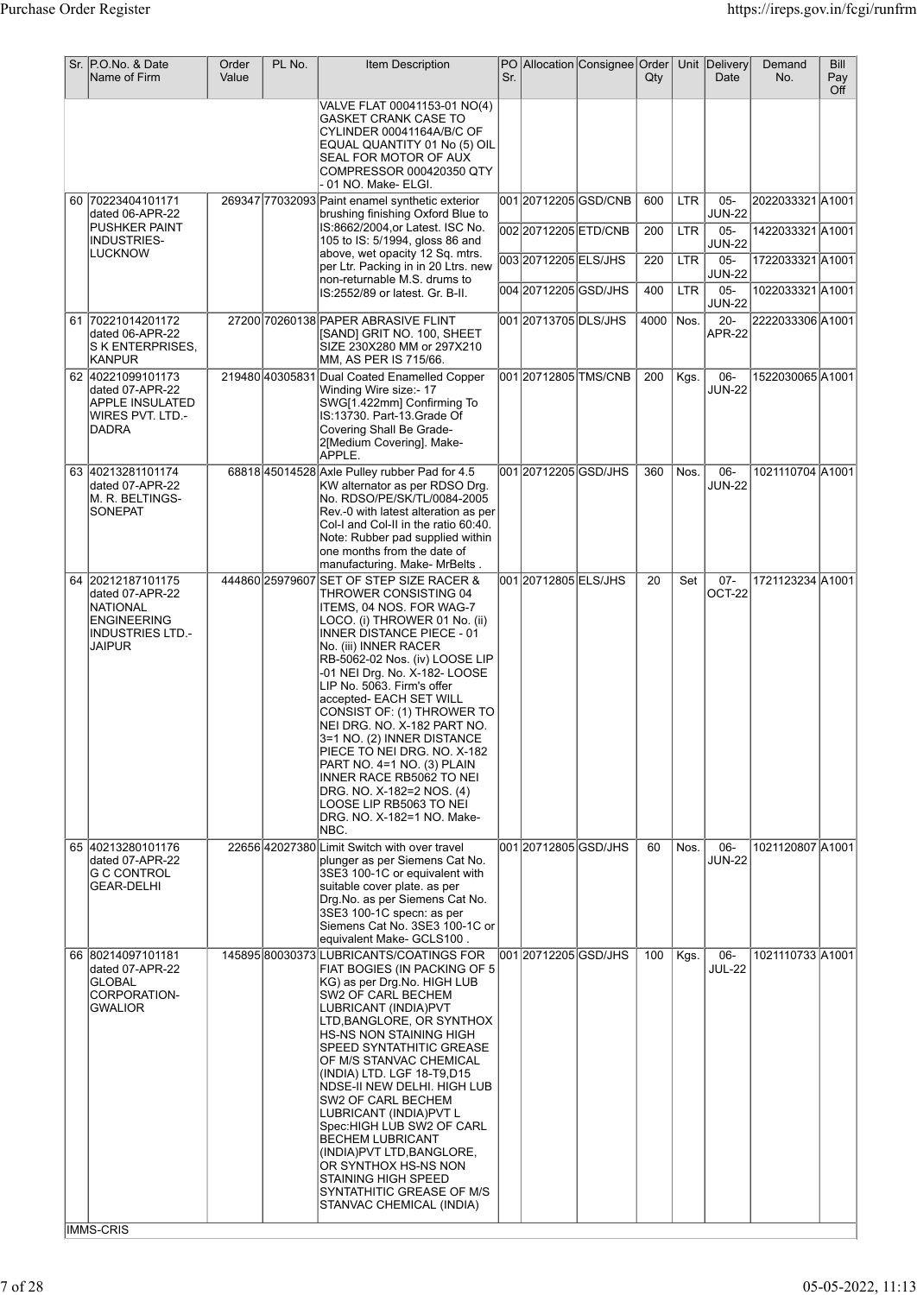| Sr. P.O.No. & Date<br>Name of Firm                                                                          | Order<br>Value | PL No. | <b>Item Description</b>                                                                                                                                                                                                                                                                                                                                                                                                                                                                                                                                                                                   | Sr. |                       | PO Allocation Consignee Order | $Q$ ty |            | Unit Delivery<br>Date   | Demand<br>No.    | Bill<br>Pay<br>Off |
|-------------------------------------------------------------------------------------------------------------|----------------|--------|-----------------------------------------------------------------------------------------------------------------------------------------------------------------------------------------------------------------------------------------------------------------------------------------------------------------------------------------------------------------------------------------------------------------------------------------------------------------------------------------------------------------------------------------------------------------------------------------------------------|-----|-----------------------|-------------------------------|--------|------------|-------------------------|------------------|--------------------|
|                                                                                                             |                |        | VALVE FLAT 00041153-01 NO(4)<br>GASKET CRANK CASE TO<br>CYLINDER 00041164A/B/C OF<br>EQUAL QUANTITY 01 No (5) OIL<br>SEAL FOR MOTOR OF AUX<br>COMPRESSOR 000420350 QTY<br>-01 NO. Make- ELGI.                                                                                                                                                                                                                                                                                                                                                                                                             |     |                       |                               |        |            |                         |                  |                    |
| 60 70223404101171<br>dated 06-APR-22                                                                        |                |        | 269347 77032093 Paint enamel synthetic exterior<br>brushing finishing Oxford Blue to                                                                                                                                                                                                                                                                                                                                                                                                                                                                                                                      |     |                       | 00120712205GSD/CNB            | 600    | <b>LTR</b> | $05 -$<br><b>JUN-22</b> | 2022033321A1001  |                    |
| PUSHKER PAINT<br>INDUSTRIES-<br><b>LUCKNOW</b>                                                              |                |        | IS:8662/2004, or Latest. ISC No.<br>105 to IS: 5/1994, gloss 86 and<br>above, wet opacity 12 Sq. mtrs.                                                                                                                                                                                                                                                                                                                                                                                                                                                                                                    |     | 002 20712205 ETD/CNB  |                               | 200    | <b>LTR</b> | $05 -$<br><b>JUN-22</b> | 1422033321 A1001 |                    |
|                                                                                                             |                |        | per Ltr. Packing in in 20 Ltrs. new<br>non-returnable M.S. drums to                                                                                                                                                                                                                                                                                                                                                                                                                                                                                                                                       |     | 00320712205ELS/JHS    |                               | 220    | <b>LTR</b> | $05 -$<br><b>JUN-22</b> | 1722033321 A1001 |                    |
|                                                                                                             |                |        | IS:2552/89 or latest. Gr. B-II.                                                                                                                                                                                                                                                                                                                                                                                                                                                                                                                                                                           |     | 004 20712205 GSD/JHS  |                               | 400    | <b>LTR</b> | $05-$<br><b>JUN-22</b>  | 1022033321 A1001 |                    |
| 61 70221014201172<br>dated 06-APR-22<br>S K ENTERPRISES,<br> KANPUR                                         |                |        | 27200 70260138 PAPER ABRASIVE FLINT<br>[SAND] GRIT NO. 100, SHEET<br>SIZE 230X280 MM or 297X210<br>MM, AS PER IS 715/66.                                                                                                                                                                                                                                                                                                                                                                                                                                                                                  |     | 001 20713705 DLS/JHS  |                               | 4000   | Nos.       | $20 -$<br>APR-22        | 2222033306 A1001 |                    |
| 62 40221099101173<br>dated 07-APR-22<br>APPLE INSULATED<br>WIRES PVT. LTD.-<br><b>DADRA</b>                 |                |        | 219480 40305831 Dual Coated Enamelled Copper<br>Winding Wire size:- 17<br>SWG[1.422mm] Confirming To<br>IS:13730. Part-13.Grade Of<br>Covering Shall Be Grade-<br>2[Medium Covering]. Make-<br>APPLE.                                                                                                                                                                                                                                                                                                                                                                                                     |     |                       | 001 20712805 TMS/CNB          | 200    | Kgs.       | 06-<br><b>JUN-22</b>    | 1522030065 A1001 |                    |
| 63 40213281101174<br>dated 07-APR-22<br>M. R. BELTINGS-<br><b>SONEPAT</b>                                   |                |        | 68818 45014528 Axle Pulley rubber Pad for 4.5<br>KW alternator as per RDSO Drg.<br>No. RDSO/PE/SK/TL/0084-2005<br>Rev.-0 with latest alteration as per<br>Col-I and Col-II in the ratio 60:40.<br>Note: Rubber pad supplied within<br>one months from the date of<br>manufacturing. Make- MrBelts .                                                                                                                                                                                                                                                                                                       |     | 001 20712205 GSD/JHS  |                               | 360    | Nos.       | 06-<br><b>JUN-22</b>    | 1021110704 A1001 |                    |
| 64 20212187101175<br>dated 07-APR-22<br>NATIONAL<br><b>ENGINEERING</b><br><b>INDUSTRIES LTD.-</b><br>JAIPUR |                |        | 444860 25979607 SET OF STEP SIZE RACER &<br>THROWER CONSISTING 04<br>ITEMS, 04 NOS. FOR WAG-7<br>LOCO. (i) THROWER 01 No. (ii)<br><b>INNER DISTANCE PIECE - 01</b><br>No. (iii) INNER RACER<br>RB-5062-02 Nos. (iv) LOOSE LIP<br>-01 NEI Drg. No. X-182- LOOSE<br>LIP No. 5063. Firm's offer<br>accepted- EACH SET WILL<br>CONSIST OF: (1) THROWER TO<br>NEI DRG. NO. X-182 PART NO.<br>3=1 NO. (2) INNER DISTANCE<br>PIECE TO NEI DRG. NO. X-182<br>PART NO. 4=1 NO. (3) PLAIN<br>INNER RACE RB5062 TO NEI<br>DRG. NO. X-182=2 NOS. (4)<br>LOOSE LIP RB5063 TO NEI<br>DRG. NO. X-182=1 NO. Make-<br>NBC. |     | 001 2071 2805 ELS/JHS |                               | 20     | Set        | $07 -$<br>OCT-22        | 1721123234 A1001 |                    |
| 65 40213280101176<br>dated 07-APR-22<br>G C CONTROL<br><b>GEAR-DELHI</b>                                    |                |        | 22656 42027380 Limit Switch with over travel<br>plunger as per Siemens Cat No.<br>3SE3 100-1C or equivalent with<br>suitable cover plate, as per<br>Drg.No. as per Siemens Cat No.<br>3SE3 100-1C specn: as per<br>Siemens Cat No. 3SE3 100-1C or<br>. equivalent Make- GCLS100                                                                                                                                                                                                                                                                                                                           |     | 001 2071 2805 GSD/JHS |                               | 60     | Nos.       | 06-<br><b>JUN-22</b>    | 1021120807 A1001 |                    |
| 66 80214097101181<br>dated 07-APR-22<br>GLOBAL<br>CORPORATION-<br><b>GWALIOR</b><br><b>IMMS-CRIS</b>        |                |        | 145895 80030373 LUBRICANTS/COATINGS FOR<br>FIAT BOGIES (IN PACKING OF 5<br>KG) as per Drg.No. HIGH LUB<br>SW2 OF CARL BECHEM<br>LUBRICANT (INDIA)PVT<br>LTD, BANGLORE, OR SYNTHOX<br>HS-NS NON STAINING HIGH<br>SPEED SYNTATHITIC GREASE<br>OF M/S STANVAC CHEMICAL<br>(INDIA) LTD. LGF 18-T9,D15<br>NDSE-II NEW DELHI. HIGH LUB<br>SW2 OF CARL BECHEM<br>LUBRICANT (INDIA)PVT L<br>Spec: HIGH LUB SW2 OF CARL<br><b>BECHEM LUBRICANT</b><br>(INDIA)PVT LTD, BANGLORE,<br>OR SYNTHOX HS-NS NON<br><b>STAINING HIGH SPEED</b><br>SYNTATHITIC GREASE OF M/S<br>STANVAC CHEMICAL (INDIA)                     |     | 001 20712205 GSD/JHS  |                               | 100    | Kgs.       | 06-<br><b>JUL-22</b>    | 1021110733 A1001 |                    |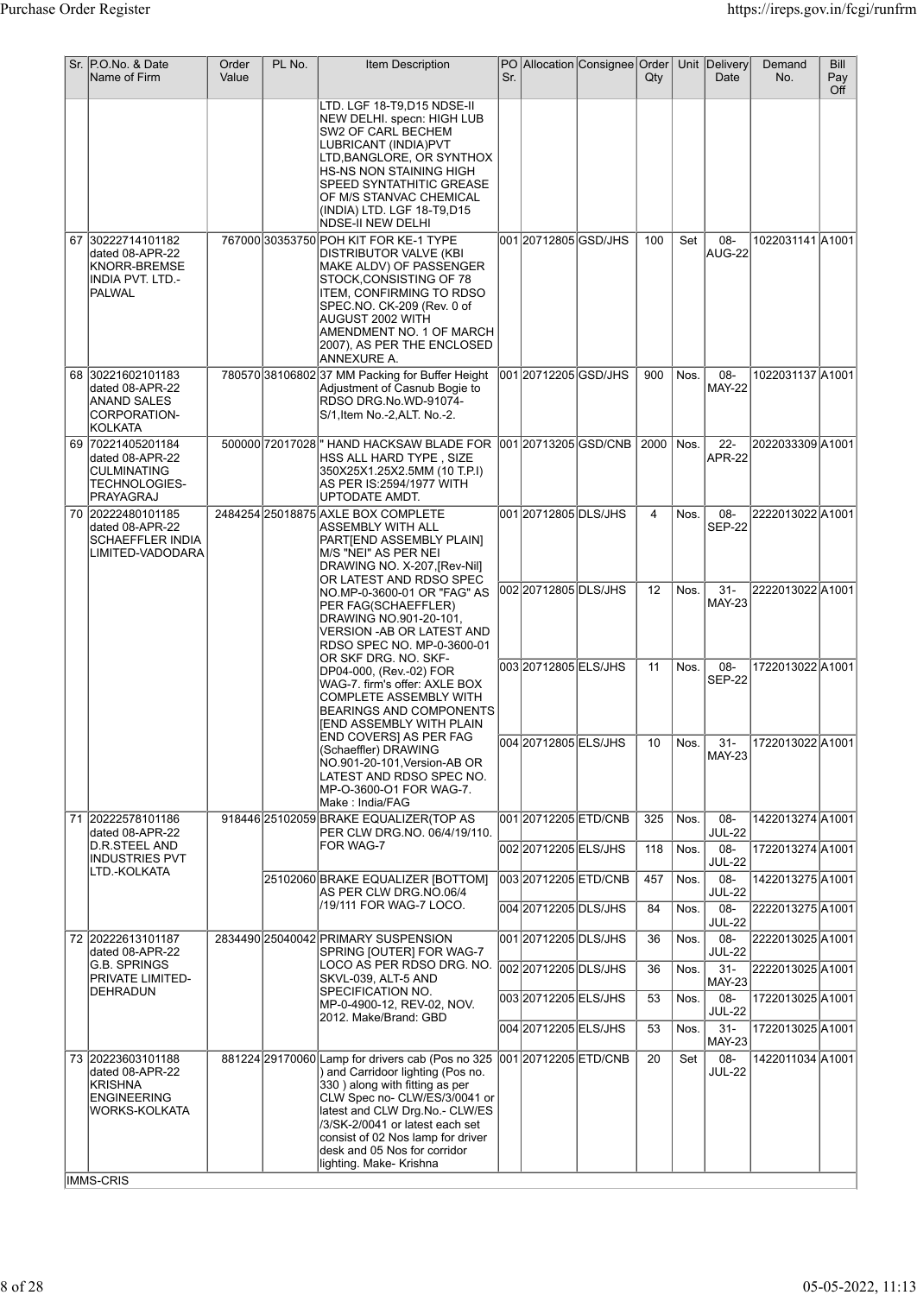|  | Sr. P.O.No. & Date<br>Name of Firm                                                                  | Order<br>Value | PL No. | Item Description                                                                                                                                                                                                                                                                                                              | Sr. |                                            | PO Allocation Consignee Order | $Q$ ty         |              | Unit Delivery<br>Date                 | Demand<br>No.                        | <b>Bill</b><br>Pay<br>Off |
|--|-----------------------------------------------------------------------------------------------------|----------------|--------|-------------------------------------------------------------------------------------------------------------------------------------------------------------------------------------------------------------------------------------------------------------------------------------------------------------------------------|-----|--------------------------------------------|-------------------------------|----------------|--------------|---------------------------------------|--------------------------------------|---------------------------|
|  |                                                                                                     |                |        | LTD. LGF 18-T9,D15 NDSE-II<br>NEW DELHI. specn: HIGH LUB<br>SW2 OF CARL BECHEM<br>LUBRICANT (INDIA)PVT<br>LTD, BANGLORE, OR SYNTHOX<br>HS-NS NON STAINING HIGH<br>SPEED SYNTATHITIC GREASE<br>OF M/S STANVAC CHEMICAL<br>(INDIA) LTD. LGF 18-T9,D15<br><b>NDSE-II NEW DELHI</b>                                               |     |                                            |                               |                |              |                                       |                                      |                           |
|  | 67 30222714101182<br>dated 08-APR-22<br>KNORR-BREMSE<br>INDIA PVT. LTD.-<br>PALWAL                  |                |        | 767000 30353750 POH KIT FOR KE-1 TYPE<br>DISTRIBUTOR VALVE (KBI<br>MAKE ALDV) OF PASSENGER<br>STOCK, CONSISTING OF 78<br>ITEM, CONFIRMING TO RDSO<br>SPEC.NO. CK-209 (Rev. 0 of<br>AUGUST 2002 WITH<br>AMENDMENT NO. 1 OF MARCH<br>2007), AS PER THE ENCLOSED<br>ANNEXURE A.                                                  |     | 001 2071 2805 GSD/JHS                      |                               | 100            | Set          | 08-<br>AUG-22                         | 1022031141 A1001                     |                           |
|  | 68 30221602101183<br>dated 08-APR-22<br>ANAND SALES<br>CORPORATION-<br><b>KOLKATA</b>               |                |        | 780570 38106802 37 MM Packing for Buffer Height<br>Adjustment of Casnub Bogie to<br>RDSO DRG.No.WD-91074-<br>S/1, Item No.-2, ALT. No.-2.                                                                                                                                                                                     |     | 001 20712205 GSD/JHS                       |                               | 900            | Nos.         | 08-<br><b>MAY-22</b>                  | 1022031137 A1001                     |                           |
|  | 69 70221405201184<br>dated 08-APR-22<br>CULMINATING<br>TECHNOLOGIES-<br>PRAYAGRAJ                   |                |        | 500000 72017028 HAND HACKSAW BLADE FOR<br>HSS ALL HARD TYPE , SIZE<br>350X25X1.25X2.5MM (10 T.P.I)<br>AS PER IS:2594/1977 WITH<br>UPTODATE AMDT.                                                                                                                                                                              |     |                                            | 001 20713205 GSD/CNB          | 2000           | Nos.         | $22 -$<br>APR-22                      | 2022033309 A1001                     |                           |
|  | 70 20222480101185<br>dated 08-APR-22<br>SCHAEFFLER INDIA<br>LIMITED-VADODARA                        |                |        | 2484254 25018875 AXLE BOX COMPLETE<br>ASSEMBLY WITH ALL<br>PARTIEND ASSEMBLY PLAIN]<br>M/S "NEI" AS PER NEI<br>DRAWING NO. X-207, [Rev-Nil]<br>OR LATEST AND RDSO SPEC                                                                                                                                                        |     | 001 2071 2805 DLS/JHS                      |                               | $\overline{4}$ | Nos.         | $08 -$<br><b>SEP-22</b>               | 2222013022 A1001                     |                           |
|  |                                                                                                     |                |        | NO.MP-0-3600-01 OR "FAG" AS<br>PER FAG(SCHAEFFLER)<br>DRAWING NO.901-20-101,<br>VERSION -AB OR LATEST AND<br>RDSO SPEC NO. MP-0-3600-01                                                                                                                                                                                       |     | 002 2071 2805 DLS/JHS                      |                               | 12             | Nos.         | $31 -$<br><b>MAY-23</b>               | 2222013022A1001                      |                           |
|  |                                                                                                     |                |        | OR SKF DRG. NO. SKF-<br>DP04-000, (Rev.-02) FOR<br>WAG-7. firm's offer: AXLE BOX<br>COMPLETE ASSEMBLY WITH<br><b>BEARINGS AND COMPONENTS</b><br>[END ASSEMBLY WITH PLAIN                                                                                                                                                      |     | 003 2071 2805 ELS/JHS                      |                               | 11             | Nos.         | 08-<br><b>SEP-22</b>                  | 1722013022 A1001                     |                           |
|  |                                                                                                     |                |        | <b>END COVERSI AS PER FAG</b><br>(Schaeffler) DRAWING<br>NO.901-20-101, Version-AB OR<br>LATEST AND RDSO SPEC NO.<br>MP-O-3600-O1 FOR WAG-7.<br>Make : India/FAG                                                                                                                                                              |     | 004 20712805 ELS/JHS                       |                               | $10$ Nos.      |              | $31-$<br><b>MAY-23</b>                | 1722013022 A1001                     |                           |
|  | 71 20222578101186<br>dated 08-APR-22<br>D.R.STEEL AND                                               |                |        | 918446 25102059 BRAKE EQUALIZER (TOP AS<br>PER CLW DRG.NO. 06/4/19/110.<br>FOR WAG-7                                                                                                                                                                                                                                          |     | 00120712205ETD/CNB<br>002 20712205 ELS/JHS |                               | 325<br>118     | Nos.<br>Nos. | 08-<br><b>JUL-22</b><br>08-           | 1422013274 A1001<br>1722013274 A1001 |                           |
|  | <b>INDUSTRIES PVT</b><br>LTD.-KOLKATA                                                               |                |        | 25102060 BRAKE EQUALIZER [BOTTOM]                                                                                                                                                                                                                                                                                             |     | 003 2071 2205 ETD/CNB                      |                               | 457            | Nos.         | <b>JUL-22</b><br>08-                  | 1422013275 A1001                     |                           |
|  |                                                                                                     |                |        | AS PER CLW DRG.NO.06/4<br>/19/111 FOR WAG-7 LOCO.                                                                                                                                                                                                                                                                             |     | 004 20712205 DLS/JHS                       |                               | 84             | Nos.         | <b>JUL-22</b><br>08-<br><b>JUL-22</b> | 2222013275 A1001                     |                           |
|  | 72 20222613101187<br>dated 08-APR-22                                                                |                |        | 2834490 25040042 PRIMARY SUSPENSION<br>SPRING [OUTER] FOR WAG-7                                                                                                                                                                                                                                                               |     | 001 20712205 DLS/JHS                       |                               | 36             | Nos.         | 08-<br><b>JUL-22</b>                  | 2222013025 A1001                     |                           |
|  | G.B. SPRINGS<br><b>PRIVATE LIMITED-</b>                                                             |                |        | LOCO AS PER RDSO DRG. NO.<br>SKVL-039, ALT-5 AND                                                                                                                                                                                                                                                                              |     | 002 20712205 DLS/JHS                       |                               | 36             | Nos.         | $31 -$<br><b>MAY-23</b>               | 2222013025 A1001                     |                           |
|  | DEHRADUN                                                                                            |                |        | SPECIFICATION NO.<br>MP-0-4900-12, REV-02, NOV.<br>2012. Make/Brand: GBD                                                                                                                                                                                                                                                      |     | 003 2071 2205 ELS/JHS                      |                               | 53             | Nos.         | $08 -$<br><b>JUL-22</b>               | 1722013025 A1001                     |                           |
|  |                                                                                                     |                |        |                                                                                                                                                                                                                                                                                                                               |     | 004 2071 2205 ELS/JHS                      |                               | 53             | Nos.         | $31 -$<br><b>MAY-23</b>               | 1722013025 A1001                     |                           |
|  | 73 20223603101188<br>dated 08-APR-22<br>KRISHNA<br><b>ENGINEERING</b><br>WORKS-KOLKATA<br>IMMS-CRIS |                |        | 881224 29170060 Lamp for drivers cab (Pos no 325<br>) and Carridoor lighting (Pos no.<br>330) along with fitting as per<br>CLW Spec no- CLW/ES/3/0041 or<br>latest and CLW Drg.No.- CLW/ES<br>/3/SK-2/0041 or latest each set<br>consist of 02 Nos lamp for driver<br>desk and 05 Nos for corridor<br>lighting. Make- Krishna |     | 001 2071 2205 ETD/CNB                      |                               | 20             | Set          | $08 -$<br><b>JUL-22</b>               | 1422011034 A1001                     |                           |
|  |                                                                                                     |                |        |                                                                                                                                                                                                                                                                                                                               |     |                                            |                               |                |              |                                       |                                      |                           |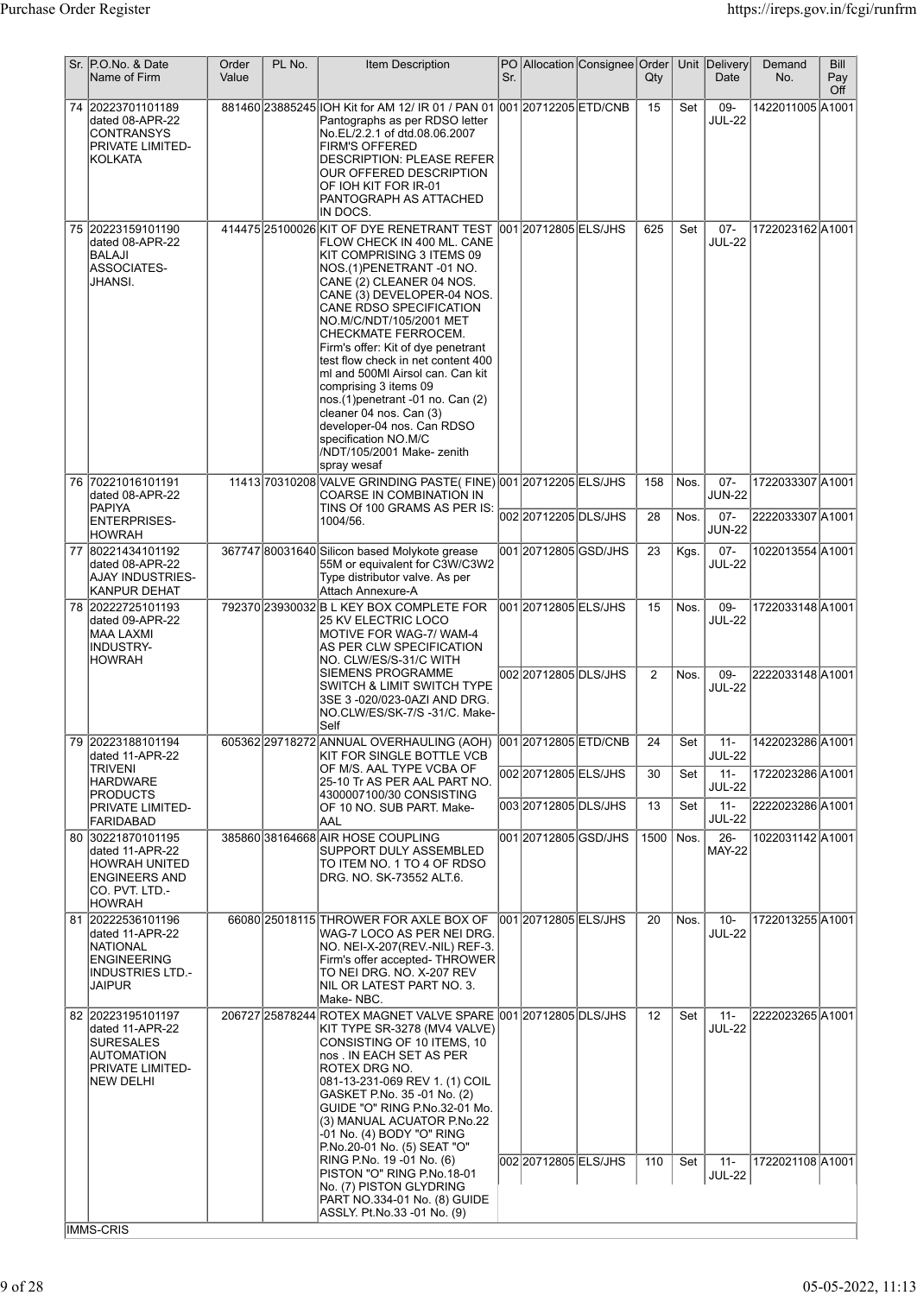| P.O.No. & Date<br>Sr.<br>Name of Firm                                                                                   | Order<br>Value | PL No. | <b>Item Description</b>                                                                                                                                                                                                                                                                                                                                                                                                                                                                                                                                                             | Sr. |                                               | PO Allocation Consignee Order | Qty                      |              | Unit Delivery<br>Date             | Demand<br>No.                        | <b>Bill</b><br>Pay<br>Off |
|-------------------------------------------------------------------------------------------------------------------------|----------------|--------|-------------------------------------------------------------------------------------------------------------------------------------------------------------------------------------------------------------------------------------------------------------------------------------------------------------------------------------------------------------------------------------------------------------------------------------------------------------------------------------------------------------------------------------------------------------------------------------|-----|-----------------------------------------------|-------------------------------|--------------------------|--------------|-----------------------------------|--------------------------------------|---------------------------|
| 74 20223701101189<br>dated 08-APR-22<br><b>CONTRANSYS</b><br>PRIVATE LIMITED-<br><b>KOLKATA</b>                         |                |        | 881460 23885245 IOH Kit for AM 12/ IR 01 / PAN 01 001 20712205 ETD/CNB<br>Pantographs as per RDSO letter<br>No.EL/2.2.1 of dtd.08.06.2007<br><b>FIRM'S OFFERED</b><br><b>DESCRIPTION: PLEASE REFER</b><br>OUR OFFERED DESCRIPTION<br>OF IOH KIT FOR IR-01<br>PANTOGRAPH AS ATTACHED<br>IN DOCS.                                                                                                                                                                                                                                                                                     |     |                                               |                               | 15                       | Set          | 09-<br><b>JUL-22</b>              | 1422011005 A1001                     |                           |
| 75 20223159101190<br>dated 08-APR-22<br><b>BALAJI</b><br><b>ASSOCIATES-</b><br>JHANSI.                                  |                |        | 414475 25100026 KIT OF DYE RENETRANT TEST<br>FLOW CHECK IN 400 ML. CANE<br>KIT COMPRISING 3 ITEMS 09<br>NOS.(1)PENETRANT -01 NO.<br>CANE (2) CLEANER 04 NOS.<br>CANE (3) DEVELOPER-04 NOS.<br>CANE RDSO SPECIFICATION<br>NO.M/C/NDT/105/2001 MET<br>CHECKMATE FERROCEM.<br>Firm's offer: Kit of dye penetrant<br>test flow check in net content 400<br>ml and 500Ml Airsol can. Can kit<br>comprising 3 items 09<br>nos.(1) penetrant -01 no. Can (2)<br>cleaner 04 nos. Can (3)<br>developer-04 nos. Can RDSO<br>specification NO.M/C<br>/NDT/105/2001 Make- zenith<br>spray wesaf |     | 001 2071 2805 ELS/JHS                         |                               | 625                      | Set          | $07 -$<br><b>JUL-22</b>           | 1722023162 A1001                     |                           |
| 76 70221016101191<br>dated 08-APR-22<br>PAPIYA                                                                          |                |        | 11413 70310 208 VALVE GRINDING PASTE( FINE) 001 20712205 ELS/JHS<br><b>COARSE IN COMBINATION IN</b><br>TINS Of 100 GRAMS AS PER IS:                                                                                                                                                                                                                                                                                                                                                                                                                                                 |     | 002 2071 2205 DLS/JHS                         |                               | 158<br>28                | Nos.<br>Nos. | $07 -$<br><b>JUN-22</b><br>$07 -$ | 1722033307 A1001<br>2222033307 A1001 |                           |
| <b>ENTERPRISES-</b><br><b>HOWRAH</b><br>80221434101192<br>77                                                            |                |        | 1004/56.<br>367747 80031640 Silicon based Molykote grease                                                                                                                                                                                                                                                                                                                                                                                                                                                                                                                           |     | 001 20712805 GSD/JHS                          |                               | 23                       | Kgs.         | <b>JUN-22</b><br>$07 -$           | 1022013554 A1001                     |                           |
| dated 08-APR-22<br>AJAY INDUSTRIES-<br><b>KANPUR DEHAT</b>                                                              |                |        | 55M or equivalent for C3W/C3W2<br>Type distributor valve. As per<br>Attach Annexure-A                                                                                                                                                                                                                                                                                                                                                                                                                                                                                               |     |                                               |                               |                          |              | <b>JUL-22</b>                     |                                      |                           |
| 78 20222725101193<br>dated 09-APR-22<br><b>MAA LAXMI</b><br>INDUSTRY-<br><b>HOWRAH</b>                                  |                |        | 792370 23930032 B L KEY BOX COMPLETE FOR<br>25 KV ELECTRIC LOCO<br>MOTIVE FOR WAG-7/ WAM-4<br>AS PER CLW SPECIFICATION<br>NO. CLW/ES/S-31/C WITH<br><b>SIEMENS PROGRAMME</b>                                                                                                                                                                                                                                                                                                                                                                                                        |     | 001 20712805 ELS/JHS<br>002 2071 2805 DLS/JHS |                               | 15<br>2                  | Nos.<br>Nos. | 09-<br><b>JUL-22</b><br>$09 -$    | 1722033148 A1001<br>2222033148 A1001 |                           |
|                                                                                                                         |                |        | SWITCH & LIMIT SWITCH TYPE<br>3SE 3 -020/023-0AZI AND DRG.<br>NO.CLW/ES/SK-7/S -31/C. Make-<br>Self                                                                                                                                                                                                                                                                                                                                                                                                                                                                                 |     |                                               |                               |                          |              | <b>JUL-22</b>                     |                                      |                           |
| 79 20223188101194<br>dated 11-APR-22<br>TRIVENI                                                                         |                |        | 605362 29718272 ANNUAL OVERHAULING (AOH) 001 20712805 ETD/CNB<br>KIT FOR SINGLE BOTTLE VCB<br>OF M/S. AAL TYPE VCBA OF                                                                                                                                                                                                                                                                                                                                                                                                                                                              |     |                                               |                               | 24                       | Set          | -11<br>JUL-22                     | 1422023286 A1001                     |                           |
| <b>HARDWARE</b><br><b>PRODUCTS</b>                                                                                      |                |        | 25-10 Tr AS PER AAL PART NO.<br> 4300007100/30 CONSISTING                                                                                                                                                                                                                                                                                                                                                                                                                                                                                                                           |     | 002 2071 2805 ELS/JHS                         |                               | 30                       | Set          | $11 -$<br><b>JUL-22</b>           | 1722023286 A1001                     |                           |
| PRIVATE LIMITED-<br>FARIDABAD                                                                                           |                |        | OF 10 NO. SUB PART. Make-<br>AAL                                                                                                                                                                                                                                                                                                                                                                                                                                                                                                                                                    |     | 003 2071 2805 DLS/JHS                         |                               | 13                       | Set          | $11 -$<br><b>JUL-22</b>           | 2222023286 A1001                     |                           |
| 80 30221870101195<br>dated 11-APR-22<br><b>HOWRAH UNITED</b><br><b>ENGINEERS AND</b><br>CO. PVT. LTD.-<br><b>HOWRAH</b> |                |        | 385860 38164668 AIR HOSE COUPLING<br><b>SUPPORT DULY ASSEMBLED</b><br>TO ITEM NO. 1 TO 4 OF RDSO<br>DRG. NO. SK-73552 ALT.6.                                                                                                                                                                                                                                                                                                                                                                                                                                                        |     | 001 20712805 GSD/JHS                          |                               | 1500                     | Nos.         | $26 -$<br><b>MAY-22</b>           | 1022031142 A1001                     |                           |
| 81 20222536101196<br>dated 11-APR-22<br><b>NATIONAL</b><br><b>ENGINEERING</b><br><b>INDUSTRIES LTD.-</b><br>JAIPUR      |                |        | 66080 25018115 THROWER FOR AXLE BOX OF<br>WAG-7 LOCO AS PER NEI DRG.<br> NO. NEI-X-207(REV.-NIL) REF-3.<br>Firm's offer accepted- THROWER<br>TO NEI DRG. NO. X-207 REV<br>INIL OR LATEST PART NO. 3.<br> Make- NBC.                                                                                                                                                                                                                                                                                                                                                                 |     | 001 2071 2805 ELS/JHS                         |                               | 20                       | Nos.         | $10-$<br><b>JUL-22</b>            | 1722013255 A1001                     |                           |
| 82 20223195101197<br>dated 11-APR-22<br><b>SURESALES</b><br><b>AUTOMATION</b><br>PRIVATE LIMITED-<br><b>NEW DELHI</b>   |                |        | 206727 25878244 ROTEX MAGNET VALVE SPARE 001 20712805 DLS/JHS<br>KIT TYPE SR-3278 (MV4 VALVE)<br>CONSISTING OF 10 ITEMS, 10<br>nos . IN EACH SET AS PER<br>ROTEX DRG NO.<br>081-13-231-069 REV 1. (1) COIL<br>GASKET P.No. 35 -01 No. (2)<br>GUIDE "O" RING P.No.32-01 Mo.<br>(3) MANUAL ACUATOR P.No.22<br>-01 No. (4) BODY "O" RING<br>P.No.20-01 No. (5) SEAT "O"<br>RING P.No. 19 -01 No. (6)                                                                                                                                                                                   |     | 002 2071 2805 ELS/JHS                         |                               | $12 \overline{ }$<br>110 | Set<br>Set   | $11 -$<br><b>JUL-22</b><br>$11 -$ | 2222023265 A1001<br>1722021108 A1001 |                           |
|                                                                                                                         |                |        | PISTON "O" RING P.No.18-01<br> No. (7) PISTON GLYDRING<br>PART NO.334-01 No. (8) GUIDE<br>ASSLY. Pt.No.33 -01 No. (9)                                                                                                                                                                                                                                                                                                                                                                                                                                                               |     |                                               |                               |                          |              | <b>JUL-22</b>                     |                                      |                           |
| IMMS-CRIS                                                                                                               |                |        |                                                                                                                                                                                                                                                                                                                                                                                                                                                                                                                                                                                     |     |                                               |                               |                          |              |                                   |                                      |                           |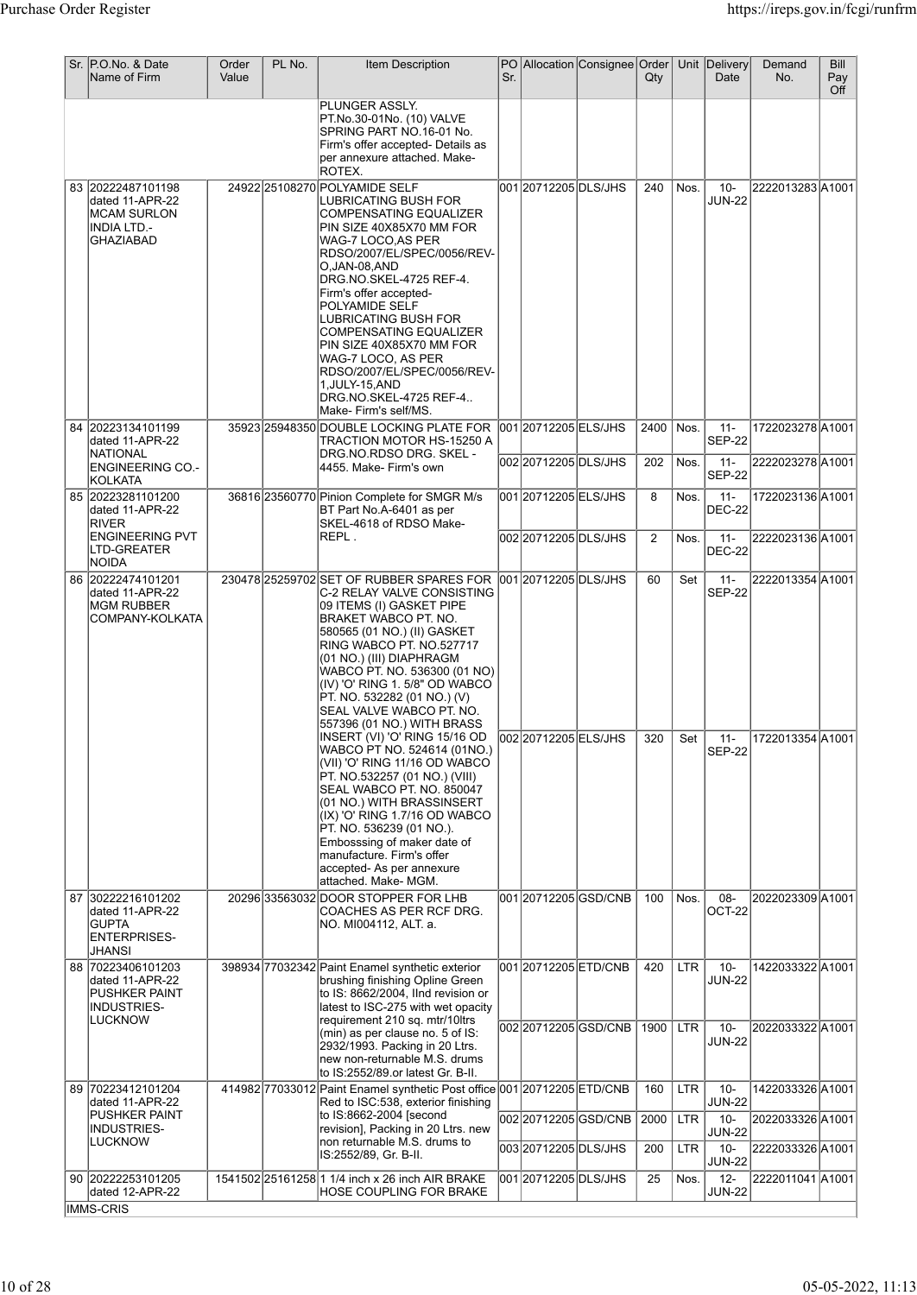|    | Sr. P.O.No. & Date<br>Name of Firm                                                      | Order<br>Value | PL No. | Item Description                                                                                                                                                                                                                                                                                                                                                                                                                                                               | Sr. |                                              | PO Allocation Consignee Order | Qty         |                    | Unit Delivery<br>Date             | Demand<br>No.                        | Bill<br>Pay<br>Off |
|----|-----------------------------------------------------------------------------------------|----------------|--------|--------------------------------------------------------------------------------------------------------------------------------------------------------------------------------------------------------------------------------------------------------------------------------------------------------------------------------------------------------------------------------------------------------------------------------------------------------------------------------|-----|----------------------------------------------|-------------------------------|-------------|--------------------|-----------------------------------|--------------------------------------|--------------------|
|    |                                                                                         |                |        | PLUNGER ASSLY.<br>PT.No.30-01No. (10) VALVE<br>SPRING PART NO.16-01 No.<br>Firm's offer accepted- Details as<br>per annexure attached. Make-<br>ROTEX.                                                                                                                                                                                                                                                                                                                         |     |                                              |                               |             |                    |                                   |                                      |                    |
|    | 83 20222487101198<br>dated 11-APR-22<br><b>IMCAM SURLON</b><br>INDIA LTD.-<br>GHAZIABAD |                |        | 24922 25108270 POLYAMIDE SELF<br>LUBRICATING BUSH FOR<br><b>COMPENSATING EQUALIZER</b><br>PIN SIZE 40X85X70 MM FOR<br>WAG-7 LOCO,AS PER<br>RDSO/2007/EL/SPEC/0056/REV-<br>O,JAN-08,AND<br>DRG.NO.SKEL-4725 REF-4.<br>Firm's offer accepted-<br>POLYAMIDE SELF<br>LUBRICATING BUSH FOR<br><b>COMPENSATING EQUALIZER</b><br>PIN SIZE 40X85X70 MM FOR<br> WAG-7 LOCO, AS PER<br>RDSO/2007/EL/SPEC/0056/REV-<br>1, JULY-15, AND<br>DRG.NO.SKEL-4725 REF-4<br>Make- Firm's self/MS. |     | 001 2071 2205 DLS/JHS                        |                               | 240         | Nos.               | $10 -$<br><b>JUN-22</b>           | 2222013283 A1001                     |                    |
|    | 84 20223134101199<br>dated 11-APR-22<br><b>NATIONAL</b>                                 |                |        | 35923 25948350 DOUBLE LOCKING PLATE FOR<br>TRACTION MOTOR HS-15250 A<br>DRG.NO.RDSO DRG. SKEL -                                                                                                                                                                                                                                                                                                                                                                                |     | 00120712205 ELS/JHS<br>00220712205DLS/JHS    |                               | 2400<br>202 | Nos.<br>Nos.       | $11 -$<br><b>SEP-22</b><br>$11 -$ | 1722023278 A1001<br>2222023278 A1001 |                    |
|    | <b>ENGINEERING CO.-</b><br>KOLKATA                                                      |                |        | 4455. Make- Firm's own                                                                                                                                                                                                                                                                                                                                                                                                                                                         |     | 001 20712205 ELS/JHS                         |                               |             |                    | <b>SEP-22</b><br>$11 -$           | 1722023136 A1001                     |                    |
|    | 85 20223281101200<br>dated 11-APR-22<br><b>RIVER</b>                                    |                |        | 36816 23560770 Pinion Complete for SMGR M/s<br>BT Part No.A-6401 as per<br>SKEL-4618 of RDSO Make-                                                                                                                                                                                                                                                                                                                                                                             |     |                                              |                               | 8           | Nos.               | <b>DEC-22</b>                     |                                      |                    |
|    | <b>ENGINEERING PVT</b><br>LTD-GREATER<br>NOIDA                                          |                |        | REPL.                                                                                                                                                                                                                                                                                                                                                                                                                                                                          |     | 002 20712205 DLS/JHS                         |                               | 2           | Nos.               | $11 -$<br><b>DEC-22</b>           | 2222023136 A1001                     |                    |
|    | 86 20222474101201<br>dated 11-APR-22<br><b>MGM RUBBER</b><br>COMPANY-KOLKATA            |                |        | 230478 25259702 SET OF RUBBER SPARES FOR 001 2071 2205 DLS/JHS<br>C-2 RELAY VALVE CONSISTING<br>09 ITEMS (I) GASKET PIPE<br>BRAKET WABCO PT. NO.<br>580565 (01 NO.) (II) GASKET<br>RING WABCO PT. NO.527717<br>(01 NO.) (III) DIAPHRAGM<br>WABCO PT. NO. 536300 (01 NO)<br>(IV) 'O' RING 1.5/8" OD WABCO<br>PT. NO. 532282 (01 NO.) (V)<br>SEAL VALVE WABCO PT. NO.<br>557396 (01 NO.) WITH BRASS<br>INSERT (VI) 'O' RING 15/16 OD   002 2071 2205 ELS/JHS                     |     |                                              |                               | 60<br>320   | Set<br>Set         | $11 -$<br><b>SEP-22</b><br>$11 -$ | 2222013354 A1001<br>1722013354 A1001 |                    |
|    |                                                                                         |                |        | WABCO PT NO. 524614 (01NO.)<br>(VII) 'O' RING 11/16 OD WABCO<br>PT. NO.532257 (01 NO.) (VIII)<br>SEAL WABCO PT. NO. 850047<br>(01 NO.) WITH BRASSINSERT<br>(IX) 'O' RING 1.7/16 OD WABCO<br>PT. NO. 536239 (01 NO.).<br>Embosssing of maker date of<br>manufacture. Firm's offer<br>accepted- As per annexure<br>attached. Make- MGM.                                                                                                                                          |     |                                              |                               |             |                    | <b>SEP-22</b>                     |                                      |                    |
| 87 | 30222216101202<br>dated 11-APR-22<br><b>GUPTA</b><br><b>ENTERPRISES-</b><br>JHANSI      |                |        | 20296 33563032 DOOR STOPPER FOR LHB<br>COACHES AS PER RCF DRG.<br>NO. MI004112, ALT. a.                                                                                                                                                                                                                                                                                                                                                                                        |     |                                              | 001 20712205 GSD/CNB          | 100         | Nos.               | 08-<br>OCT-22                     | 2022023309 A1001                     |                    |
|    | 88 70223406101203<br>dated 11-APR-22<br><b>PUSHKER PAINT</b><br>INDUSTRIES-             |                |        | 398934 77032342 Paint Enamel synthetic exterior<br>brushing finishing Opline Green<br>to IS: 8662/2004, IInd revision or<br>latest to ISC-275 with wet opacity                                                                                                                                                                                                                                                                                                                 |     | 001 2071 2205 ETD/CNB                        |                               | 420         | <b>LTR</b>         | $10 -$<br><b>JUN-22</b>           | 1422033322 A1001                     |                    |
|    | <b>LUCKNOW</b>                                                                          |                |        | requirement 210 sq. mtr/10ltrs<br>(min) as per clause no. 5 of IS:<br>2932/1993. Packing in 20 Ltrs.<br>new non-returnable M.S. drums<br>to IS:2552/89.or latest Gr. B-II.                                                                                                                                                                                                                                                                                                     |     |                                              | 00220712205GSD/CNB            | 1900        | <b>LTR</b>         | $10 -$<br><b>JUN-22</b>           | 2022033322A1001                      |                    |
|    | 89 70223412101204<br>dated 11-APR-22                                                    |                |        | 414982 77033012 Paint Enamel synthetic Post office 001 20712205 ETD/CNB<br>Red to ISC:538, exterior finishing                                                                                                                                                                                                                                                                                                                                                                  |     |                                              |                               | 160         | <b>LTR</b>         | $10 -$<br><b>JUN-22</b>           | 1422033326 A1001                     |                    |
|    | <b>PUSHKER PAINT</b><br>INDUSTRIES-<br><b>LUCKNOW</b>                                   |                |        | to IS:8662-2004 [second<br>revision], Packing in 20 Ltrs. new<br>non returnable M.S. drums to                                                                                                                                                                                                                                                                                                                                                                                  |     |                                              | 002 20712205 GSD/CNB          | 2000        | <b>LTR</b>         | $10 -$<br><b>JUN-22</b>           | 2022033326 A1001                     |                    |
|    | 90 20222253101205                                                                       |                |        | IS:2552/89, Gr. B-II.<br>1541502 25161258 1 1/4 inch x 26 inch AIR BRAKE                                                                                                                                                                                                                                                                                                                                                                                                       |     | 003 20712205 DLS/JHS<br>001 20712205 DLS/JHS |                               | 200<br>25   | <b>LTR</b><br>Nos. | $10 -$<br><b>JUN-22</b><br>$12 -$ | 2222033326 A1001<br>2222011041 A1001 |                    |
|    | dated 12-APR-22<br><b>IMMS-CRIS</b>                                                     |                |        | HOSE COUPLING FOR BRAKE                                                                                                                                                                                                                                                                                                                                                                                                                                                        |     |                                              |                               |             |                    | <b>JUN-22</b>                     |                                      |                    |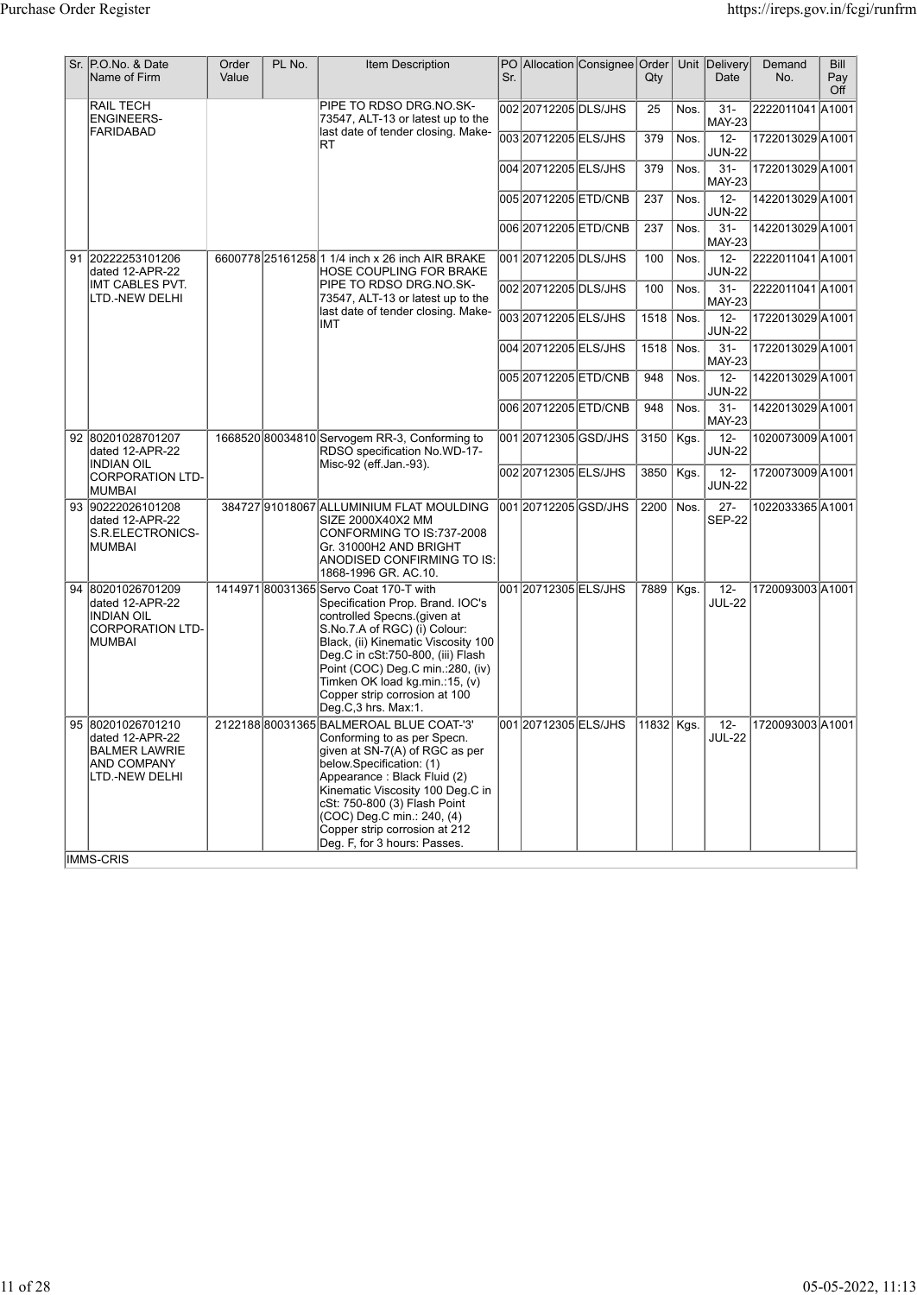| Sr. | P.O.No. & Date<br>Name of Firm                                                                             | Order<br>Value | PL No. | Item Description                                                                                                                                                                                                                                                                                                                                    | Sr. |                       | PO Allocation Consignee Order | Qty        |      | Unit Delivery<br>Date   | Demand<br>No.    | <b>Bill</b><br>Pay<br>Off |
|-----|------------------------------------------------------------------------------------------------------------|----------------|--------|-----------------------------------------------------------------------------------------------------------------------------------------------------------------------------------------------------------------------------------------------------------------------------------------------------------------------------------------------------|-----|-----------------------|-------------------------------|------------|------|-------------------------|------------------|---------------------------|
|     | RAIL TECH<br><b>ENGINEERS-</b>                                                                             |                |        | PIPE TO RDSO DRG.NO.SK-<br>73547, ALT-13 or latest up to the                                                                                                                                                                                                                                                                                        |     | 00220712205DLS/JHS    |                               | 25         | Nos. | $31 -$<br><b>MAY-23</b> | 2222011041 A1001 |                           |
|     | <b>FARIDABAD</b>                                                                                           |                |        | last date of tender closing. Make-<br>RT                                                                                                                                                                                                                                                                                                            |     | 003 20712205 ELS/JHS  |                               | 379        | Nos. | $12 -$<br><b>JUN-22</b> | 1722013029 A1001 |                           |
|     |                                                                                                            |                |        |                                                                                                                                                                                                                                                                                                                                                     |     | 004 20712205 ELS/JHS  |                               | 379        | Nos. | $31 -$<br><b>MAY-23</b> | 1722013029 A1001 |                           |
|     |                                                                                                            |                |        |                                                                                                                                                                                                                                                                                                                                                     |     | 00520712205ETD/CNB    |                               | 237        | Nos. | $12 -$<br><b>JUN-22</b> | 1422013029 A1001 |                           |
|     |                                                                                                            |                |        |                                                                                                                                                                                                                                                                                                                                                     |     | 006 20712205 ETD/CNB  |                               | 237        | Nos. | $31 -$<br><b>MAY-23</b> | 1422013029 A1001 |                           |
| 91  | 20222253101206<br>dated 12-APR-22                                                                          |                |        | 6600778 25161258 1 1/4 inch x 26 inch AIR BRAKE<br>HOSE COUPLING FOR BRAKE                                                                                                                                                                                                                                                                          |     | 001 20712205 DLS/JHS  |                               | 100        | Nos. | $12 -$<br><b>JUN-22</b> | 2222011041 A1001 |                           |
|     | IMT CABLES PVT.<br>LTD.-NEW DELHI                                                                          |                |        | PIPE TO RDSO DRG.NO.SK-<br>73547, ALT-13 or latest up to the<br>last date of tender closing. Make-                                                                                                                                                                                                                                                  |     | 002 2071 2205 DLS/JHS |                               | 100        | Nos. | $31 -$<br><b>MAY-23</b> | 2222011041 A1001 |                           |
|     |                                                                                                            |                |        | IMT                                                                                                                                                                                                                                                                                                                                                 |     | 00320712205ELS/JHS    |                               | 1518       | Nos. | $12 -$<br><b>JUN-22</b> | 1722013029 A1001 |                           |
|     |                                                                                                            |                |        |                                                                                                                                                                                                                                                                                                                                                     |     | 004 20712205 ELS/JHS  |                               | 1518       | Nos. | $31 -$<br><b>MAY-23</b> | 1722013029 A1001 |                           |
|     |                                                                                                            |                |        |                                                                                                                                                                                                                                                                                                                                                     |     | 00520712205ETD/CNB    |                               | 948        | Nos. | $12 -$<br><b>JUN-22</b> | 1422013029 A1001 |                           |
|     |                                                                                                            |                |        |                                                                                                                                                                                                                                                                                                                                                     |     | 006 20712205 ETD/CNB  |                               | 948        | Nos. | $31 -$<br><b>MAY-23</b> | 1422013029 A1001 |                           |
|     | 92 80201028701207<br>dated 12-APR-22                                                                       |                |        | 1668520 80034810 Servogem RR-3, Conforming to<br>RDSO specification No.WD-17-                                                                                                                                                                                                                                                                       |     | 001 20712305 GSD/JHS  |                               | 3150       | Kgs. | $12 -$<br><b>JUN-22</b> | 1020073009 A1001 |                           |
|     | <b>INDIAN OIL</b><br><b>CORPORATION LTD-</b><br><b>MUMBAI</b>                                              |                |        | Misc-92 (eff.Jan.-93).                                                                                                                                                                                                                                                                                                                              |     | 002 2071 2305 ELS/JHS |                               | 3850       | Kgs. | $12 -$<br><b>JUN-22</b> | 1720073009 A1001 |                           |
|     | 93 90222026101208<br>dated 12-APR-22<br>S.R.ELECTRONICS-<br><b>MUMBAI</b>                                  |                |        | 384727 91018067 ALLUMINIUM FLAT MOULDING<br>SIZE 2000X40X2 MM<br>CONFORMING TO IS:737-2008<br>Gr. 31000H2 AND BRIGHT<br>ANODISED CONFIRMING TO IS:<br>1868-1996 GR. AC.10.                                                                                                                                                                          |     | l001l20712205lGSD/JHS |                               | 2200       | Nos. | $27 -$<br><b>SEP-22</b> | 1022033365 A1001 |                           |
| 94  | 80201026701209<br>dated 12-APR-22<br><b>INDIAN OIL</b><br><b>CORPORATION LTD-</b><br><b>MUMBAI</b>         |                |        | 1414971 80031365 Servo Coat 170-T with<br>Specification Prop. Brand. IOC's<br>controlled Specns.(given at<br>S.No.7.A of RGC) (i) Colour:<br>Black, (ii) Kinematic Viscosity 100<br>Deg.C in cSt:750-800, (iii) Flash<br>Point (COC) Deg.C min.:280, (iv)<br>Timken OK load kg.min.:15, (v)<br>Copper strip corrosion at 100<br>Deg.C,3 hrs. Max:1. |     | 001 20712305 ELS/JHS  |                               | 7889       | Kgs. | $12-$<br><b>JUL-22</b>  | 1720093003 A1001 |                           |
|     | 95 80201026701210<br>dated 12-APR-22<br><b>BALMER LAWRIE</b><br>AND COMPANY<br>LTD.-NEW DELHI<br>IMMS-CRIS |                |        | 2122188 80031365 BALMEROAL BLUE COAT-'3'<br>Conforming to as per Specn.<br>given at SN-7(A) of RGC as per<br>below Specification: (1)<br>Appearance : Black Fluid (2)<br>Kinematic Viscosity 100 Deg.C in<br>cSt: 750-800 (3) Flash Point<br>(COC) Deg.C min.: 240, (4)<br>Copper strip corrosion at 212<br>Deg. F, for 3 hours: Passes.            |     | 001 2071 2305 ELS/JHS |                               | 11832 Kgs. |      | $12 -$<br><b>JUL-22</b> | 1720093003 A1001 |                           |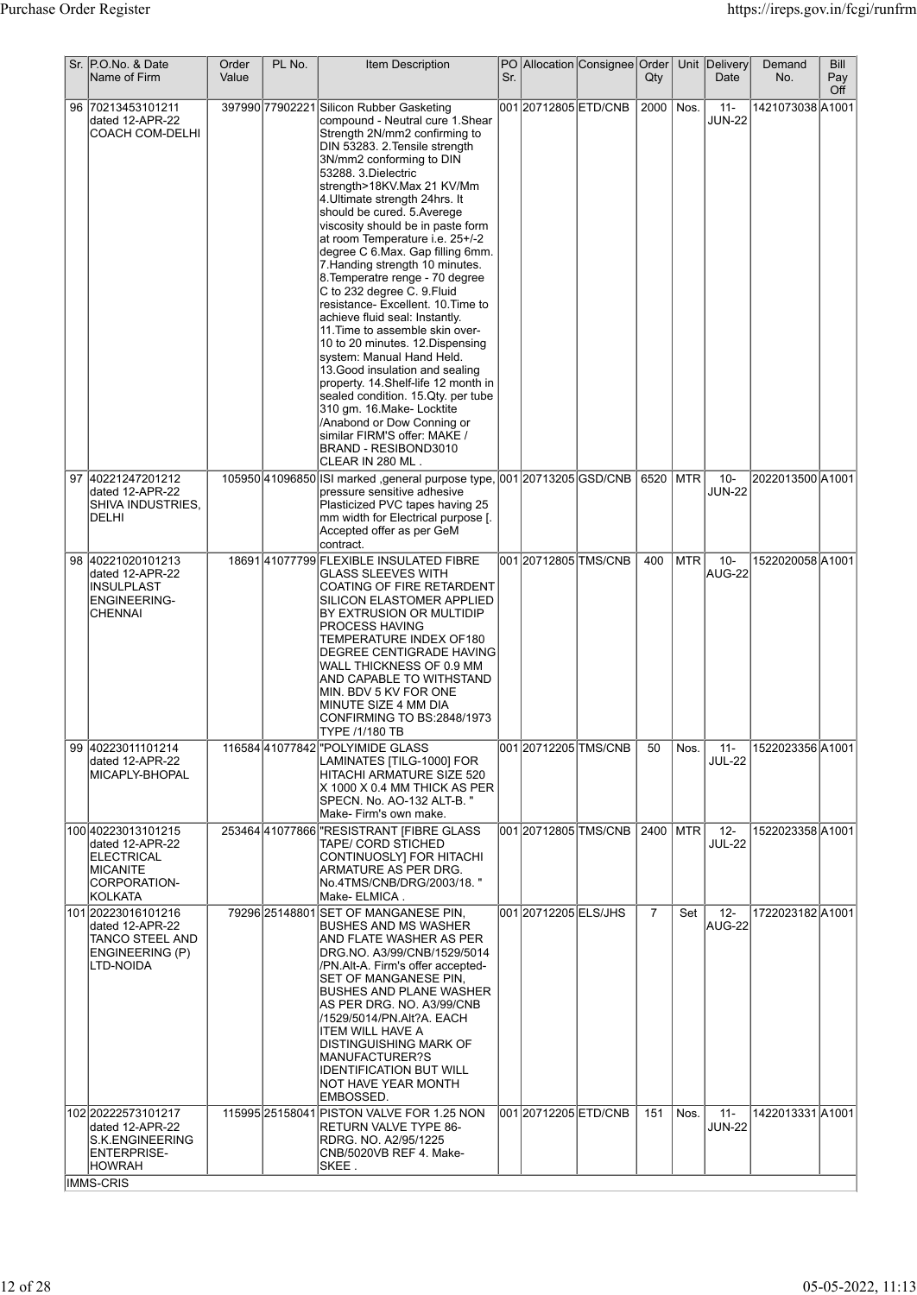| Sr. P.O.No. & Date<br>Name of Firm                                                                     | Order<br>Value | PL No. | <b>Item Description</b>                                                                                                                                                                                                                                                                                                                                                                                                                                                                                                                                                                                                                                                                                                                                                                                                                                                                                                                                | Sr. |                       | PO Allocation Consignee Order     | $Q$ ty         |      | Unit Delivery<br>Date   | Demand<br>No.    | Bill<br>Pay<br>Off |
|--------------------------------------------------------------------------------------------------------|----------------|--------|--------------------------------------------------------------------------------------------------------------------------------------------------------------------------------------------------------------------------------------------------------------------------------------------------------------------------------------------------------------------------------------------------------------------------------------------------------------------------------------------------------------------------------------------------------------------------------------------------------------------------------------------------------------------------------------------------------------------------------------------------------------------------------------------------------------------------------------------------------------------------------------------------------------------------------------------------------|-----|-----------------------|-----------------------------------|----------------|------|-------------------------|------------------|--------------------|
| 96 70213453101211<br>dated 12-APR-22<br>COACH COM-DELHI                                                |                |        | 397990 77902221 Silicon Rubber Gasketing<br>compound - Neutral cure 1.Shear<br>Strength 2N/mm2 confirming to<br>DIN 53283. 2. Tensile strength<br>3N/mm2 conforming to DIN<br>53288. 3.Dielectric<br>strength>18KV.Max 21 KV/Mm<br>4. Ultimate strength 24hrs. It<br>should be cured. 5. Averege<br>viscosity should be in paste form<br>at room Temperature i.e. 25+/-2<br>degree C 6.Max. Gap filling 6mm.<br>7. Handing strength 10 minutes.<br>8. Temperatre renge - 70 degree<br>C to 232 degree C. 9. Fluid<br>resistance- Excellent. 10. Time to<br>achieve fluid seal: Instantly.<br>11. Time to assemble skin over-<br>10 to 20 minutes. 12. Dispensing<br>system: Manual Hand Held.<br>13. Good insulation and sealing<br>property. 14. Shelf-life 12 month in<br>sealed condition. 15. Qty. per tube<br>310 gm. 16. Make-Locktite<br>/Anabond or Dow Conning or<br>similar FIRM'S offer: MAKE /<br>BRAND - RESIBOND3010<br>CLEAR IN 280 ML. |     | 001 20712805 ETD/CNB  |                                   | 2000           | Nos. | $11 -$<br><b>JUN-22</b> | 1421073038 A1001 |                    |
| 97 40221247201212<br>dated 12-APR-22<br>SHIVA INDUSTRIES,<br>DELHI                                     |                |        | 105950 41096850 SI marked , general purpose type, 001 20713205 GSD/CNB 6520 MTR<br>pressure sensitive adhesive<br>Plasticized PVC tapes having 25<br>mm width for Electrical purpose [.<br>Accepted offer as per GeM<br>contract.                                                                                                                                                                                                                                                                                                                                                                                                                                                                                                                                                                                                                                                                                                                      |     |                       |                                   |                |      | $10 -$<br><b>JUN-22</b> | 2022013500 A1001 |                    |
| 98 40221020101213<br>dated 12-APR-22<br><b>INSULPLAST</b><br>ENGINEERING-<br><b>CHENNAI</b>            |                |        | 1869141077799 FLEXIBLE INSULATED FIBRE<br>GLASS SLEEVES WITH<br>COATING OF FIRE RETARDENT<br>SILICON ELASTOMER APPLIED<br>BY EXTRUSION OR MULTIDIP<br>PROCESS HAVING<br>TEMPERATURE INDEX OF180<br>DEGREE CENTIGRADE HAVING<br>WALL THICKNESS OF 0.9 MM<br>AND CAPABLE TO WITHSTAND<br>MIN. BDV 5 KV FOR ONE<br>MINUTE SIZE 4 MM DIA<br>CONFIRMING TO BS:2848/1973<br>TYPE /1/180 TB                                                                                                                                                                                                                                                                                                                                                                                                                                                                                                                                                                   |     |                       | 001 20712805 TMS/CNB              | 400            | MTR  | $10 -$<br>AUG-22        | 1522020058A1001  |                    |
| 99 40223011101214<br>dated 12-APR-22<br>MICAPLY-BHOPAL                                                 |                |        | 116584 41077842 "POLYIMIDE GLASS<br>LAMINATES [TILG-1000] FOR<br>HITACHI ARMATURE SIZE 520<br>X 1000 X 0.4 MM THICK AS PER<br>SPECN. No. AO-132 ALT-B. "<br> Make- Firm's own make.                                                                                                                                                                                                                                                                                                                                                                                                                                                                                                                                                                                                                                                                                                                                                                    |     |                       |                                   | 50             | Nos. | - 11 -<br><b>JUL-22</b> | 1522023356 A1001 |                    |
| 100 40223013101215<br>dated 12-APR-22<br>ELECTRICAL<br><b>MICANITE</b><br>CORPORATION-<br>KOLKATA      |                |        | 253464 41077866   "RESISTRANT [FIBRE GLASS<br>TAPE/ CORD STICHED<br>CONTINUOSLY] FOR HITACHI<br>ARMATURE AS PER DRG.<br> No.4TMS/CNB/DRG/2003/18. "<br> Make- ELMICA .                                                                                                                                                                                                                                                                                                                                                                                                                                                                                                                                                                                                                                                                                                                                                                                 |     |                       | 001 20712805 TMS/CNB   2400   MTR |                |      | $12 -$<br><b>JUL-22</b> | 1522023358 A1001 |                    |
| 101 20223016101216<br>dated 12-APR-22<br>TANCO STEEL AND<br>ENGINEERING (P)<br>LTD-NOIDA               |                |        | 79296 25148801 SET OF MANGANESE PIN,<br><b>IBUSHES AND MS WASHER</b><br>AND FLATE WASHER AS PER<br>DRG.NO. A3/99/CNB/1529/5014<br>/PN.Alt-A. Firm's offer accepted-<br>SET OF MANGANESE PIN,<br>BUSHES AND PLANE WASHER<br>AS PER DRG. NO. A3/99/CNB<br>/1529/5014/PN.Alt?A. EACH<br><b>ITEM WILL HAVE A</b><br>DISTINGUISHING MARK OF<br> MANUFACTURER?S<br><b>IDENTIFICATION BUT WILL</b><br>NOT HAVE YEAR MONTH<br> EMBOSSED.                                                                                                                                                                                                                                                                                                                                                                                                                                                                                                                       |     | 001 2071 2005 ELS/JHS |                                   | $\overline{7}$ | Set  | $12 -$<br>AUG-22        | 1722023182 A1001 |                    |
| 102 20222573101217<br>dated 12-APR-22<br>S.K.ENGINEERING<br>ENTERPRISE-<br> HOWRAH<br><b>IMMS-CRIS</b> |                |        | 115995 25158041 PISTON VALVE FOR 1.25 NON<br><b>RETURN VALVE TYPE 86-</b><br>RDRG. NO. A2/95/1225<br>CNB/5020VB REF 4. Make-<br>SKEE.                                                                                                                                                                                                                                                                                                                                                                                                                                                                                                                                                                                                                                                                                                                                                                                                                  |     | 001 20712205 ETD/CNB  |                                   | 151            | Nos. | $11 -$<br><b>JUN-22</b> | 1422013331 A1001 |                    |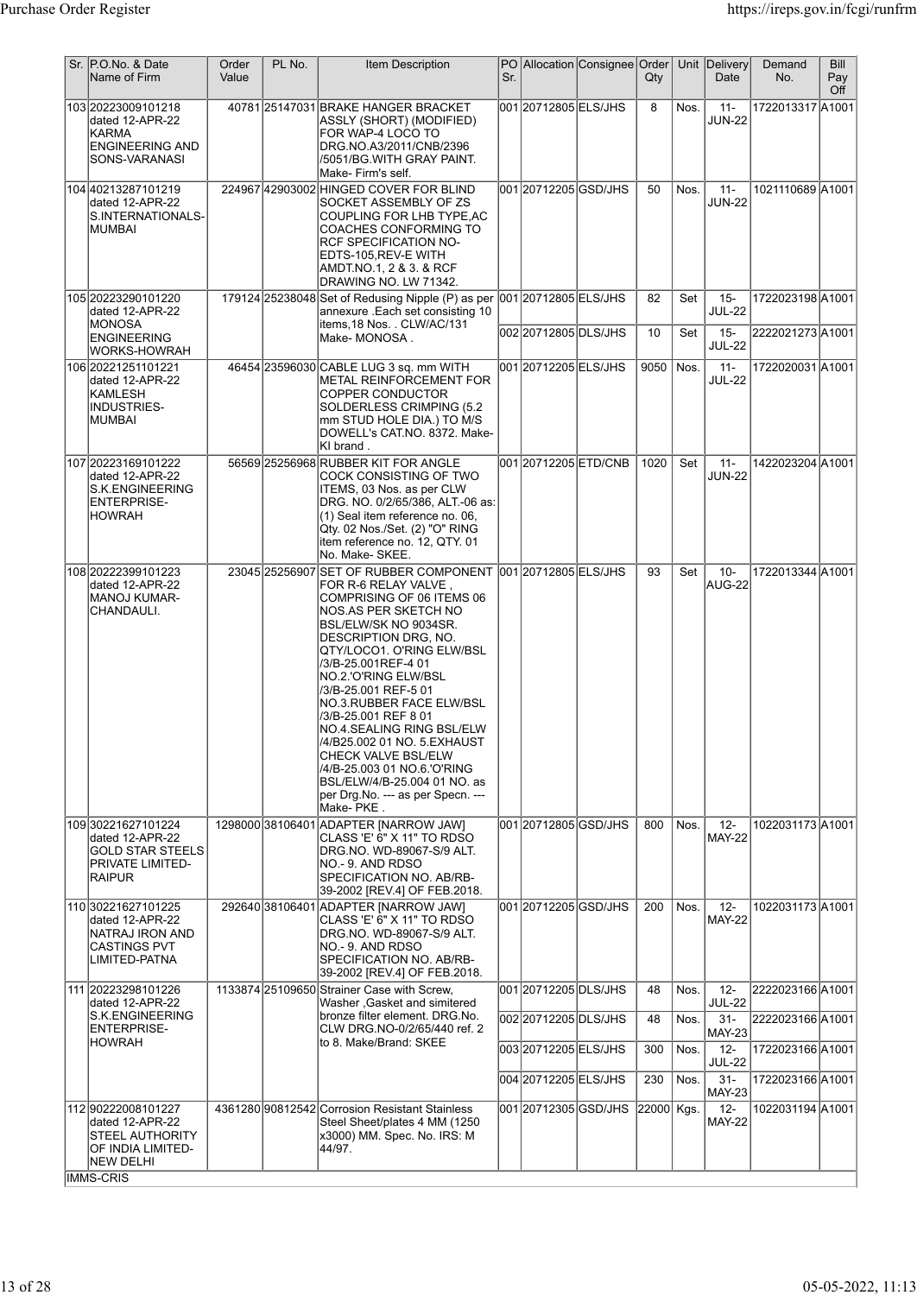| Sr. P.O.No. & Date<br>Name of Firm                                                                              | Order<br>Value | PL No. | Item Description                                                                                                                                                                                                                                                                                                                                                                                                                                                                         | Sr. |                       | PO Allocation Consignee Order | $Q$ ty     |            | Unit Delivery<br>Date                              | Demand<br>No.                       | Bill<br>Pay<br>Off |
|-----------------------------------------------------------------------------------------------------------------|----------------|--------|------------------------------------------------------------------------------------------------------------------------------------------------------------------------------------------------------------------------------------------------------------------------------------------------------------------------------------------------------------------------------------------------------------------------------------------------------------------------------------------|-----|-----------------------|-------------------------------|------------|------------|----------------------------------------------------|-------------------------------------|--------------------|
| 103 20223009101218<br>dated 12-APR-22<br>KARMA<br><b>ENGINEERING AND</b><br>SONS-VARANASI                       |                |        | 40781 25147031 BRAKE HANGER BRACKET<br>ASSLY (SHORT) (MODIFIED)<br>FOR WAP-4 LOCO TO<br>DRG.NO.A3/2011/CNB/2396<br>/5051/BG.WITH GRAY PAINT.<br>Make- Firm's self.                                                                                                                                                                                                                                                                                                                       |     | 00120712805ELS/JHS    |                               | 8          | Nos.       | $11 -$<br><b>JUN-22</b>                            | 1722013317 A1001                    |                    |
| 104 40213287101219<br>dated 12-APR-22<br>S.INTERNATIONALS-<br>IMUMBAI                                           |                |        | 224967 42903002 HINGED COVER FOR BLIND<br>SOCKET ASSEMBLY OF ZS<br>COUPLING FOR LHB TYPE, AC<br>COACHES CONFORMING TO<br>RCF SPECIFICATION NO-<br>EDTS-105, REV-E WITH<br>AMDT.NO.1, 2 & 3. & RCF<br>DRAWING NO. LW 71342.                                                                                                                                                                                                                                                               |     | 001 20712205 GSD/JHS  |                               | 50         | Nos.       | $11 -$<br><b>JUN-22</b>                            | 1021110689 A1001                    |                    |
| 105 20223290101220<br>dated 12-APR-22<br>MONOSA<br><b>ENGINEERING</b>                                           |                |        | 179124 25238048 Set of Redusing Nipple (P) as per 001 20712805 ELS/JHS<br>annexure .Each set consisting 10<br>items, 18 Nos. . CLW/AC/131<br>Make-MONOSA.                                                                                                                                                                                                                                                                                                                                |     | 002 2071 2805 DLS/JHS |                               | 82<br>10   | Set<br>Set | $15 -$<br><b>JUL-22</b><br>$15 -$<br><b>JUL-22</b> | 1722023198A1001<br>2222021273 A1001 |                    |
| WORKS-HOWRAH<br>106 20221251101221<br>dated 12-APR-22<br>KAMLESH<br>INDUSTRIES-<br> MUMBAI                      |                |        | 46454 23596030 CABLE LUG 3 sq. mm WITH<br>METAL REINFORCEMENT FOR<br>COPPER CONDUCTOR<br>SOLDERLESS CRIMPING (5.2<br>mm STUD HOLE DIA.) TO M/S<br>DOWELL's CAT.NO. 8372. Make-<br>KI brand.                                                                                                                                                                                                                                                                                              |     | 001 20712205 ELS/JHS  |                               | 9050       | Nos.       | $11 -$<br><b>JUL-22</b>                            | 1722020031A1001                     |                    |
| 107 20223169101222<br>dated 12-APR-22<br><b>S.K.ENGINEERING</b><br>ENTERPRISE-<br><b>HOWRAH</b>                 |                |        | 56569 25256968 RUBBER KIT FOR ANGLE<br>COCK CONSISTING OF TWO<br>ITEMS, 03 Nos. as per CLW<br>DRG. NO. 0/2/65/386, ALT.-06 as:<br>(1) Seal item reference no. 06,<br>Qty. 02 Nos./Set. (2) "O" RING<br>item reference no. 12, QTY. 01<br>No. Make-SKEE.                                                                                                                                                                                                                                  |     | 00120712205ETD/CNB    |                               | 1020       | Set        | $11 -$<br><b>JUN-22</b>                            | 1422023204 A1001                    |                    |
| 108 20222399101223<br>dated 12-APR-22<br><b>MANOJ KUMAR-</b><br>CHANDAULI.                                      |                |        | 23045 25256907 SET OF RUBBER COMPONENT 001 20712805 ELS/JHS<br>FOR R-6 RELAY VALVE,<br>COMPRISING OF 06 ITEMS 06<br>NOS.AS PER SKETCH NO<br>BSL/ELW/SK NO 9034SR.<br>DESCRIPTION DRG, NO.<br>QTY/LOCO1. O'RING ELW/BSL<br>/3/B-25.001REF-4 01<br>NO.2.'O'RING ELW/BSL<br>/3/B-25.001 REF-5 01<br>NO.3.RUBBER FACE ELW/BSL<br>/3/B-25.001 REF 8 01<br>NO.4.SEALING RING BSL/ELW<br>CHECK VALVE BSL/ELW<br>BSL/ELW/4/B-25.004 01 NO. as<br>per Drg. No. --- as per Specn. ---<br>Make-PKE. |     |                       |                               | 93         | Set        | $10 -$<br>AUG-22                                   | 1722013344 A1001                    |                    |
| 109 30221627101224<br>dated 12-APR-22<br>GOLD STAR STEELS<br>PRIVATE LIMITED-<br><b>RAIPUR</b>                  |                |        | 1298000 38106401 ADAPTER [NARROW JAW]<br>CLASS 'E' 6" X 11" TO RDSO<br>DRG.NO. WD-89067-S/9 ALT.<br>NO.- 9. AND RDSO<br>SPECIFICATION NO. AB/RB-<br>39-2002 [REV.4] OF FEB.2018.                                                                                                                                                                                                                                                                                                         |     | 001 20712805 GSD/JHS  |                               | 800        | Nos.       | $12 -$<br><b>MAY-22</b>                            | 1022031173 A1001                    |                    |
| 110 30221627101225<br>dated 12-APR-22<br>NATRAJ IRON AND<br>CASTINGS PVT<br>LIMITED-PATNA                       |                |        | 292640 38106401 ADAPTER [NARROW JAW]<br>CLASS 'E' 6" X 11" TO RDSO<br>DRG.NO. WD-89067-S/9 ALT.<br>NO.-9. AND RDSO<br>SPECIFICATION NO. AB/RB-<br>39-2002 [REV.4] OF FEB.2018.                                                                                                                                                                                                                                                                                                           |     | 001 2071 2005 GSD/JHS |                               | 200        | Nos.       | $12 -$<br><b>MAY-22</b>                            | 1022031173 A1001                    |                    |
| 111 20223298101226<br>dated 12-APR-22                                                                           |                |        | 1133874 25109650 Strainer Case with Screw,<br>Washer , Gasket and simitered                                                                                                                                                                                                                                                                                                                                                                                                              |     | 001 20712205 DLS/JHS  |                               | 48         | Nos.       | $12-$<br><b>JUL-22</b>                             | 2222023166 A1001                    |                    |
| S.K.ENGINEERING<br>ENTERPRISE-                                                                                  |                |        | bronze filter element. DRG.No.<br>CLW DRG NO-0/2/65/440 ref. 2                                                                                                                                                                                                                                                                                                                                                                                                                           |     | 002 2071 2205 DLS/JHS |                               | 48         | Nos.       | $31 -$                                             | 2222023166 A1001                    |                    |
| <b>HOWRAH</b>                                                                                                   |                |        | to 8. Make/Brand: SKEE                                                                                                                                                                                                                                                                                                                                                                                                                                                                   |     | 00320712205ELS/JHS    |                               | 300        | Nos.       | <b>MAY-23</b><br>$12 -$                            | 1722023166 A1001                    |                    |
|                                                                                                                 |                |        |                                                                                                                                                                                                                                                                                                                                                                                                                                                                                          |     | 004 2071 2205 ELS/JHS |                               | 230        | Nos.       | <b>JUL-22</b><br>$31 -$                            | 1722023166 A1001                    |                    |
| 112 90222008 101227<br>dated 12-APR-22<br>STEEL AUTHORITY<br>OF INDIA LIMITED-<br>NEW DELHI<br><b>IMMS-CRIS</b> |                |        | 4361280 90812542 Corrosion Resistant Stainless<br>Steel Sheet/plates 4 MM (1250<br>x3000) MM. Spec. No. IRS: M<br>44/97.                                                                                                                                                                                                                                                                                                                                                                 |     | 001 20712305 GSD/JHS  |                               | 22000 Kgs. |            | <b>MAY-23</b><br>$12-$<br><b>MAY-22</b>            | 1022031194 A1001                    |                    |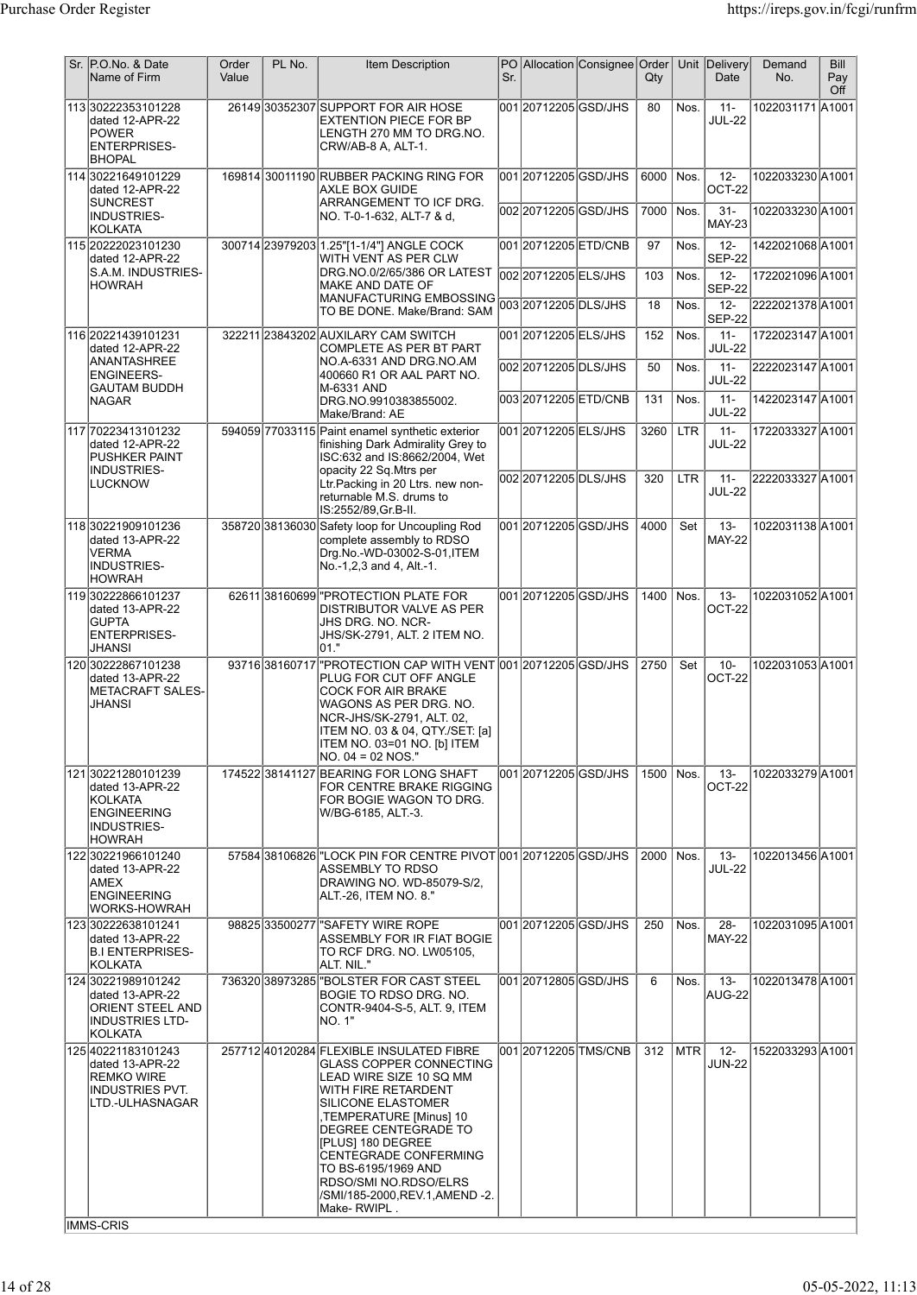| Sr. P.O.No. & Date<br>Name of Firm                                                                                   | Order<br>Value | PL No.        | <b>Item Description</b>                                                                                                                                                                                                                                                                                                                      | Sr. |                                            | PO Allocation Consignee Order | $Q$ ty      |              | Unit Delivery<br>Date                    | Demand<br>No.                       | <b>Bill</b><br>Pay<br>Off |
|----------------------------------------------------------------------------------------------------------------------|----------------|---------------|----------------------------------------------------------------------------------------------------------------------------------------------------------------------------------------------------------------------------------------------------------------------------------------------------------------------------------------------|-----|--------------------------------------------|-------------------------------|-------------|--------------|------------------------------------------|-------------------------------------|---------------------------|
| 113 30222353101228<br>dated 12-APR-22<br><b>POWER</b><br><b>ENTERPRISES-</b><br><b>BHOPAL</b>                        |                |               | 26149 30352307 SUPPORT FOR AIR HOSE<br><b>EXTENTION PIECE FOR BP</b><br>LENGTH 270 MM TO DRG.NO.<br>CRW/AB-8 A, ALT-1.                                                                                                                                                                                                                       |     | 00120712205GSD/JHS                         |                               | 80          | Nos.         | $11 -$<br><b>JUL-22</b>                  | 1022031171 A1001                    |                           |
| 114 30221649101229<br>dated 12-APR-22<br>SUNCREST                                                                    |                |               | 169814 30011190 RUBBER PACKING RING FOR<br>AXLE BOX GUIDE<br>ARRANGEMENT TO ICF DRG.                                                                                                                                                                                                                                                         |     | 001 20712205 GSD/JHS                       |                               | 6000        | Nos.         | $12-$<br>OCT-22                          | 1022033230 A1001                    |                           |
| INDUSTRIES-<br>KOLKATA                                                                                               |                |               | NO. T-0-1-632, ALT-7 & d,                                                                                                                                                                                                                                                                                                                    |     | 002 2071 2205 GSD/JHS                      |                               | 7000        | Nos.         | $31 -$<br><b>MAY-23</b>                  | 1022033230 A1001                    |                           |
| 115 20222023101230<br>dated 12-APR-22<br>S.A.M. INDUSTRIES-                                                          |                |               | 300714 23979203 1.25"[1-1/4"] ANGLE COCK<br>WITH VENT AS PER CLW<br>DRG.NO.0/2/65/386 OR LATEST                                                                                                                                                                                                                                              |     | 00120712205ETD/CNB<br>002 20712205 ELS/JHS |                               | 97<br>103   | Nos.<br>Nos. | $12 -$<br><b>SEP-22</b><br>$12 -$        | 1422021068A1001<br>1722021096 A1001 |                           |
| <b>HOWRAH</b>                                                                                                        |                |               | MAKE AND DATE OF<br>MANUFACTURING EMBOSSING                                                                                                                                                                                                                                                                                                  |     | 00320712205DLS/JHS                         |                               | 18          | Nos.         | <b>SEP-22</b><br>$12 -$                  | 2222021378 A1001                    |                           |
| 116 20221439101231                                                                                                   |                |               | TO BE DONE. Make/Brand: SAM<br>322211 23843202 AUXILARY CAM SWITCH                                                                                                                                                                                                                                                                           |     | 001 20712205 ELS/JHS                       |                               | 152         | Nos.         | <b>SEP-22</b><br>$11 -$                  | 1722023147 A1001                    |                           |
| dated 12-APR-22<br><b>ANANTASHREE</b><br><b>ENGINEERS-</b>                                                           |                |               | COMPLETE AS PER BT PART<br>NO.A-6331 AND DRG.NO.AM<br>400660 R1 OR AAL PART NO.                                                                                                                                                                                                                                                              |     | 002 2071 2205 DLS/JHS                      |                               | 50          | Nos.         | <b>JUL-22</b><br>$11 -$                  | 2222023147 A1001                    |                           |
| <b>GAUTAM BUDDH</b><br><b>NAGAR</b>                                                                                  |                |               | M-6331 AND<br>DRG.NO.9910383855002.                                                                                                                                                                                                                                                                                                          |     | 00320712205ETD/CNB                         |                               | 131         | Nos.         | <b>JUL-22</b><br>$11 -$<br><b>JUL-22</b> | 1422023147 A1001                    |                           |
| 117 70223413101232<br>dated 12-APR-22                                                                                |                |               | Make/Brand: AE<br>594059 77033115 Paint enamel synthetic exterior<br>finishing Dark Admirality Grey to                                                                                                                                                                                                                                       |     | 001 2071 2205 ELS/JHS                      |                               | 3260        | <b>LTR</b>   | $11 -$<br>JUL-22                         | 1722033327 A1001                    |                           |
| <b>PUSHKER PAINT</b><br>INDUSTRIES-                                                                                  |                |               | ISC:632 and IS:8662/2004, Wet<br>opacity 22 Sq.Mtrs per                                                                                                                                                                                                                                                                                      |     | 002 2071 2205 DLS/JHS                      |                               | 320         | <b>LTR</b>   | $11 -$                                   | 2222033327 A1001                    |                           |
| <b>LUCKNOW</b>                                                                                                       |                |               | Ltr. Packing in 20 Ltrs. new non-<br>returnable M.S. drums to<br>IS:2552/89, Gr.B-II.                                                                                                                                                                                                                                                        |     |                                            |                               |             |              | <b>JUL-22</b>                            |                                     |                           |
| 118 30221909101236<br>dated 13-APR-22<br>VERMA<br>INDUSTRIES-<br><b>HOWRAH</b>                                       |                |               | 358720 38136030 Safety loop for Uncoupling Rod<br>complete assembly to RDSO<br>Drg.No.-WD-03002-S-01, ITEM<br>No.-1,2,3 and 4, Alt.-1.                                                                                                                                                                                                       |     | 001 20712205 GSD/JHS                       |                               | 4000        | Set          | $13 -$<br><b>MAY-22</b>                  | 1022031138 A1001                    |                           |
| 119 30222866101237<br>dated 13-APR-22<br><b>GUPTA</b><br><b>ENTERPRISES-</b><br><b>JHANSI</b>                        |                |               | 6261138160699 PROTECTION PLATE FOR<br>DISTRIBUTOR VALVE AS PER<br>JHS DRG. NO. NCR-<br>JHS/SK-2791, ALT. 2 ITEM NO.<br>01."                                                                                                                                                                                                                  |     | 001 2071 2205 GSD/JHS                      |                               | 1400        | Nos.         | $13 -$<br>OCT-22                         | 1022031052A1001                     |                           |
| 120 30222867101238<br>dated 13-APR-22<br>METACRAFT SALES-<br>JHANSI                                                  |                | 9371638160717 | PROTECTION CAP WITH VENT 001 20712205 GSD/JHS<br>PLUG FOR CUT OFF ANGLE<br><b>COCK FOR AIR BRAKE</b><br>WAGONS AS PER DRG. NO.<br>NCR-JHS/SK-2791, ALT. 02,<br>ITEM NO. 03 & 04, QTY/SET: [a]<br>ITEM NO. 03=01 NO. [b] ITEM<br> NO. 04 = 02 NOS."                                                                                           |     |                                            |                               | 2750        | Set          | $10 -$<br>OCT-22                         | 1022031053A1001                     |                           |
| 121 30221280101239<br>dated 13-APR-22<br>KOLKATA<br><b>ENGINEERING</b><br>INDUSTRIES-<br><b>HOWRAH</b>               |                |               | 174522 38141127 BEARING FOR LONG SHAFT<br>FOR CENTRE BRAKE RIGGING<br>FOR BOGIE WAGON TO DRG.<br>W/BG-6185, ALT.-3.                                                                                                                                                                                                                          |     |                                            | 001 20712205 GSD/JHS          | 1500   Nos. |              | $13 -$<br>OCT-22                         | 1022033279 A1001                    |                           |
| 122 30221966101240<br>dated 13-APR-22<br>AMEX<br>ENGINEERING<br>WORKS-HOWRAH                                         |                |               | 57584 38106826 LOCK PIN FOR CENTRE PIVOT 001 20712205 GSD/JHS<br>ASSEMBLY TO RDSO<br>DRAWING NO. WD-85079-S/2,<br>ALT.-26, ITEM NO. 8."                                                                                                                                                                                                      |     |                                            |                               | 2000   Nos. |              | $13 -$<br><b>JUL-22</b>                  | 1022013456 A1001                    |                           |
| 123 30222638101241<br>dated 13-APR-22<br><b>B.I ENTERPRISES-</b><br> KOLKATA                                         |                |               | 98825 33500277 SAFETY WIRE ROPE<br>ASSEMBLY FOR IR FIAT BOGIE<br>TO RCF DRG. NO. LW05105,<br>ALT. NIL."                                                                                                                                                                                                                                      |     | 001 20712205 GSD/JHS                       |                               | 250         | Nos.         | $28 -$<br><b>MAY-22</b>                  | 1022031095 A1001                    |                           |
| 124 30221989101242<br>dated 13-APR-22<br>ORIENT STEEL AND<br><b>INDUSTRIES LTD-</b><br>KOLKATA                       |                |               | 736320 38973285 TBOLSTER FOR CAST STEEL<br>BOGIE TO RDSO DRG. NO.<br>CONTR-9404-S-5, ALT. 9, ITEM<br>NO. 1"                                                                                                                                                                                                                                  |     | 001 2071 2805 GSD/JHS                      |                               | 6           | Nos.         | $13 -$<br>AUG-22                         | 1022013478 A1001                    |                           |
| 125 40221183101243<br>dated 13-APR-22<br><b>REMKO WIRE</b><br>INDUSTRIES PVT.<br>LTD.-ULHASNAGAR<br><b>IMMS-CRIS</b> |                |               | 257712 40120284 FLEXIBLE INSULATED FIBRE<br>GLASS COPPER CONNECTING<br>LEAD WIRE SIZE 10 SQ MM<br>WITH FIRE RETARDENT<br>SILICONE ELASTOMER<br>TEMPERATURE [Minus] 10,<br>DEGREE CENTEGRADE TO<br>[PLUS] 180 DEGREE<br>CENTEGRADE CONFERMING<br>TO BS-6195/1969 AND<br>RDSO/SMI NO.RDSO/ELRS<br>/SMI/185-2000,REV.1,AMEND -2.<br>Make-RWIPL. |     |                                            | 001 20712205 TMS/CNB          | 312         | <b>MTR</b>   | $12 -$<br><b>JUN-22</b>                  | 1522033293 A1001                    |                           |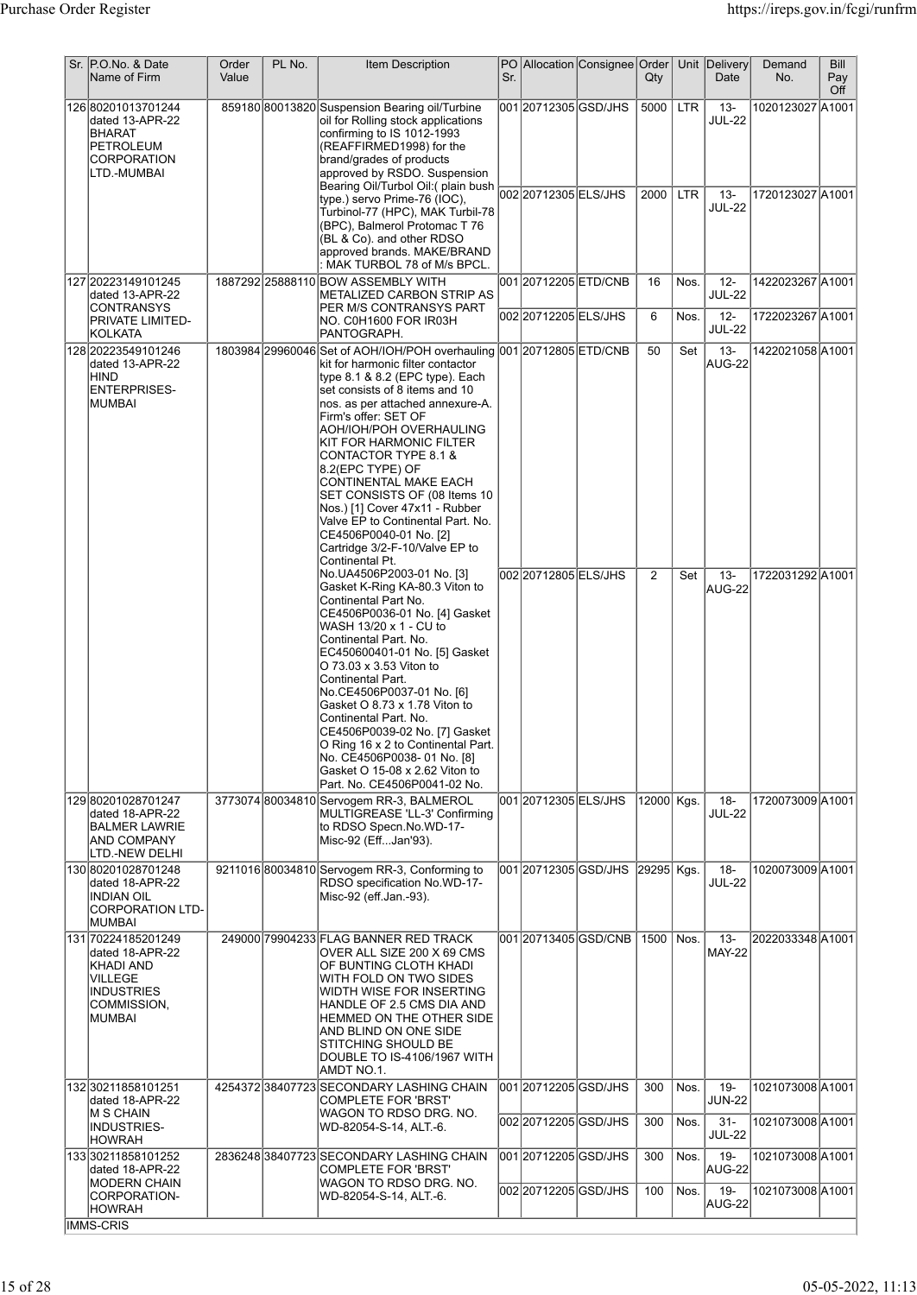| Sr. P.O.No. & Date<br>Name of Firm                                                                           | Order<br>Value | PL No. | Item Description                                                                                                                                                                                                                                                                                                                                                                                                                                                                                                                                            | Sr. |                       | PO Allocation Consignee Order    | $Q$ ty       |                          | Unit Delivery<br>Date                              | Demand<br>No.                        | Bill<br>Pay<br>Off |
|--------------------------------------------------------------------------------------------------------------|----------------|--------|-------------------------------------------------------------------------------------------------------------------------------------------------------------------------------------------------------------------------------------------------------------------------------------------------------------------------------------------------------------------------------------------------------------------------------------------------------------------------------------------------------------------------------------------------------------|-----|-----------------------|----------------------------------|--------------|--------------------------|----------------------------------------------------|--------------------------------------|--------------------|
| 126 80201013701244<br>dated 13-APR-22<br><b>BHARAT</b><br>PETROLEUM<br>CORPORATION<br>LTD.-MUMBAI            |                |        | 859180 80013820 Suspension Bearing oil/Turbine<br>oil for Rolling stock applications<br>confirming to IS 1012-1993<br>(REAFFIRMED1998) for the<br>brand/grades of products<br>approved by RSDO. Suspension<br>Turbinol-77 (HPC), MAK Turbil-78<br>(BPC), Balmerol Protomac T 76<br>(BL & Co). and other RDSO                                                                                                                                                                                                                                                |     | 001 20712305 GSD/JHS  |                                  | 5000<br>2000 | <b>LTR</b><br><b>LTR</b> | $13 -$<br><b>JUL-22</b><br>$13 -$<br><b>JUL-22</b> | 1020123027 A1001<br>1720123027 A1001 |                    |
|                                                                                                              |                |        | approved brands. MAKE/BRAND<br>: MAK TURBOL 78 of M/s BPCL.<br>1887292 25888110 BOW ASSEMBLY WITH                                                                                                                                                                                                                                                                                                                                                                                                                                                           |     |                       |                                  |              |                          | $12-$                                              |                                      |                    |
| 127 20223149101245<br>dated 13-APR-22<br>CONTRANSYS                                                          |                |        | METALIZED CARBON STRIP AS<br>PER M/S CONTRANSYS PART                                                                                                                                                                                                                                                                                                                                                                                                                                                                                                        |     | 001 20712205 ETD/CNB  |                                  | 16           | Nos.                     | <b>JUL-22</b>                                      | 1422023267 A1001                     |                    |
| PRIVATE LIMITED-<br><b>KOLKATA</b>                                                                           |                |        | NO. C0H1600 FOR IR03H<br>PANTOGRAPH.                                                                                                                                                                                                                                                                                                                                                                                                                                                                                                                        |     | 002 2071 2205 ELS/JHS |                                  | 6            | Nos.                     | $12 -$<br><b>JUL-22</b>                            | 1722023267 A1001                     |                    |
| 128 20223549101246<br>dated 13-APR-22<br><b>HIND</b><br><b>ENTERPRISES-</b><br>IMUMBAI                       |                |        | 1803984 29960046 Set of AOH/IOH/POH overhauling 001 20712805 ETD/CNB<br>kit for harmonic filter contactor<br>type 8.1 & 8.2 (EPC type). Each<br>set consists of 8 items and 10<br>nos. as per attached annexure-A.<br>Firm's offer: SET OF<br>AOH/IOH/POH OVERHAULING<br>KIT FOR HARMONIC FILTER<br>CONTACTOR TYPE 8.1 &<br>8.2(EPC TYPE) OF<br>CONTINENTAL MAKE EACH<br>SET CONSISTS OF (08 Items 10<br>Nos.) [1] Cover 47x11 - Rubber<br>Valve EP to Continental Part. No.<br>CE4506P0040-01 No. [2]<br>Cartridge 3/2-F-10/Valve EP to<br>Continental Pt. |     |                       |                                  | 50           | Set                      | $13 -$<br>AUG-22                                   | 1422021058A1001                      |                    |
|                                                                                                              |                |        | No.UA4506P2003-01 No. [3]<br>Gasket K-Ring KA-80.3 Viton to<br>Continental Part No.<br>CE4506P0036-01 No. [4] Gasket<br>WASH 13/20 x 1 - CU to<br>Continental Part. No.<br>EC450600401-01 No. [5] Gasket<br>O 73.03 x 3.53 Viton to<br>Continental Part.<br>No.CE4506P0037-01 No. [6]<br>Gasket O 8.73 x 1.78 Viton to<br>Continental Part. No.<br>CE4506P0039-02 No. [7] Gasket<br>O Ring 16 x 2 to Continental Part.<br>No. CE4506P0038-01 No. [8]<br>Gasket O 15-08 x 2.62 Viton to<br>Part. No. CE4506P0041-02 No.                                      |     | 002 2071 2805 ELS/JHS |                                  | 2            | Set                      | $13 -$<br>AUG-22                                   | 1722031292A1001                      |                    |
| 129 80201028701247<br>dated 18-APR-22<br><b>BALMER LAWRIE</b><br><b>AND COMPANY</b><br>LTD.-NEW DELHI        |                |        | 3773074 80034810 Servogem RR-3, BALMEROL<br>MULTIGREASE 'LL-3' Confirming<br>to RDSO Specn.No.WD-17-<br>Misc-92 (EffJan'93).                                                                                                                                                                                                                                                                                                                                                                                                                                |     | 001 2071 2305 ELS/JHS |                                  | 12000 Kgs.   |                          | $18 -$<br><b>JUL-22</b>                            | 1720073009 A1001                     |                    |
| 130 80201028701248<br>dated 18-APR-22<br><b>INDIAN OIL</b><br><b>CORPORATION LTD-</b><br><b>MUMBAI</b>       |                |        | 9211016 80034810 Servogem RR-3, Conforming to<br>RDSO specification No.WD-17-<br>Misc-92 (eff.Jan.-93).                                                                                                                                                                                                                                                                                                                                                                                                                                                     |     |                       | 001 2071 2305 GSD/JHS 29295 Kgs. |              |                          | $18 -$<br><b>JUL-22</b>                            | 1020073009 A1001                     |                    |
| 131 70224185201249<br>dated 18-APR-22<br>KHADI AND<br>VILLEGE<br><b>INDUSTRIES</b><br>COMMISSION,<br> MUMBAI |                |        | 249000 79904233 FLAG BANNER RED TRACK<br>OVER ALL SIZE 200 X 69 CMS<br>OF BUNTING CLOTH KHADI<br>WITH FOLD ON TWO SIDES<br>WIDTH WISE FOR INSERTING<br>HANDLE OF 2.5 CMS DIA AND<br>HEMMED ON THE OTHER SIDE<br>AND BLIND ON ONE SIDE<br>STITCHING SHOULD BE<br>DOUBLE TO IS-4106/1967 WITH<br>AMDT NO.1.                                                                                                                                                                                                                                                   |     |                       | 001 20713405 GSD/CNB             | 1500   Nos.  |                          | $13 -$<br><b>MAY-22</b>                            | 2022033348 A1001                     |                    |
| 132 30211858101251<br>dated 18-APR-22                                                                        |                |        | 4254372 38407723 SECONDARY LASHING CHAIN<br><b>COMPLETE FOR 'BRST'</b>                                                                                                                                                                                                                                                                                                                                                                                                                                                                                      |     | 001 20712205 GSD/JHS  |                                  | 300          | Nos.                     | 19-<br><b>JUN-22</b>                               | 1021073008 A1001                     |                    |
| M S CHAIN<br><b>INDUSTRIES-</b><br><b>HOWRAH</b>                                                             |                |        | WAGON TO RDSO DRG. NO.<br>WD-82054-S-14, ALT.-6.                                                                                                                                                                                                                                                                                                                                                                                                                                                                                                            |     | 002 2071 2205 GSD/JHS |                                  | 300          | Nos.                     | $31 -$<br><b>JUL-22</b>                            | 1021073008 A1001                     |                    |
| 13330211858101252<br>dated 18-APR-22                                                                         |                |        | 2836248 38407723 SECONDARY LASHING CHAIN<br>COMPLETE FOR 'BRST'                                                                                                                                                                                                                                                                                                                                                                                                                                                                                             |     | 001 2071 2205 GSD/JHS |                                  | 300          | Nos.                     | $19 -$<br>AUG-22                                   | 1021073008 A1001                     |                    |
| <b>IMODERN CHAIN</b><br>CORPORATION-<br><b>HOWRAH</b>                                                        |                |        | WAGON TO RDSO DRG. NO.<br>WD-82054-S-14, ALT.-6.                                                                                                                                                                                                                                                                                                                                                                                                                                                                                                            |     | 002 20712205 GSD/JHS  |                                  | 100          | Nos.                     | 19-<br>AUG-22                                      | 1021073008 A1001                     |                    |
| <b>IMMS-CRIS</b>                                                                                             |                |        |                                                                                                                                                                                                                                                                                                                                                                                                                                                                                                                                                             |     |                       |                                  |              |                          |                                                    |                                      |                    |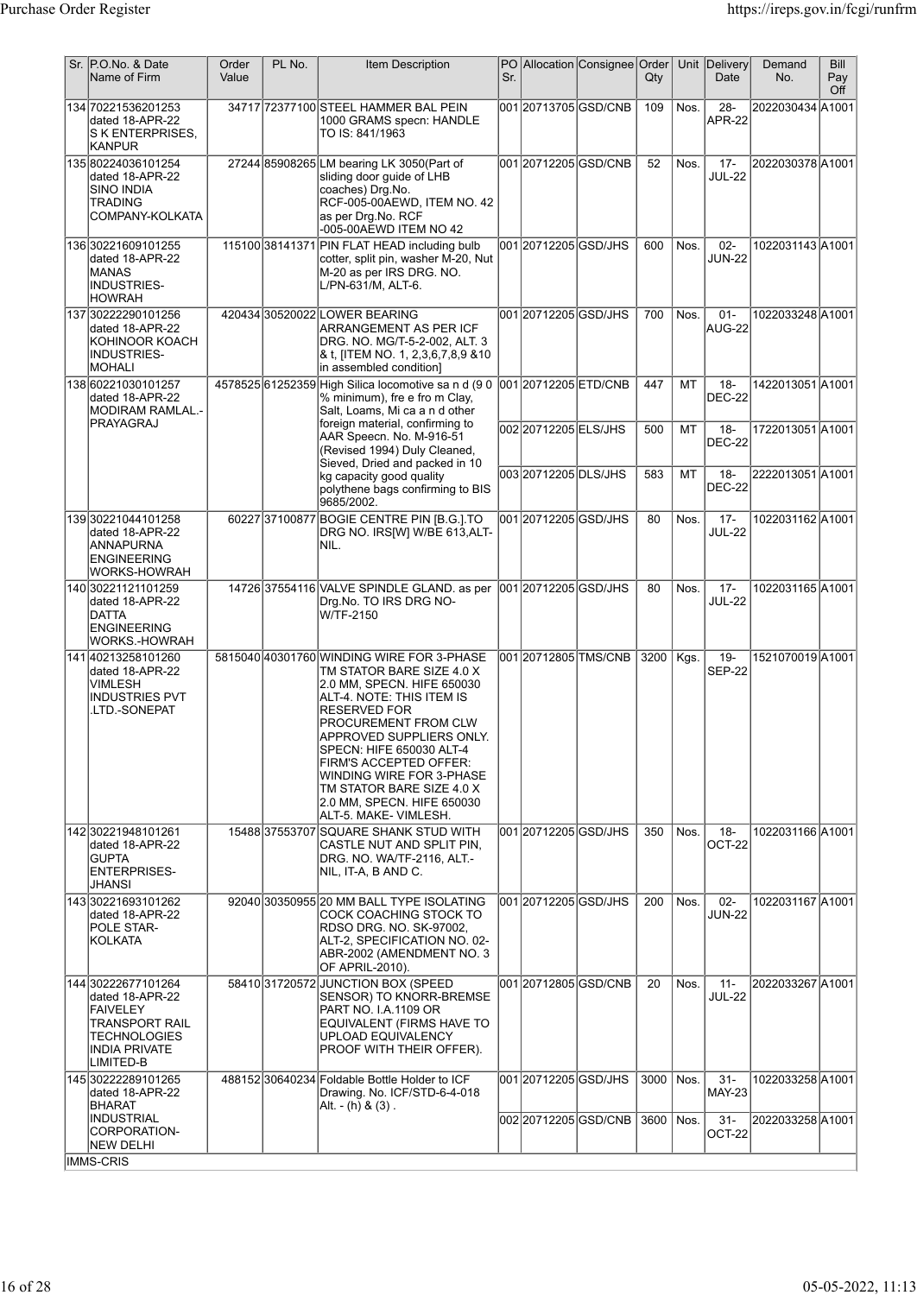| Sr. P.O.No. & Date<br>Name of Firm                                                                                              | Order<br>Value | PL No. | <b>Item Description</b>                                                                                                                                                                                                                                                                                                                                                                  | Sr. |                                          | PO Allocation Consignee Order | $Q$ ty      |          | Unit Delivery<br>Date             | Demand<br>No.                       | Bill<br>Pay<br>Off |
|---------------------------------------------------------------------------------------------------------------------------------|----------------|--------|------------------------------------------------------------------------------------------------------------------------------------------------------------------------------------------------------------------------------------------------------------------------------------------------------------------------------------------------------------------------------------------|-----|------------------------------------------|-------------------------------|-------------|----------|-----------------------------------|-------------------------------------|--------------------|
| 134 70221536201253<br>dated 18-APR-22<br>S K ENTERPRISES.<br><b>KANPUR</b>                                                      |                |        | 34717 72377100 STEEL HAMMER BAL PEIN<br>1000 GRAMS specn: HANDLE<br>TO IS: 841/1963                                                                                                                                                                                                                                                                                                      |     |                                          | 001 20713705 GSD/CNB          | 109         | Nos.     | $28 -$<br><b>APR-22</b>           | 2022030434 A1001                    |                    |
| 135 80224036101254<br>dated 18-APR-22<br>SINO INDIA<br>TRADING<br>COMPANY-KOLKATA                                               |                |        | 27244 85908265 LM bearing LK 3050 (Part of<br>sliding door guide of LHB<br>coaches) Drg.No.<br>RCF-005-00AEWD, ITEM NO. 42<br>as per Drg.No. RCF<br>-005-00AEWD ITEM NO 42                                                                                                                                                                                                               |     |                                          | 00120712205GSD/CNB            | 52          | Nos.     | $17 -$<br><b>JUL-22</b>           | 2022030378 A1001                    |                    |
| 136 30221609101255<br>dated 18-APR-22<br> MANAS<br><b>INDUSTRIES-</b><br><b>HOWRAH</b>                                          |                |        | 115100 38141371 PIN FLAT HEAD including bulb<br>cotter, split pin, washer M-20, Nut<br>M-20 as per IRS DRG. NO.<br>L/PN-631/M, ALT-6.                                                                                                                                                                                                                                                    |     | 001 2071 2205 GSD/JHS                    |                               | 600         | Nos.     | $02 -$<br><b>JUN-22</b>           | 1022031143 A1001                    |                    |
| 137 30222290101256<br>dated 18-APR-22<br>KOHINOOR KOACH<br>INDUSTRIES-<br>MOHALI                                                |                |        | 420434 30520022 LOWER BEARING<br>ARRANGEMENT AS PER ICF<br>DRG. NO. MG/T-5-2-002, ALT. 3<br>& t, [ITEM NO. 1, 2,3,6,7,8,9 & 10<br>in assembled condition]                                                                                                                                                                                                                                |     | 001 20712205 GSD/JHS                     |                               | 700         | Nos.     | $01 -$<br>AUG-22                  | 1022033248 A1001                    |                    |
| 138 60221030101257<br>dated 18-APR-22<br> MODIRAM RAMLAL.-<br> PRAYAGRAJ                                                        |                |        | 4578525 61252359 High Silica locomotive sa n d (9 0 001 20712205 ETD/CNB<br>% minimum), fre e fro m Clay,<br>Salt, Loams, Mi ca a n d other<br>foreign material, confirming to                                                                                                                                                                                                           |     |                                          |                               | 447         | MT       | $18 -$<br><b>DEC-22</b>           | 1422013051A1001                     |                    |
|                                                                                                                                 |                |        | AAR Speecn. No. M-916-51<br>(Revised 1994) Duly Cleaned,<br>Sieved, Dried and packed in 10                                                                                                                                                                                                                                                                                               |     | 00220712205ELS/JHS<br>00320712205DLS/JHS |                               | 500<br>583  | MT<br>MT | $18 -$<br><b>DEC-22</b><br>$18 -$ | 1722013051A1001<br>2222013051 A1001 |                    |
|                                                                                                                                 |                |        | kg capacity good quality<br>polythene bags confirming to BIS<br>9685/2002.                                                                                                                                                                                                                                                                                                               |     |                                          |                               |             |          | <b>DEC-22</b>                     |                                     |                    |
| 139 30221044101258<br>dated 18-APR-22<br><b>ANNAPURNA</b><br>ENGINEERING<br>WORKS-HOWRAH                                        |                |        | 60227 37100877 BOGIE CENTRE PIN [B.G.] TO<br>DRG NO. IRS[W] W/BE 613, ALT-<br>NIL.                                                                                                                                                                                                                                                                                                       |     | 001 20712205 GSD/JHS                     |                               | 80          | Nos.     | $17 -$<br><b>JUL-22</b>           | 1022031162 A1001                    |                    |
| 140 30221121101259<br>dated 18-APR-22<br><b>DATTA</b><br>ENGINEERING<br>WORKS.-HOWRAH                                           |                |        | 14726 37554116 VALVE SPINDLE GLAND. as per<br>Drg.No. TO IRS DRG NO-<br>W/TF-2150                                                                                                                                                                                                                                                                                                        |     | 001 2071 2205 GSD/JHS                    |                               | 80          | Nos.     | $17 -$<br><b>JUL-22</b>           | 1022031165 A1001                    |                    |
| 141 40213258101260<br>dated 18-APR-22<br>VIMLESH<br><b>INDUSTRIES PVT</b><br>.LTD.-SONEPAT                                      |                |        | 5815040 40301760 WINDING WIRE FOR 3-PHASE<br>TM STATOR BARE SIZE 4.0 X<br>2.0 MM, SPECN. HIFE 650030<br>ALT-4. NOTE: THIS ITEM IS<br><b>RESERVED FOR</b><br>PROCUREMENT FROM CLW<br>APPROVED SUPPLIERS ONLY.<br>SPECN: HIFE 650030 ALT-4<br><b>FIRM'S ACCEPTED OFFER:</b><br>WINDING WIRE FOR 3-PHASE<br>TM STATOR BARE SIZE 4.0 X<br>2.0 MM, SPECN. HIFE 650030<br>ALT-5. MAKE-VIMLESH. |     |                                          | 00120712805TMS/CNB            | 3200        | Kgs.     | $19 -$<br><b>SEP-22</b>           | 1521070019 A1001                    |                    |
| 142 30221948101261<br>dated 18-APR-22<br><b>GUPTA</b><br><b>ENTERPRISES-</b><br>JHANSI                                          |                |        | 15488 37553707 SQUARE SHANK STUD WITH<br>CASTLE NUT AND SPLIT PIN,<br>DRG. NO. WA/TF-2116, ALT.-<br>NIL, IT-A, B AND C.                                                                                                                                                                                                                                                                  |     | 001 2071 2005 GSD/JHS                    |                               | 350         | Nos.     | $18 -$<br>OCT-22                  | 1022031166 A1001                    |                    |
| 143 30221693101262<br>dated 18-APR-22<br>POLE STAR-<br>KOLKATA                                                                  |                |        | 92040 30350955 20 MM BALL TYPE ISOLATING<br>COCK COACHING STOCK TO<br>RDSO DRG. NO. SK-97002,<br>ALT-2, SPECIFICATION NO. 02-<br>ABR-2002 (AMENDMENT NO. 3<br>OF APRIL-2010).                                                                                                                                                                                                            |     | 001 20712205 GSD/JHS                     |                               | 200         | Nos.     | $02 -$<br><b>JUN-22</b>           | 1022031167 A1001                    |                    |
| 144 30222677101264<br>dated 18-APR-22<br><b>FAIVELEY</b><br>TRANSPORT RAIL<br>TECHNOLOGIES<br><b>INDIA PRIVATE</b><br>LIMITED-B |                |        | 5841031720572JUNCTION BOX (SPEED<br>SENSOR) TO KNORR-BREMSE<br>PART NO. I.A.1109 OR<br>EQUIVALENT (FIRMS HAVE TO<br>UPLOAD EQUIVALENCY<br>PROOF WITH THEIR OFFER).                                                                                                                                                                                                                       |     |                                          | 00120712805GSD/CNB            | 20          | Nos.     | $11 -$<br><b>JUL-22</b>           | 2022033267 A1001                    |                    |
| 145 30222289101265<br>dated 18-APR-22<br><b>BHARAT</b><br><b>INDUSTRIAL</b>                                                     |                |        | 488152 30640234 Foldable Bottle Holder to ICF<br>Drawing. No. ICF/STD-6-4-018<br>Alt. $-(h)$ & $(3)$ .                                                                                                                                                                                                                                                                                   |     | 001 2071 2005 GSD/JHS                    |                               | 3000   Nos. |          | $31 -$<br><b>MAY-23</b>           | 1022033258 A1001                    |                    |
| CORPORATION-<br>NEW DELHI<br>IMMS-CRIS                                                                                          |                |        |                                                                                                                                                                                                                                                                                                                                                                                          |     |                                          | 002 2071 2205 GSD/CNB         | 3600        | Nos.     | $31 -$<br>OCT-22                  | 2022033258A1001                     |                    |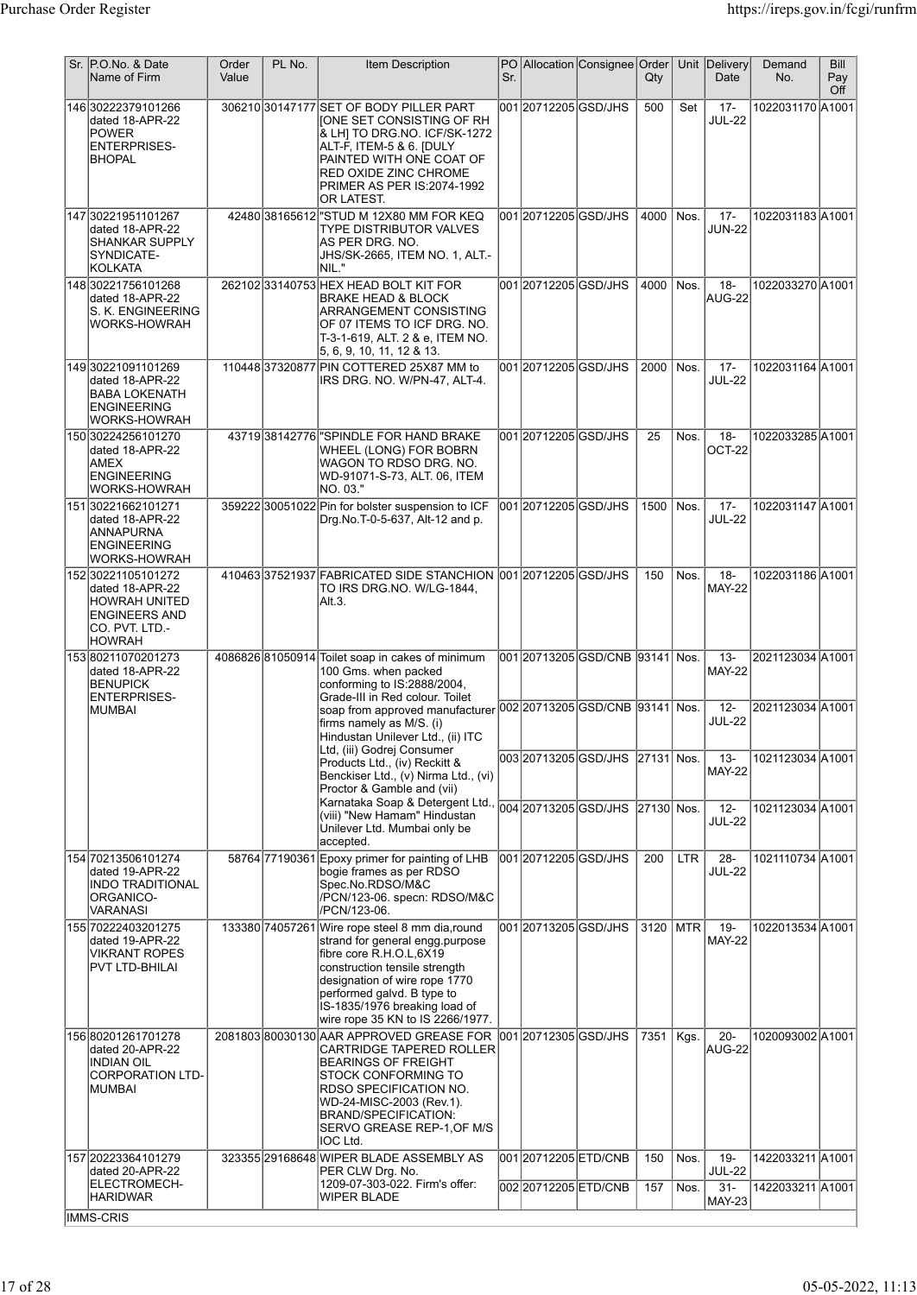| Sr. P.O.No. & Date<br>Name of Firm                                                                                | Order<br>Value | PL No. | <b>Item Description</b>                                                                                                                                                                                                                                                            | Sr. |                                               | PO Allocation Consignee Order     | Qty        |              | Unit Delivery<br>Date                              | Demand<br>No.                        | Bill<br>Pay<br>Off |
|-------------------------------------------------------------------------------------------------------------------|----------------|--------|------------------------------------------------------------------------------------------------------------------------------------------------------------------------------------------------------------------------------------------------------------------------------------|-----|-----------------------------------------------|-----------------------------------|------------|--------------|----------------------------------------------------|--------------------------------------|--------------------|
| 146 30222379101266<br>dated 18-APR-22<br><b>POWER</b><br><b>ENTERPRISES-</b><br><b>BHOPAL</b>                     |                |        | 306210 30147177 SET OF BODY PILLER PART<br> IONE SET CONSISTING OF RH<br>& LHI TO DRG NO. ICF/SK-1272<br>ALT-F, ITEM-5 & 6. [DULY<br>PAINTED WITH ONE COAT OF<br>RED OXIDE ZINC CHROME<br>PRIMER AS PER IS:2074-1992<br>OR LATEST.                                                 |     | 001 20712205 GSD/JHS                          |                                   | 500        | Set          | $17 -$<br><b>JUL-22</b>                            | 1022031170 A1001                     |                    |
| 147 30221951101267<br>dated 18-APR-22<br><b>SHANKAR SUPPLY</b><br>SYNDICATE-<br>KOLKATA                           |                |        | 42480 38165612 STUD M 12X80 MM FOR KEQ<br><b>TYPE DISTRIBUTOR VALVES</b><br> AS PER DRG. NO.<br>JHS/SK-2665, ITEM NO. 1, ALT.-<br>İNIL."                                                                                                                                           |     | 001 20712205 GSD/JHS                          |                                   | 4000       | Nos.         | $17 -$<br><b>JUN-22</b>                            | 1022031183 A1001                     |                    |
| 148 30221756101268<br>dated 18-APR-22<br>S. K. ENGINEERING<br>WORKS-HOWRAH                                        |                |        | 262102 33140753 HEX HEAD BOLT KIT FOR<br><b>BRAKE HEAD &amp; BLOCK</b><br>ARRANGEMENT CONSISTING<br>OF 07 ITEMS TO ICF DRG. NO.<br>T-3-1-619, ALT. 2 & e, ITEM NO.<br> 5, 6, 9, 10, 11, 12 & 13.                                                                                   |     | 001 2071 2205 GSD/JHS                         |                                   | 4000       | Nos.         | $18 -$<br>AUG-22                                   | 1022033270 A1001                     |                    |
| 14930221091101269<br>dated 18-APR-22<br><b>BABA LOKENATH</b><br><b>ENGINEERING</b><br><b>WORKS-HOWRAH</b>         |                |        | 11044837320877 PIN COTTERED 25X87 MM to<br>IRS DRG. NO. W/PN-47, ALT-4.                                                                                                                                                                                                            |     | 001 20712205 GSD/JHS                          |                                   | 2000       | Nos.         | $17 -$<br><b>JUL-22</b>                            | 1022031164 A1001                     |                    |
| 150 30224256101270<br>dated 18-APR-22<br>AMEX<br><b>ENGINEERING</b><br><b>WORKS-HOWRAH</b>                        |                |        | 4371938142776 SPINDLE FOR HAND BRAKE<br>WHEEL (LONG) FOR BOBRN<br>WAGON TO RDSO DRG. NO.<br>WD-91071-S-73, ALT. 06, ITEM<br> NO. 03."                                                                                                                                              |     | 001 20712205 GSD/JHS                          |                                   | 25         | Nos.         | $18 -$<br>OCT-22                                   | 1022033285 A1001                     |                    |
| 151 30221662101271<br>dated 18-APR-22<br>ANNAPURNA<br><b>ENGINEERING</b><br><b>WORKS-HOWRAH</b>                   |                |        | 359222 30051022 Pin for bolster suspension to ICF<br>Drg.No.T-0-5-637, Alt-12 and p.                                                                                                                                                                                               |     | 001 20712205 GSD/JHS                          |                                   | 1500       | Nos.         | $17 -$<br><b>JUL-22</b>                            | 1022031147 A1001                     |                    |
| 152 30221105101272<br>dated 18-APR-22<br><b>HOWRAH UNITED</b><br><b>ENGINEERS AND</b><br>CO. PVT. LTD.<br> HOWRAH |                |        | 41046337521937 FABRICATED SIDE STANCHION 001 20712205 GSD/JHS<br>TO IRS DRG.NO. W/LG-1844,<br>Alt.3.                                                                                                                                                                               |     |                                               |                                   | 150        | Nos.         | $18 -$<br><b>MAY-22</b>                            | 1022031186 A1001                     |                    |
| 15380211070201273<br>dated 18-APR-22<br><b>BENUPICK</b><br><b>ENTERPRISES-</b>                                    |                |        | 4086826 81050914 Toilet soap in cakes of minimum<br>100 Gms. when packed<br>conforming to IS:2888/2004,<br>Grade-III in Red colour. Toilet                                                                                                                                         |     |                                               |                                   |            |              | $13 -$<br><b>MAY-22</b>                            | 2021123034 A1001                     |                    |
| <b>MUMBAI</b>                                                                                                     |                |        | firms namely as M/S. (i)<br>Hindustan Unilever Ltd., (ii) ITC                                                                                                                                                                                                                      |     |                                               |                                   |            |              | $12 -$<br><b>JUL-22</b>                            | 2021123034 A1001                     |                    |
|                                                                                                                   |                |        | Ltd, (iii) Godrej Consumer<br>Products Ltd., (iv) Reckitt &<br>Benckiser Ltd., (v) Nirma Ltd., (vi)<br>Proctor & Gamble and (vii)                                                                                                                                                  |     |                                               | 003 20713205 GSD/JHS  27131  Nos. |            |              | $13 -$<br><b>MAY-22</b>                            | 1021123034 A1001                     |                    |
|                                                                                                                   |                |        | Karnataka Soap & Detergent Ltd.<br>(viii) "New Hamam" Hindustan<br>Unilever Ltd. Mumbai only be<br>accepted.                                                                                                                                                                       |     |                                               | 004 20713205 GSD/JHS 27130 Nos.   |            |              | $12 -$<br><b>JUL-22</b>                            | 1021123034 A1001                     |                    |
| 154 70213506101274<br>dated 19-APR-22<br><b>INDO TRADITIONAL</b><br>ORGANICO-<br>VARANASI                         |                |        | 58764 77190361 Epoxy primer for painting of LHB<br>bogie frames as per RDSO<br>Spec.No.RDSO/M&C<br>/PCN/123-06. specn: RDSO/M&C<br>/PCN/123-06.                                                                                                                                    |     | 001 20712205 GSD/JHS                          |                                   | 200        | <b>LTR</b>   | $28 -$<br><b>JUL-22</b>                            | 1021110734 A1001                     |                    |
| 155 70222403201275<br>dated 19-APR-22<br>VIKRANT ROPES<br>PVT LTD-BHILAI                                          |                |        | 133380 74057261 Wire rope steel 8 mm dia, round<br>strand for general engg.purpose<br>fibre core R.H.O.L.6X19<br>construction tensile strength<br>designation of wire rope 1770<br>performed galvd. B type to<br>IS-1835/1976 breaking load of<br>wire rope 35 KN to IS 2266/1977. |     | 001 20713205 GSD/JHS                          |                                   | 3120 MTR   |              | $19 -$<br><b>MAY-22</b>                            | 1022013534 A1001                     |                    |
| 156 80201261701278<br>dated 20-APR-22<br><b>INDIAN OIL</b><br><b>CORPORATION LTD-</b><br>MUMBAI                   |                |        | 2081803 80030130 AAR APPROVED GREASE FOR<br><b>CARTRIDGE TAPERED ROLLER</b><br>BEARINGS OF FREIGHT<br>STOCK CONFORMING TO<br>RDSO SPECIFICATION NO.<br>WD-24-MISC-2003 (Rev.1).<br>BRAND/SPECIFICATION:<br>SERVO GREASE REP-1,OF M/S<br>IOC Ltd.                                   |     | 001 2071 2305 GSD/JHS                         |                                   | 7351       | Kgs.         | $20 -$<br>AUG-22                                   | 1020093002 A1001                     |                    |
| 157 20223364101279<br>dated 20-APR-22<br>ELECTROMECH-<br><b>HARIDWAR</b>                                          |                |        | 323355 29168648 WIPER BLADE ASSEMBLY AS<br>PER CLW Drg. No.<br>1209-07-303-022. Firm's offer:<br><b>WIPER BLADE</b>                                                                                                                                                                |     | 001 20712205 ETD/CNB<br>002 2071 2205 ETD/CNB |                                   | 150<br>157 | Nos.<br>Nos. | $19 -$<br><b>JUL-22</b><br>$31 -$<br><b>MAY-23</b> | 1422033211 A1001<br>1422033211 A1001 |                    |
| IMMS-CRIS                                                                                                         |                |        |                                                                                                                                                                                                                                                                                    |     |                                               |                                   |            |              |                                                    |                                      |                    |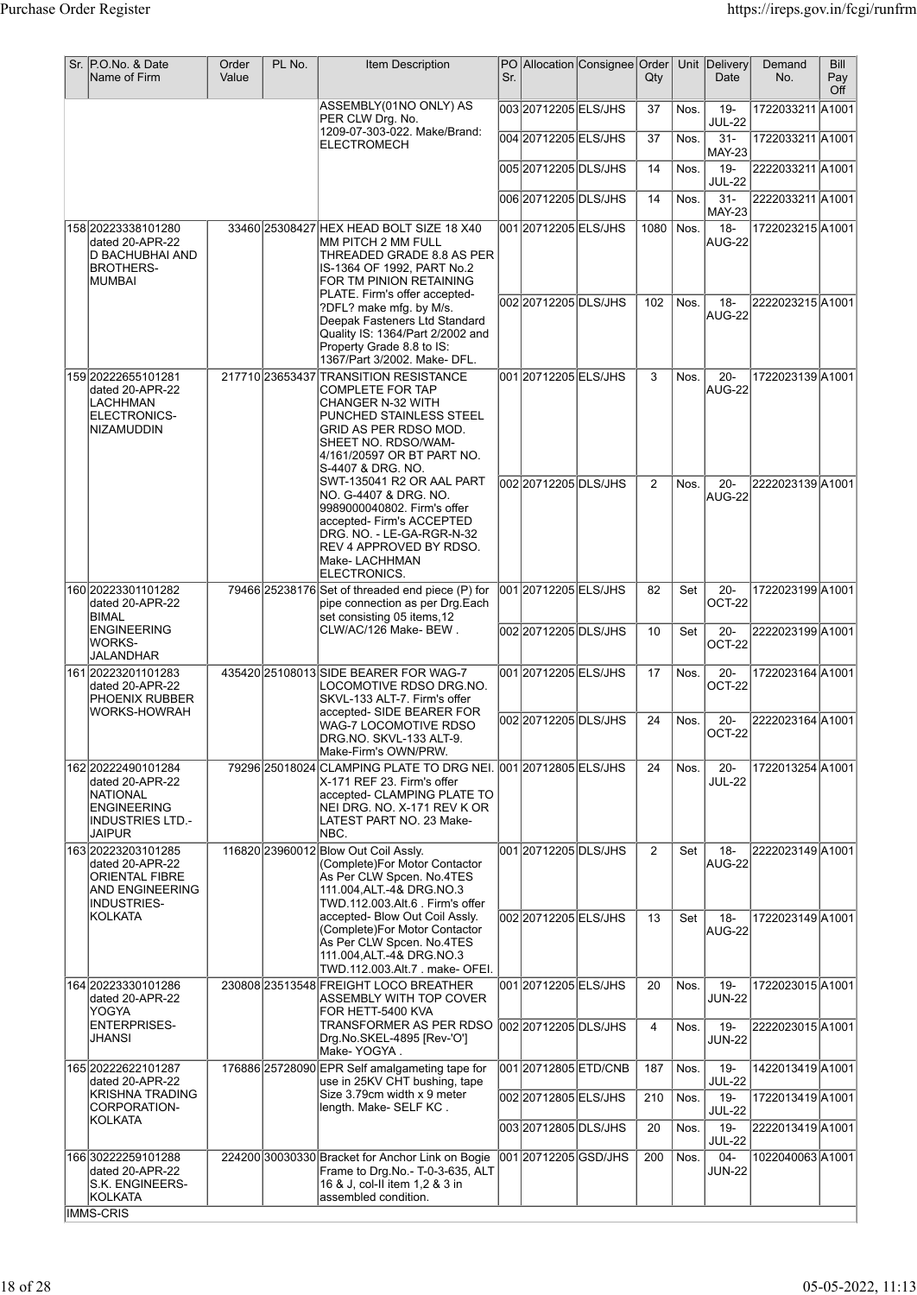| Sr. P.O.No. & Date<br>Name of Firm                                                                                     | Order<br>Value | PL No. | <b>Item Description</b>                                                                                                                                                                                                    | Sr. |                       | PO Allocation Consignee Order | $Q$ ty         |         | Unit Delivery<br>Date   | Demand<br>No.    | <b>Bill</b><br>Pay<br>Off |
|------------------------------------------------------------------------------------------------------------------------|----------------|--------|----------------------------------------------------------------------------------------------------------------------------------------------------------------------------------------------------------------------------|-----|-----------------------|-------------------------------|----------------|---------|-------------------------|------------------|---------------------------|
|                                                                                                                        |                |        | ASSEMBLY(01NO ONLY) AS<br>PER CLW Drg. No.<br>1209-07-303-022. Make/Brand:                                                                                                                                                 |     | l003l20712205lELS/JHS |                               | 37             | Nos.    | $19 -$<br><b>JUL-22</b> | 1722033211 A1001 |                           |
|                                                                                                                        |                |        | ELECTROMECH                                                                                                                                                                                                                |     | 004 20712205 ELS/JHS  |                               | 37             | Nos.    | $31 -$<br><b>MAY-23</b> | 1722033211 A1001 |                           |
|                                                                                                                        |                |        |                                                                                                                                                                                                                            |     | 00520712205DLS/JHS    |                               | 14             | Nos.    | $19 -$<br><b>JUL-22</b> | 2222033211 A1001 |                           |
|                                                                                                                        |                |        |                                                                                                                                                                                                                            |     | 006 2071 2205 DLS/JHS |                               | 14             | Nos.    | $31 -$<br><b>MAY-23</b> | 2222033211 A1001 |                           |
| 158 20223338101280<br>dated 20-APR-22<br>D BACHUBHAI AND<br>BROTHERS-<br> MUMBAI                                       |                |        | 33460 25308427 HEX HEAD BOLT SIZE 18 X40<br>MM PITCH 2 MM FULL<br>THREADED GRADE 8.8 AS PER<br>IS-1364 OF 1992, PART No.2<br>FOR TM PINION RETAINING                                                                       |     | 001 20712205 ELS/JHS  |                               | 1080           | Nos.    | $18 -$<br>AUG-22        | 1722023215 A1001 |                           |
|                                                                                                                        |                |        | PLATE. Firm's offer accepted-<br>?DFL? make mfg. by M/s.<br>Deepak Fasteners Ltd Standard<br>Quality IS: 1364/Part 2/2002 and<br>Property Grade 8.8 to IS:<br>1367/Part 3/2002. Make- DFL.                                 |     | 002 2071 2205 DLS/JHS |                               | 102            | $N$ os. | $18 -$<br>AUG-22        | 2222023215 A1001 |                           |
| 159 2022 2655 101 281<br>dated 20-APR-22<br>LACHHMAN<br>ELECTRONICS-<br>NIZAMUDDIN                                     |                |        | 217710 23653437 TRANSITION RESISTANCE<br><b>COMPLETE FOR TAP</b><br><b>CHANGER N-32 WITH</b><br>PUNCHED STAINLESS STEEL<br>GRID AS PER RDSO MOD.<br>SHEET NO. RDSO/WAM-<br>4/161/20597 OR BT PART NO.<br>S-4407 & DRG. NO. |     | 001 2071 2005 ELS/JHS |                               | 3              | Nos.    | $20 -$<br>AUG-22        | 1722023139 A1001 |                           |
|                                                                                                                        |                |        | SWT-135041 R2 OR AAL PART<br>NO. G-4407 & DRG. NO.<br>9989000040802. Firm's offer<br>accepted- Firm's ACCEPTED<br>DRG. NO. - LE-GA-RGR-N-32<br>REV 4 APPROVED BY RDSO.<br>Make-LACHHMAN<br>ELECTRONICS.                    |     | 002 2071 2205 DLS/JHS |                               | 2              | Nos.    | $20 -$<br>AUG-22        | 2222023139 A1001 |                           |
| 160 20223301101282<br>dated 20-APR-22<br>BIMAL                                                                         |                |        | 79466 25238176 Set of threaded end piece (P) for<br>pipe connection as per Drg.Each<br>set consisting 05 items, 12                                                                                                         |     | 001 20712205 ELS/JHS  |                               | 82             | Set     | $20 -$<br>OCT-22        | 1722023199A1001  |                           |
| <b>ENGINEERING</b><br>WORKS-<br>JALANDHAR                                                                              |                |        | CLW/AC/126 Make-BEW.                                                                                                                                                                                                       |     | 00220712205DLS/JHS    |                               | 10             | Set     | $20 -$<br>OCT-22        | 2222023199A1001  |                           |
| 161 20223201101283<br>dated 20-APR-22<br>PHOENIX RUBBER<br>WORKS-HOWRAH                                                |                |        | 435420 25108013 SIDE BEARER FOR WAG-7<br>LOCOMOTIVE RDSO DRG.NO.<br>SKVL-133 ALT-7. Firm's offer<br>accepted- SIDE BEARER FOR                                                                                              |     | 001 20712205 ELS/JHS  |                               | 17             | Nos.    | $20 -$<br>OCT-22        | 1722023164 A1001 |                           |
|                                                                                                                        |                |        | WAG-7 LOCOMOTIVE RDSO<br>DRG.NO. SKVL-133 ALT-9.<br>Make-Firm's OWN/PRW.                                                                                                                                                   |     | 002 20712205 DLS/JHS  |                               | 24             | Nos.    | $20 -$<br>OCT-22        | 2222023164 A1001 |                           |
| 162 2022 249 010 1284<br>dated 20-APR-22<br><b>NATIONAL</b><br><b>ENGINEERING</b><br><b>INDUSTRIES LTD.-</b><br>JAIPUR |                |        | 79296 25018024 CLAMPING PLATE TO DRG NEI. 001 20712805 ELS/JHS<br>X-171 REF 23. Firm's offer<br>accepted- CLAMPING PLATE TO<br>NEI DRG. NO. X-171 REV K OR<br>LATEST PART NO. 23 Make-<br>NBC.                             |     |                       |                               | 24             | Nos.    | $20 -$<br><b>JUL-22</b> | 1722013254 A1001 |                           |
| 163 20223203101285<br>dated 20-APR-22<br><b>ORIENTAL FIBRE</b><br>AND ENGINEERING<br>INDUSTRIES-                       |                |        | 116820 23960012 Blow Out Coil Assly.<br>(Complete)For Motor Contactor<br>As Per CLW Spcen. No.4TES<br>111.004, ALT.-4& DRG.NO.3<br>TWD.112.003.Alt.6 . Firm's offer                                                        |     | 001 20712205 DLS/JHS  |                               | 2              | Set     | $18 -$<br>AUG-22        | 2222023149 A1001 |                           |
| <b>KOLKATA</b>                                                                                                         |                |        | accepted- Blow Out Coil Assly.<br>(Complete)For Motor Contactor<br>As Per CLW Spcen. No.4TES<br>111.004, ALT.-4& DRG.NO.3<br>TWD.112.003.Alt.7 . make- OFEI.                                                               |     | 002 20712205 ELS/JHS  |                               | 13             | Set     | $18 -$<br>AUG-22        | 1722023149 A1001 |                           |
| 164 20223330101286<br>dated 20-APR-22<br>YOGYA                                                                         |                |        | 230808 23513548 FREIGHT LOCO BREATHER<br>ASSEMBLY WITH TOP COVER<br>FOR HETT-5400 KVA                                                                                                                                      |     | 001 2071 2005 ELS/JHS |                               | 20             | Nos.    | $19 -$<br><b>JUN-22</b> | 1722023015 A1001 |                           |
| <b>ENTERPRISES-</b><br>JHANSI                                                                                          |                |        | TRANSFORMER AS PER RDSO<br>Drg.No.SKEL-4895 [Rev-'O']<br>Make-YOGYA.                                                                                                                                                       |     | 002 20712205 DLS/JHS  |                               | $\overline{4}$ | Nos.    | $19 -$<br><b>JUN-22</b> | 2222023015 A1001 |                           |
| 165 2022 262 210 1287<br>dated 20-APR-22                                                                               |                |        | 176886 25728090 EPR Self amalgameting tape for<br>use in 25KV CHT bushing, tape                                                                                                                                            |     | 00120712805ETD/CNB    |                               | 187            | Nos.    | $19 -$<br><b>JUL-22</b> | 1422013419 A1001 |                           |
| <b>KRISHNA TRADING</b><br>CORPORATION-                                                                                 |                |        | Size 3.79cm width x 9 meter<br>length. Make- SELF KC.                                                                                                                                                                      |     | 002 20712805 ELS/JHS  |                               | 210            | Nos.    | $19 -$<br><b>JUL-22</b> | 1722013419 A1001 |                           |
| KOLKATA                                                                                                                |                |        |                                                                                                                                                                                                                            |     | 003 2071 2805 DLS/JHS |                               | 20             | Nos.    | $19 -$<br><b>JUL-22</b> | 2222013419 A1001 |                           |
| 166 30222259101288<br>dated 20-APR-22<br>S.K. ENGINEERS-<br>KOLKATA                                                    |                |        | 224200 30030330 Bracket for Anchor Link on Bogie<br>Frame to Drg.No.- T-0-3-635, ALT<br>16 & J, col-II item 1,2 & 3 in<br>assembled condition.                                                                             |     | 001 20712205 GSD/JHS  |                               | 200            | Nos.    | $04 -$<br><b>JUN-22</b> | 1022040063A1001  |                           |
| IMMS-CRIS                                                                                                              |                |        |                                                                                                                                                                                                                            |     |                       |                               |                |         |                         |                  |                           |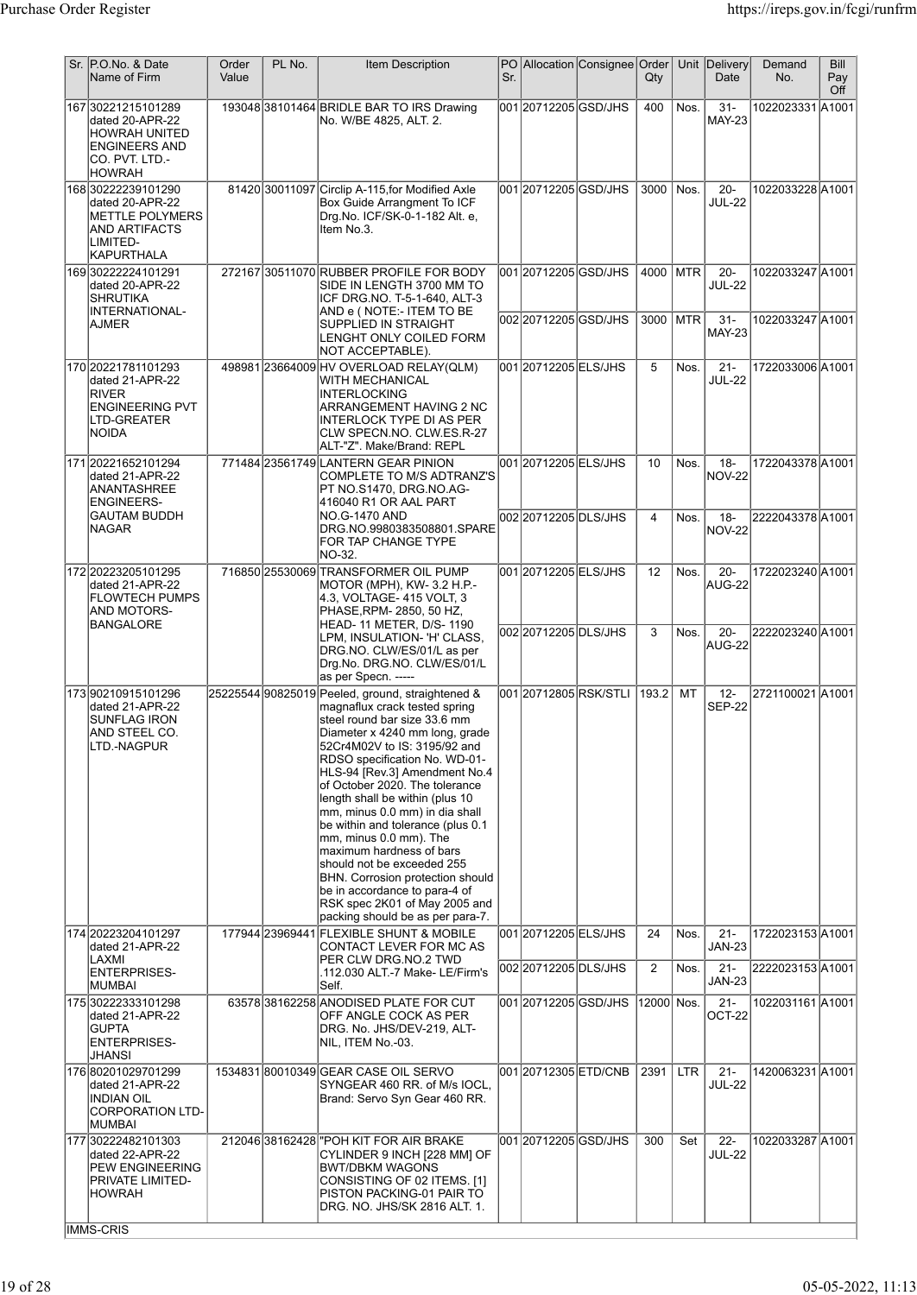| Sr. P.O.No. & Date<br>Name of Firm                                                                                        | Order<br>Value | PL No. | Item Description                                                                                                                                                                                                                                                                                                                                                                                                                                                                                                                                                                                                                       | Sr. |                                               | PO Allocation Consignee Order | Qty                  |            | Unit Delivery<br>Date             | Demand<br>No.                        | Bill<br>Pay<br>Off |
|---------------------------------------------------------------------------------------------------------------------------|----------------|--------|----------------------------------------------------------------------------------------------------------------------------------------------------------------------------------------------------------------------------------------------------------------------------------------------------------------------------------------------------------------------------------------------------------------------------------------------------------------------------------------------------------------------------------------------------------------------------------------------------------------------------------------|-----|-----------------------------------------------|-------------------------------|----------------------|------------|-----------------------------------|--------------------------------------|--------------------|
| 167 30221215101289<br>dated 20-APR-22<br><b>HOWRAH UNITED</b><br><b>ENGINEERS AND</b><br>co. PVT. LTD. -<br><b>HOWRAH</b> |                |        | 193048 38101464 BRIDLE BAR TO IRS Drawing<br>No. W/BE 4825, ALT. 2.                                                                                                                                                                                                                                                                                                                                                                                                                                                                                                                                                                    |     | 001 20712205 GSD/JHS                          |                               | 400                  | Nos.       | $31 -$<br><b>MAY-23</b>           | 1022023331 A1001                     |                    |
| 168 30222239101290<br>dated 20-APR-22<br>METTLE POLYMERS<br>AND ARTIFACTS<br>LIMITED-<br>KAPURTHALA                       |                |        | 81420 30011097 Circlip A-115, for Modified Axle<br>Box Guide Arrangment To ICF<br>Drg.No. ICF/SK-0-1-182 Alt. e,<br>Item No.3.                                                                                                                                                                                                                                                                                                                                                                                                                                                                                                         |     | 001 2071 2205 GSD/JHS                         |                               | 3000                 | Nos.       | $20 -$<br><b>JUL-22</b>           | 1022033228 A1001                     |                    |
| 16930222224101291<br>dated 20-APR-22<br><b>SHRUTIKA</b><br>INTERNATIONAL-                                                 |                |        | 27216730511070 RUBBER PROFILE FOR BODY<br>SIDE IN LENGTH 3700 MM TO<br>ICF DRG.NO. T-5-1-640, ALT-3<br>AND e ( NOTE:- ITEM TO BE                                                                                                                                                                                                                                                                                                                                                                                                                                                                                                       |     | 001 20712205 GSD/JHS<br>002 2071 2205 GSD/JHS |                               | 4000 MTR<br>3000 MTR |            | $20 -$<br><b>JUL-22</b><br>$31 -$ | 1022033247 A1001<br>1022033247 A1001 |                    |
| <b>AJMER</b>                                                                                                              |                |        | SUPPLIED IN STRAIGHT<br>LENGHT ONLY COILED FORM<br>NOT ACCEPTABLE).                                                                                                                                                                                                                                                                                                                                                                                                                                                                                                                                                                    |     |                                               |                               |                      |            | <b>MAY-23</b>                     |                                      |                    |
| 170 20221781101293<br>dated 21-APR-22<br><b>RIVER</b><br><b>ENGINEERING PVT</b><br>LTD-GREATER<br><b>NOIDA</b>            |                |        | 498981 23664009 HV OVERLOAD RELAY (QLM)<br>WITH MECHANICAL<br><b>INTERLOCKING</b><br><b>ARRANGEMENT HAVING 2 NC</b><br><b>INTERLOCK TYPE DI AS PER</b><br>CLW SPECN NO. CLW ES R-27<br>ALT-"Z". Make/Brand: REPL                                                                                                                                                                                                                                                                                                                                                                                                                       |     | 00120712205ELS/JHS                            |                               | 5                    | Nos.       | $21 -$<br><b>JUL-22</b>           | 1722033006 A1001                     |                    |
| 171 20221652101294<br>dated 21-APR-22<br>ANANTASHREE<br><b>ENGINEERS-</b>                                                 |                |        | 771484 23561749 LANTERN GEAR PINION<br>COMPLETE TO M/S ADTRANZ'S<br>PT NO.S1470, DRG.NO.AG-<br>416040 R1 OR AAL PART                                                                                                                                                                                                                                                                                                                                                                                                                                                                                                                   |     | 001 20712205 ELS/JHS                          |                               | 10                   | Nos.       | $18 -$<br><b>NOV-22</b>           | 1722043378 A1001                     |                    |
| <b>GAUTAM BUDDH</b><br> NAGAR                                                                                             |                |        | NO.G-1470 AND<br>DRG.NO.9980383508801.SPARE<br>FOR TAP CHANGE TYPE<br>NO-32.                                                                                                                                                                                                                                                                                                                                                                                                                                                                                                                                                           |     | l002l20712205lDLS/JHS                         |                               | 4                    | Nos.       | $18 -$<br><b>NOV-22</b>           | 2222043378 A1001                     |                    |
| 172 20223205101295<br>dated 21-APR-22<br><b>FLOWTECH PUMPS</b><br>AND MOTORS-                                             |                |        | 716850 25530069 TRANSFORMER OIL PUMP<br>MOTOR (MPH), KW-3.2 H.P.-<br>4.3, VOLTAGE- 415 VOLT, 3<br>PHASE, RPM- 2850, 50 HZ,                                                                                                                                                                                                                                                                                                                                                                                                                                                                                                             |     | 001 20712205 ELS/JHS                          |                               | 12                   | Nos.       | $20 -$<br>AUG-22                  | 1722023240 A1001                     |                    |
| BANGALORE                                                                                                                 |                |        | HEAD-11 METER, D/S-1190<br>LPM, INSULATION- 'H' CLASS,<br>DRG.NO. CLW/ES/01/L as per<br>Drg.No. DRG.NO. CLW/ES/01/L<br>as per Specn. -----                                                                                                                                                                                                                                                                                                                                                                                                                                                                                             |     | 002 2071 2205 DLS/JHS                         |                               | 3                    | Nos.       | $20 -$<br>AUG-22                  | 2222023240 A1001                     |                    |
| 17390210915101296<br>dated 21-APR-22<br>SUNFLAG IRON<br>AND STEEL CO.<br>LTD.-NAGPUR                                      |                |        | 25225544 90825019 Peeled, ground, straightened &<br>magnaflux crack tested spring<br>steel round bar size 33.6 mm<br>Diameter x 4240 mm long, grade<br>52Cr4M02V to IS: 3195/92 and<br>RDSO specification No. WD-01-<br>HLS-94 [Rev.3] Amendment No.4<br>of October 2020. The tolerance<br>length shall be within (plus 10<br>mm, minus 0.0 mm) in dia shall<br>be within and tolerance (plus 0.1<br>mm, minus 0.0 mm). The<br>maximum hardness of bars<br>should not be exceeded 255<br><b>BHN.</b> Corrosion protection should<br>be in accordance to para-4 of<br>RSK spec 2K01 of May 2005 and<br>packing should be as per para-7. |     |                                               | 00120712805RSK/STLI           | 193.2                | MT         | $12 -$<br><b>SEP-22</b>           | 2721100021 A1001                     |                    |
| 174 20223204101297<br>dated 21-APR-22<br>LAXMI                                                                            |                |        | 177944 23969441 FLEXIBLE SHUNT & MOBILE<br>CONTACT LEVER FOR MC AS<br>PER CLW DRG.NO.2 TWD                                                                                                                                                                                                                                                                                                                                                                                                                                                                                                                                             |     | 001 20712205 ELS/JHS                          |                               | 24                   | Nos.       | $21 -$<br><b>JAN-23</b>           | 1722023153A1001                      |                    |
| <b>ENTERPRISES-</b><br>IMUMBAI                                                                                            |                |        | .112.030 ALT.-7 Make- LE/Firm's<br>Self.                                                                                                                                                                                                                                                                                                                                                                                                                                                                                                                                                                                               |     | 002 2071 2205 DLS/JHS                         |                               | 2                    | Nos.       | $21 -$<br><b>JAN-23</b>           | 2222023153 A1001                     |                    |
| 175 30222333101298<br>dated 21-APR-22<br><b>GUPTA</b><br><b>ENTERPRISES-</b><br>JHANSI                                    |                |        | 63578 38162258 ANODISED PLATE FOR CUT<br>OFF ANGLE COCK AS PER<br>DRG. No. JHS/DEV-219, ALT-<br>NIL, ITEM No.-03.                                                                                                                                                                                                                                                                                                                                                                                                                                                                                                                      |     | 001 20712205 GSD/JHS                          |                               | 12000 Nos.           |            | $21 -$<br>OCT-22                  | 1022031161 A1001                     |                    |
| 176 80201029701299<br>dated 21-APR-22<br><b>INDIAN OIL</b><br><b>CORPORATION LTD-</b><br>MUMBAI                           |                |        | 153483180010349 GEAR CASE OIL SERVO<br>SYNGEAR 460 RR. of M/s IOCL,<br>Brand: Servo Syn Gear 460 RR.                                                                                                                                                                                                                                                                                                                                                                                                                                                                                                                                   |     | 001 20712305 ETD/CNB                          |                               | 2391                 | <b>LTR</b> | $21 -$<br><b>JUL-22</b>           | 1420063231 A1001                     |                    |
| 177 30222482101303<br>dated 22-APR-22<br>PEW ENGINEERING<br><b>PRIVATE LIMITED-</b><br><b>HOWRAH</b>                      |                |        | 212046 38162428 POH KIT FOR AIR BRAKE<br>CYLINDER 9 INCH [228 MM] OF<br>BWT/DBKM WAGONS<br>CONSISTING OF 02 ITEMS. [1]<br>PISTON PACKING-01 PAIR TO<br>DRG. NO. JHS/SK 2816 ALT. 1.                                                                                                                                                                                                                                                                                                                                                                                                                                                    |     | 001 20712205 GSD/JHS                          |                               | 300                  | Set        | $22 -$<br><b>JUL-22</b>           | 1022033287 A1001                     |                    |
| IMMS-CRIS                                                                                                                 |                |        |                                                                                                                                                                                                                                                                                                                                                                                                                                                                                                                                                                                                                                        |     |                                               |                               |                      |            |                                   |                                      |                    |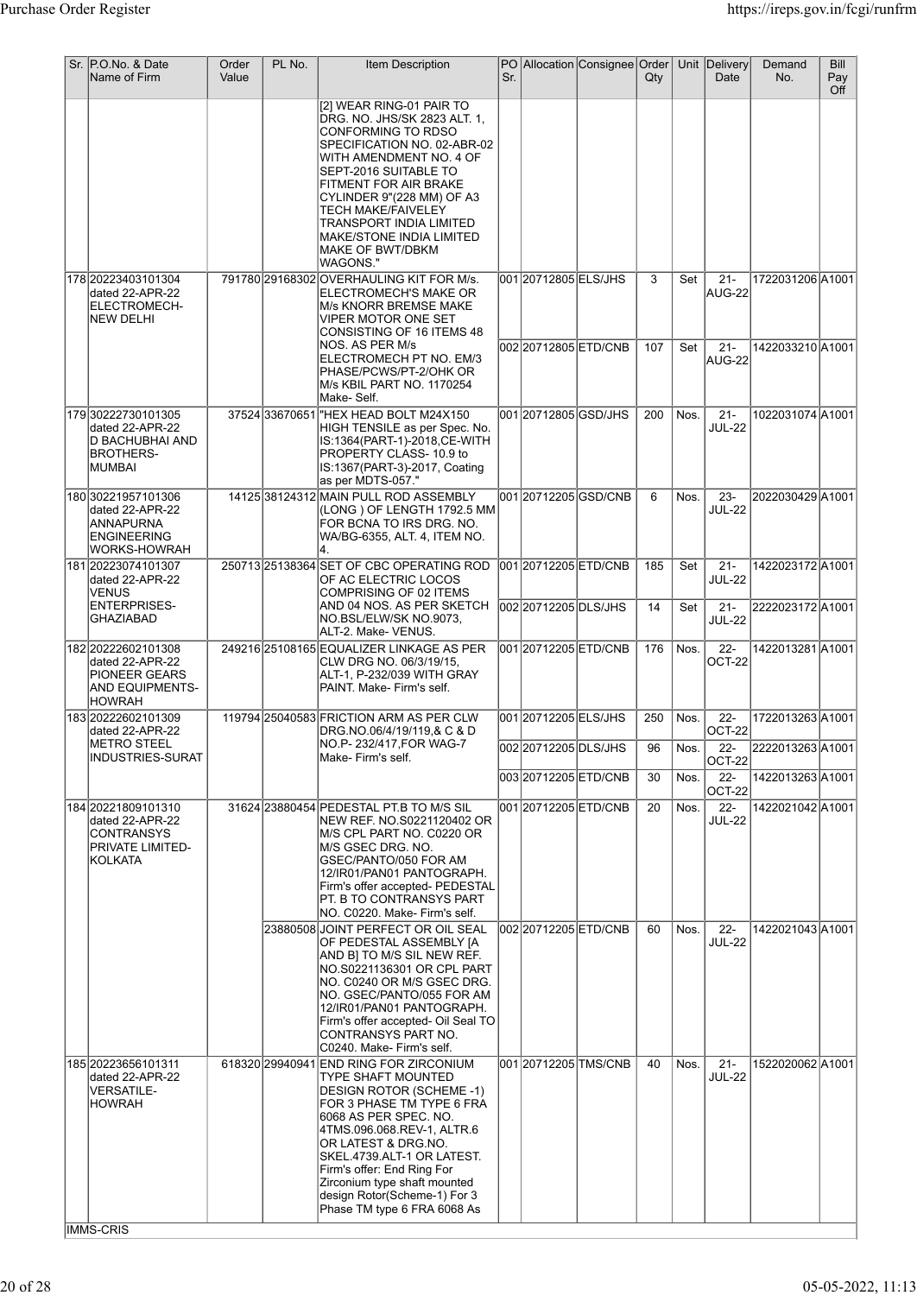| Sr. | P.O.No. & Date<br>Name of Firm                                                                        | Order<br>Value | PL No. | Item Description                                                                                                                                                                                                                                                                                                                                                | Sr. |                                               | PO Allocation Consignee Order | Qty       |              | Unit Delivery<br>Date             | Demand<br>No.                       | <b>Bill</b><br>Pay<br>Off |
|-----|-------------------------------------------------------------------------------------------------------|----------------|--------|-----------------------------------------------------------------------------------------------------------------------------------------------------------------------------------------------------------------------------------------------------------------------------------------------------------------------------------------------------------------|-----|-----------------------------------------------|-------------------------------|-----------|--------------|-----------------------------------|-------------------------------------|---------------------------|
|     |                                                                                                       |                |        | [2] WEAR RING-01 PAIR TO<br>DRG. NO. JHS/SK 2823 ALT. 1,<br>CONFORMING TO RDSO<br>SPECIFICATION NO. 02-ABR-02<br>WITH AMENDMENT NO. 4 OF<br>SEPT-2016 SUITABLE TO<br>FITMENT FOR AIR BRAKE<br>CYLINDER 9"(228 MM) OF A3<br><b>TECH MAKE/FAIVELEY</b><br>TRANSPORT INDIA LIMITED<br>MAKE/STONE INDIA LIMITED<br>MAKE OF BWT/DBKM<br>WAGONS."                     |     |                                               |                               |           |              |                                   |                                     |                           |
|     | 178 20223403101304<br>dated 22-APR-22<br>ELECTROMECH-<br><b>NEW DELHI</b>                             |                |        | 791780 29168302 OVERHAULING KIT FOR M/s.<br>ELECTROMECH'S MAKE OR<br>M/s KNORR BREMSE MAKE<br><b>VIPER MOTOR ONE SET</b><br>CONSISTING OF 16 ITEMS 48                                                                                                                                                                                                           |     | 001 2071 2805 ELS/JHS                         |                               | 3         | Set          | $21 -$<br>AUG-22                  | 1722031206 A1001                    |                           |
|     |                                                                                                       |                |        | NOS. AS PER M/s<br>ELECTROMECH PT NO. EM/3<br>PHASE/PCWS/PT-2/OHK OR<br>M/s KBIL PART NO. 1170254<br>Make- Self.                                                                                                                                                                                                                                                |     | 002 20712805 ETD/CNB                          |                               | 107       | Set          | $21 -$<br>AUG-22                  | 1422033210 A1001                    |                           |
|     | 179 30222730101305<br>dated 22-APR-22<br>D BACHUBHAI AND<br>BROTHERS-<br> MUMBAI                      |                |        | 37524 33670651 HEX HEAD BOLT M24X150<br>HIGH TENSILE as per Spec. No.<br>IS:1364(PART-1)-2018,CE-WITH<br>PROPERTY CLASS-10.9 to<br>IS:1367(PART-3)-2017, Coating<br>as per MDTS-057."                                                                                                                                                                           |     | 001 20712805 GSD/JHS                          |                               | 200       | Nos.         | $21 -$<br><b>JUL-22</b>           | 1022031074 A1001                    |                           |
|     | 180 30221957101306<br>dated 22-APR-22<br>ANNAPURNA<br>ENGINEERING<br>WORKS-HOWRAH                     |                |        | 14125 38124312 MAIN PULL ROD ASSEMBLY<br>(LONG) OF LENGTH 1792.5 MM<br>FOR BCNA TO IRS DRG. NO.<br>WA/BG-6355, ALT. 4, ITEM NO.<br>4.                                                                                                                                                                                                                           |     |                                               | 00120712205GSD/CNB            | 6         | Nos.         | $23 -$<br><b>JUL-22</b>           | 2022030429 A1001                    |                           |
|     | 181 20223074101307<br>dated 22-APR-22<br>VENUS                                                        |                |        | 250713 25138364 SET OF CBC OPERATING ROD<br>OF AC ELECTRIC LOCOS<br>COMPRISING OF 02 ITEMS                                                                                                                                                                                                                                                                      |     | 001 20712205 ETD/CNB                          |                               | 185       | Set          | $21 -$<br><b>JUL-22</b>           | 1422023172A1001                     |                           |
|     | <b>ENTERPRISES-</b><br>GHAZIABAD                                                                      |                |        | AND 04 NOS. AS PER SKETCH<br>NO.BSL/ELW/SK NO.9073,<br>ALT-2. Make- VENUS.                                                                                                                                                                                                                                                                                      |     | 002 20712205 DLS/JHS                          |                               | 14        | Set          | $21 -$<br><b>JUL-22</b>           | 2222023172 A1001                    |                           |
|     | 182 2022 260 210 130 8<br>dated 22-APR-22<br><b>PIONEER GEARS</b><br>AND EQUIPMENTS-<br><b>HOWRAH</b> |                |        | 249216 25108165 EQUALIZER LINKAGE AS PER<br>CLW DRG NO. 06/3/19/15,<br>ALT-1, P-232/039 WITH GRAY<br>PAINT, Make-Firm's self.                                                                                                                                                                                                                                   |     | 001 20712205 ETD/CNB                          |                               | 176       | Nos.         | $22 -$<br>OCT-22                  | 1422013281 A1001                    |                           |
|     | 183 2022 260 210 130 9<br>dated 22-APR-22<br> METRO STEEL                                             |                |        | 119794 25040583 FRICTION ARM AS PER CLW<br>DRG.NO.06/4/19/119,& C & D<br>NO.P- 232/417,FOR WAG-7                                                                                                                                                                                                                                                                |     | 001 2071 2205 ELS/JHS<br>002 20712205 DLS/JHS |                               | 250<br>96 | Nos.<br>Nos. | $22 -$<br><b>OCT-22</b><br>$22 -$ | 1722013263A1001<br>2222013263 A1001 |                           |
|     | <b>INDUSTRIES-SURAT</b>                                                                               |                |        | Make-Firm's self.                                                                                                                                                                                                                                                                                                                                               |     | 003 20712205 ETD/CNB                          |                               | 30        | Nos.         | OCT-22<br>$22 -$                  | 1422013263A1001                     |                           |
|     | 184 2022 1809 1013 10<br>dated 22-APR-22<br><b>CONTRANSYS</b><br>PRIVATE LIMITED-<br> KOLKATA         |                |        | 31624 23880454 PEDESTAL PT.B TO M/S SIL<br>NEW REF. NO.S0221120402 OR<br>M/S CPL PART NO. C0220 OR<br>M/S GSEC DRG. NO.<br>GSEC/PANTO/050 FOR AM<br>12/IR01/PAN01 PANTOGRAPH.<br>Firm's offer accepted- PEDESTAL<br>PT. B TO CONTRANSYS PART<br>NO. C0220. Make- Firm's self.                                                                                   |     | 001 20712205 ETD/CNB                          |                               | 20        | Nos.         | OCT-22<br>$22 -$<br><b>JUL-22</b> | 1422021042A1001                     |                           |
|     |                                                                                                       |                |        | 23880508 JOINT PERFECT OR OIL SEAL<br>OF PEDESTAL ASSEMBLY [A<br>AND B] TO M/S SIL NEW REF.<br>NO.S0221136301 OR CPL PART<br>NO. C0240 OR M/S GSEC DRG.<br>NO. GSEC/PANTO/055 FOR AM<br>12/IR01/PAN01 PANTOGRAPH.<br>Firm's offer accepted- Oil Seal TO<br>CONTRANSYS PART NO.<br>C0240. Make- Firm's self.                                                     |     | 002 20712205 ETD/CNB                          |                               | 60        | Nos.         | $22 -$<br><b>JUL-22</b>           | 1422021043 A1001                    |                           |
|     | 185 20223656101311<br>dated 22-APR-22<br>VERSATILE-<br><b>HOWRAH</b><br>IMMS-CRIS                     |                |        | 618320 29940941 END RING FOR ZIRCONIUM<br>TYPE SHAFT MOUNTED<br>DESIGN ROTOR (SCHEME -1)<br>FOR 3 PHASE TM TYPE 6 FRA<br> 6068 AS PER SPEC. NO.<br>4TMS.096.068.REV-1, ALTR.6<br>OR LATEST & DRG.NO.<br>SKEL.4739.ALT-1 OR LATEST.<br>Firm's offer: End Ring For<br>Zirconium type shaft mounted<br>design Rotor(Scheme-1) For 3<br>Phase TM type 6 FRA 6068 As |     |                                               | 00120712205TMS/CNB            | 40        | Nos.         | $21 -$<br><b>JUL-22</b>           | 1522020062A1001                     |                           |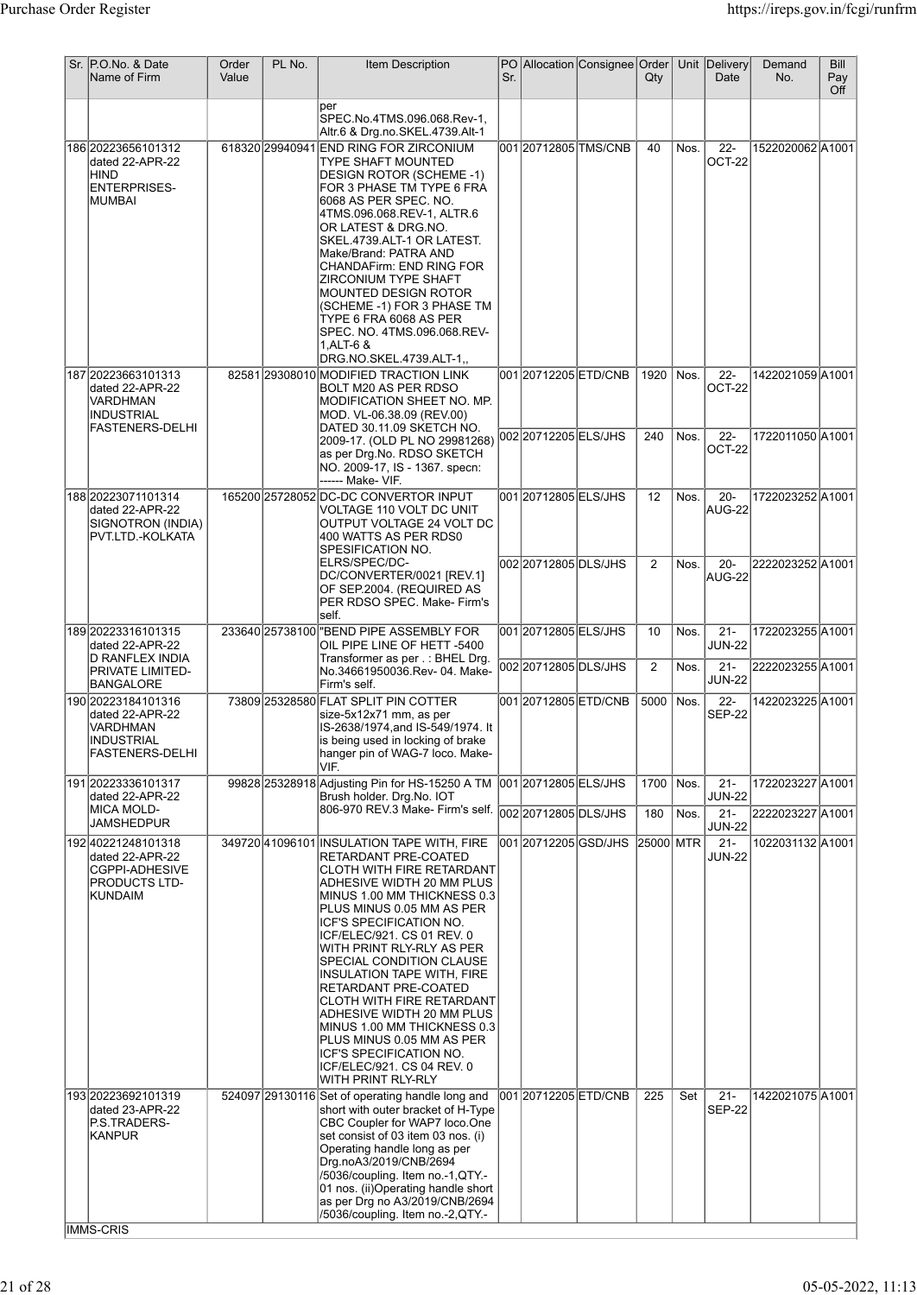| Sr. P.O.No. & Date<br>Name of Firm                                                                     | Order<br>Value | PL No. | <b>Item Description</b>                                                                                                                                                                                                                                                                                                                                                                                                                                                                                                                                                      | Sr. |                                                | PO Allocation Consignee Order | $Q$ ty    |              | Unit Delivery<br>Date                      | Demand<br>No.                        | <b>Bill</b><br>Pay<br>Off |
|--------------------------------------------------------------------------------------------------------|----------------|--------|------------------------------------------------------------------------------------------------------------------------------------------------------------------------------------------------------------------------------------------------------------------------------------------------------------------------------------------------------------------------------------------------------------------------------------------------------------------------------------------------------------------------------------------------------------------------------|-----|------------------------------------------------|-------------------------------|-----------|--------------|--------------------------------------------|--------------------------------------|---------------------------|
|                                                                                                        |                |        | per<br>SPEC.No.4TMS.096.068.Rev-1,<br>Altr.6 & Drg.no.SKEL.4739.Alt-1                                                                                                                                                                                                                                                                                                                                                                                                                                                                                                        |     |                                                |                               |           |              |                                            |                                      |                           |
| 186 20223656101312<br>dated 22-APR-22<br>HIND<br><b>ENTERPRISES-</b><br>IMUMBAI                        |                |        | 618320 29940941 END RING FOR ZIRCONIUM<br>TYPE SHAFT MOUNTED<br><b>DESIGN ROTOR (SCHEME -1)</b><br>FOR 3 PHASE TM TYPE 6 FRA<br>6068 AS PER SPEC. NO.<br>4TMS.096.068.REV-1. ALTR.6<br>OR LATEST & DRG.NO.<br>SKEL.4739.ALT-1 OR LATEST.<br>Make/Brand: PATRA AND<br><b>CHANDAFirm: END RING FOR</b><br>ZIRCONIUM TYPE SHAFT<br><b>MOUNTED DESIGN ROTOR</b><br>(SCHEME -1) FOR 3 PHASE TM<br>TYPE 6 FRA 6068 AS PER<br>SPEC. NO. 4TMS.096.068.REV-<br>1, ALT-6 &<br>DRG.NO.SKEL.4739.ALT-1,,                                                                                 |     |                                                | 001 20712805 TMS/CNB          | 40        | Nos.         | $22 -$<br>OCT-22                           | 1522020062A1001                      |                           |
| 187 20223663101313<br>dated 22-APR-22<br>VARDHMAN<br><b>INDUSTRIAL</b><br>FASTENERS-DELHI              |                |        | 82581 29308010 MODIFIED TRACTION LINK<br>BOLT M20 AS PER RDSO<br>MODIFICATION SHEET NO. MP.<br>MOD. VL-06.38.09 (REV.00)                                                                                                                                                                                                                                                                                                                                                                                                                                                     |     |                                                | 00120712205ETD/CNB            | 1920      | Nos.         | $22 -$<br>OCT-22                           | 1422021059A1001                      |                           |
|                                                                                                        |                |        | DATED 30.11.09 SKETCH NO.<br>2009-17. (OLD PL NO 29981268) 002 20712205 ELS/JHS<br>as per Drg.No. RDSO SKETCH<br>NO. 2009-17, IS - 1367. specn:<br>------ Make- VIF.                                                                                                                                                                                                                                                                                                                                                                                                         |     |                                                |                               | 240       | Nos.         | $22 -$<br>OCT-22                           | 1722011050 A1001                     |                           |
| 188 20223071101314<br>dated 22-APR-22<br>SIGNOTRON (INDIA)<br>PVT.LTD.-KOLKATA                         |                |        | 165200 25728052 DC-DC CONVERTOR INPUT<br>VOLTAGE 110 VOLT DC UNIT<br>OUTPUT VOLTAGE 24 VOLT DC<br>400 WATTS AS PER RDS0<br>SPESIFICATION NO.                                                                                                                                                                                                                                                                                                                                                                                                                                 |     | 001 20712805 ELS/JHS                           |                               | 12        | Nos.         | $20 -$<br>AUG-22                           | 1722023252 A1001                     |                           |
|                                                                                                        |                |        | ELRS/SPEC/DC-<br>DC/CONVERTER/0021 [REV.1]<br>OF SEP.2004. (REQUIRED AS<br>PER RDSO SPEC. Make- Firm's<br>self.                                                                                                                                                                                                                                                                                                                                                                                                                                                              |     | 002 2071 2805 DLS/JHS                          |                               | 2         | Nos.         | $20 -$<br>AUG-22                           | 2222023252 A1001                     |                           |
| 189 20223316101315<br>dated 22-APR-22<br>D RANFLEX INDIA<br>PRIVATE LIMITED-                           |                |        | 233640 25738100 BEND PIPE ASSEMBLY FOR<br>OIL PIPE LINE OF HETT -5400<br>Transformer as per .: BHEL Drg.<br>No.34661950036.Rev-04. Make-                                                                                                                                                                                                                                                                                                                                                                                                                                     |     | 001 2071 2805 ELS/JHS<br>002 2071 2805 DLS/JHS |                               | 10<br>2   | Nos.<br>Nos. | $\overline{21}$<br><b>JUN-22</b><br>$21 -$ | 1722023255 A1001<br>2222023255 A1001 |                           |
| BANGALORE<br>190 20223184101316<br>dated 22-APR-22<br>VARDHMAN<br>INDUSTRIAL<br><b>FASTENERS-DELHI</b> |                |        | Firm's self.<br>73809 25328580 FLAT SPLIT PIN COTTER<br>size-5x12x71 mm, as per<br>IS-2638/1974, and IS-549/1974. It<br>is being used in locking of brake<br>hanger pin of WAG-7 loco. Make-                                                                                                                                                                                                                                                                                                                                                                                 |     |                                                | 001 20712805 ETD/CNB          | 5000      | Nos.         | <b>JUN-22</b><br>$22 -$<br><b>SEP-22</b>   | 1422023225 A1001                     |                           |
| 191 20223336101317<br>dated 22-APR-22                                                                  |                |        | VIF.<br>99828 25328918 Adjusting Pin for HS-15250 A TM 001 20712805 ELS/JHS<br>Brush holder. Drg.No. IOT                                                                                                                                                                                                                                                                                                                                                                                                                                                                     |     |                                                |                               | 1700      | Nos.         | $21 -$<br><b>JUN-22</b>                    | 1722023227 A1001                     |                           |
| <b>MICA MOLD-</b><br>JAMSHEDPUR                                                                        |                |        | ---------<br> 806-970 REV.3 Make- Firm's self.  002  20712805  DLS/JHS                                                                                                                                                                                                                                                                                                                                                                                                                                                                                                       |     |                                                |                               | 180       | Nos.         | $21 -$<br><b>JUN-22</b>                    | 2222023227 A1001                     |                           |
| 192 40221248101318<br>dated 22-APR-22<br>CGPPI-ADHESIVE<br>PRODUCTS LTD-<br>KUNDAIM                    |                |        | 349720 41096101 INSULATION TAPE WITH, FIRE<br>RETARDANT PRE-COATED<br><b>CLOTH WITH FIRE RETARDANT</b><br>ADHESIVE WIDTH 20 MM PLUS<br>MINUS 1.00 MM THICKNESS 0.3<br>PLUS MINUS 0.05 MM AS PER<br>ICF'S SPECIFICATION NO.<br>ICF/ELEC/921. CS 01 REV. 0<br>WITH PRINT RLY-RLY AS PER<br>SPECIAL CONDITION CLAUSE<br>INSULATION TAPE WITH, FIRE<br>RETARDANT PRE-COATED<br>CLOTH WITH FIRE RETARDANT<br>ADHESIVE WIDTH 20 MM PLUS<br>MINUS 1.00 MM THICKNESS 0.3<br>PLUS MINUS 0.05 MM AS PER<br>ICF'S SPECIFICATION NO.<br>ICF/ELEC/921. CS 04 REV. 0<br>WITH PRINT RLY-RLY |     |                                                | 001 20712205 GSD/JHS          | 25000 MTR |              | $21 -$<br><b>JUN-22</b>                    | 1022031132 A1001                     |                           |
| 193 20223692101319<br>dated 23-APR-22<br>P.S.TRADERS-<br><b>KANPUR</b>                                 |                |        | 524097 29130116 Set of operating handle long and<br>short with outer bracket of H-Type<br>CBC Coupler for WAP7 loco.One<br>set consist of 03 item 03 nos. (i)<br>Operating handle long as per<br>Drg.noA3/2019/CNB/2694<br>/5036/coupling. Item no.-1,QTY.-<br>01 nos. (ii) Operating handle short<br>as per Drg no A3/2019/CNB/2694                                                                                                                                                                                                                                         |     |                                                | 001 20712205 ETD/CNB          | 225       | Set          | $21 -$<br><b>SEP-22</b>                    | 1422021075 A1001                     |                           |
| IMMS-CRIS                                                                                              |                |        | /5036/coupling. Item no.-2,QTY.-                                                                                                                                                                                                                                                                                                                                                                                                                                                                                                                                             |     |                                                |                               |           |              |                                            |                                      |                           |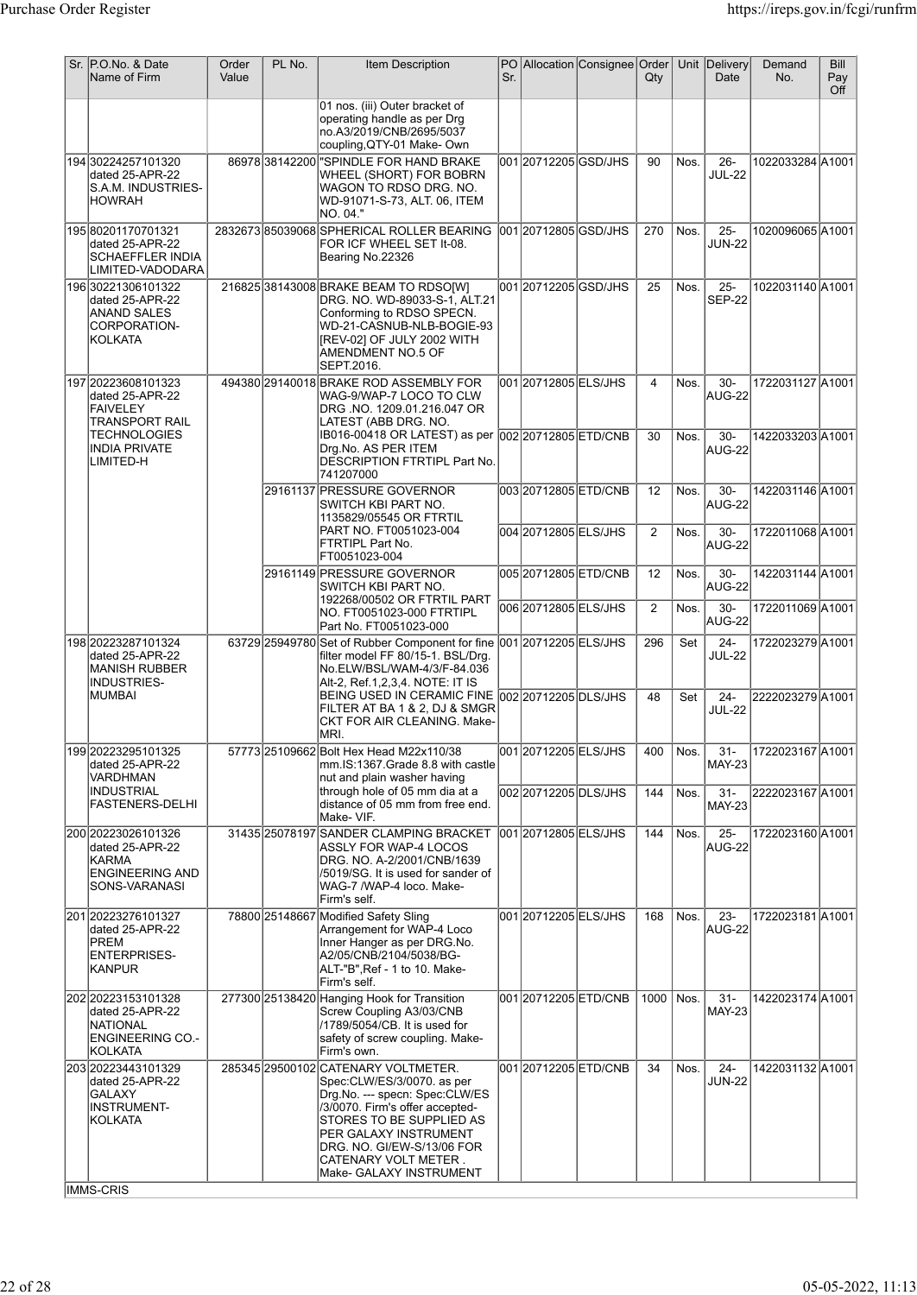| Sr. P.O.No. & Date<br>Name of Firm                                                                           | Order<br>Value | PL No. | <b>Item Description</b>                                                                                                                                                                                                                                                      | Sr. |                                             | PO Allocation Consignee Order | Qty     |              | Unit Delivery<br>Date    | Demand<br>No.                        | Bill<br>Pay<br>Off |
|--------------------------------------------------------------------------------------------------------------|----------------|--------|------------------------------------------------------------------------------------------------------------------------------------------------------------------------------------------------------------------------------------------------------------------------------|-----|---------------------------------------------|-------------------------------|---------|--------------|--------------------------|--------------------------------------|--------------------|
|                                                                                                              |                |        | 01 nos. (iii) Outer bracket of<br>operating handle as per Drg<br>no.A3/2019/CNB/2695/5037<br>coupling, QTY-01 Make-Own                                                                                                                                                       |     |                                             |                               |         |              |                          |                                      |                    |
| 194 30224257101320<br>dated 25-APR-22<br>S.A.M. INDUSTRIES-<br> HOWRAH                                       |                |        | 86978 38142200 SPINDLE FOR HAND BRAKE<br>WHEEL (SHORT) FOR BOBRN<br>WAGON TO RDSO DRG. NO.<br>WD-91071-S-73, ALT. 06, ITEM<br>NO. 04."                                                                                                                                       |     | 001 20712205 GSD/JHS                        |                               | 90      | Nos.         | $26 -$<br><b>JUL-22</b>  | 1022033284 A1001                     |                    |
| 195 80201170701321<br>dated 25-APR-22<br><b>SCHAEFFLER INDIA</b><br> LIMITED-VADODARA                        |                |        | 2832673 85039068 SPHERICAL ROLLER BEARING<br>FOR ICF WHEEL SET It-08.<br>Bearing No.22326                                                                                                                                                                                    |     | 001 2071 2805 GSD/JHS                       |                               | 270     | Nos.         | $25 -$<br><b>JUN-22</b>  | 1020096065A1001                      |                    |
| 196 30221306101322<br>dated 25-APR-22<br>IANAND SALES<br>CORPORATION-<br>KOLKATA                             |                |        | 216825 38143008 BRAKE BEAM TO RDSO[W]<br>DRG. NO. WD-89033-S-1, ALT.21<br>Conforming to RDSO SPECN.<br>WD-21-CASNUB-NLB-BOGIE-93<br>[REV-02] OF JULY 2002 WITH<br>AMENDMENT NO.5 OF<br>SEPT.2016.                                                                            |     | 001 20712205 GSD/JHS                        |                               | 25      | Nos.         | $25 -$<br><b>SEP-22</b>  | 1022031140 A1001                     |                    |
| 197 20223608101323<br>dated 25-APR-22<br><b>FAIVELEY</b><br><b>TRANSPORT RAIL</b>                            |                |        | 494380 29140018 BRAKE ROD ASSEMBLY FOR<br>WAG-9/WAP-7 LOCO TO CLW<br>DRG.NO. 1209.01.216.047 OR<br>LATEST (ABB DRG. NO.                                                                                                                                                      |     | 001 2071 2805 ELS/JHS                       |                               | 4       | Nos.         | $30-$<br>AUG-22          | 1722031127 A1001                     |                    |
| <b>TECHNOLOGIES</b><br><b>INDIA PRIVATE</b><br>LIMITED-H                                                     |                |        | IB016-00418 OR LATEST) as per 002 20712805 ETD/CNB<br>Drg.No. AS PER ITEM<br>DESCRIPTION FTRTIPL Part No.<br>741207000                                                                                                                                                       |     |                                             |                               | 30      | Nos.         | $30 -$<br><b>AUG-22</b>  | 1422033203 A1001                     |                    |
|                                                                                                              |                |        | 29161137 PRESSURE GOVERNOR<br>SWITCH KBI PART NO.<br>1135829/05545 OR FTRTIL<br>PART NO. FT0051023-004                                                                                                                                                                       |     | 00320712805ETD/CNB<br>004 2071 2805 ELS/JHS |                               | 12<br>2 | Nos.<br>Nos. | $30-$<br>AUG-22<br>$30-$ | 1422031146 A1001<br>1722011068 A1001 |                    |
|                                                                                                              |                |        | FTRTIPL Part No.<br>FT0051023-004<br>29161149 PRESSURE GOVERNOR                                                                                                                                                                                                              |     | 00520712805ETD/CNB                          |                               | 12      | Nos.         | AUG-22<br>$30-$          | 1422031144 A1001                     |                    |
|                                                                                                              |                |        | SWITCH KBI PART NO.<br>192268/00502 OR FTRTIL PART<br>NO. FT0051023-000 FTRTIPL                                                                                                                                                                                              |     | 006 2071 2805 ELS/JHS                       |                               | 2       | Nos.         | AUG-22<br>30-<br>AUG-22  | 1722011069 A1001                     |                    |
| 198 20223287101324<br>dated 25-APR-22<br>MANISH RUBBER<br><b>INDUSTRIES-</b>                                 |                |        | Part No. FT0051023-000<br>63729 25949780 Set of Rubber Component for fine 001 20712205 ELS/JHS<br>filter model FF 80/15-1. BSL/Drg.<br>No.ELW/BSL/WAM-4/3/F-84.036<br>Alt-2, Ref.1,2,3,4. NOTE: IT IS                                                                        |     |                                             |                               | 296     | Set          | $24 -$<br><b>JUL-22</b>  | 1722023279 A1001                     |                    |
| MUMBAI                                                                                                       |                |        | BEING USED IN CERAMIC FINE<br>FILTER AT BA 1 & 2, DJ & SMGR<br>CKT FOR AIR CLEANING. Make-<br>IMRI.                                                                                                                                                                          |     | 002 20712205 DLS/JHS                        |                               | 48      | Set          | $24 -$<br><b>JUL-22</b>  | 2222023279 A1001                     |                    |
| 19920223295101325<br>dated 25-APR-22<br>VARDHMAN                                                             |                |        | 57773 25109662 Bolt Hex Head M22x110/38<br>mm.IS:1367.Grade 8.8 with castle<br>nut and plain washer having                                                                                                                                                                   |     | 001 2071 2005 ELS/JHS                       |                               | 400     | Nos.         | $31 -$<br><b>MAY-23</b>  | 1722023167 A1001                     |                    |
| INDUSTRIAL<br><b>FASTENERS-DELHI</b>                                                                         |                |        | through hole of 05 mm dia at a<br>distance of 05 mm from free end.<br>Make-VIF.                                                                                                                                                                                              |     | 002 2071 2205 DLS/JHS                       |                               | 144     | Nos.         | 31-<br><b>MAY-23</b>     | 2222023167 A1001                     |                    |
| 200 20223026101326<br>dated 25-APR-22<br><b>KARMA</b><br>ENGINEERING AND<br>SONS-VARANASI                    |                |        | 31435 25078197 SANDER CLAMPING BRACKET<br>ASSLY FOR WAP-4 LOCOS<br>DRG. NO. A-2/2001/CNB/1639<br>/5019/SG. It is used for sander of<br>WAG-7 /WAP-4 loco. Make-<br>Firm's self.                                                                                              |     | 001 20712805 ELS/JHS                        |                               | 144     | Nos.         | $25 -$<br><b>AUG-22</b>  | 1722023160 A1001                     |                    |
| 20120223276101327<br>dated 25-APR-22<br>PREM<br><b>ENTERPRISES-</b><br>KANPUR                                |                |        | 78800 25148667 Modified Safety Sling<br>Arrangement for WAP-4 Loco<br>Inner Hanger as per DRG.No.<br>A2/05/CNB/2104/5038/BG-<br>ALT-"B", Ref - 1 to 10. Make-<br>Firm's self.                                                                                                |     | 001 20712205 ELS/JHS                        |                               | 168     | Nos.         | $23 -$<br><b>AUG-22</b>  | 1722023181A1001                      |                    |
| 202 20223153101328<br>dated 25-APR-22<br>NATIONAL<br><b>ENGINEERING CO.-</b><br> KOLKATA                     |                |        | 277300 25138420 Hanging Hook for Transition<br>Screw Coupling A3/03/CNB<br>/1789/5054/CB. It is used for<br>safety of screw coupling. Make-<br>Firm's own.                                                                                                                   |     | 00120712205ETD/CNB                          |                               | 1000    | Nos.         | $31 -$<br><b>MAY-23</b>  | 1422023174 A1001                     |                    |
| 203 20223443101329<br>dated 25-APR-22<br><b>GALAXY</b><br><b>INSTRUMENT-</b><br> KOLKATA<br><b>IMMS-CRIS</b> |                |        | 285345 29500102 CATENARY VOLTMETER.<br>Spec:CLW/ES/3/0070. as per<br>Drg.No. --- specn: Spec:CLW/ES<br>/3/0070. Firm's offer accepted-<br>STORES TO BE SUPPLIED AS<br>PER GALAXY INSTRUMENT<br>DRG. NO. GI/EW-S/13/06 FOR<br>CATENARY VOLT METER.<br>Make- GALAXY INSTRUMENT |     | 00120712205ETD/CNB                          |                               | 34      | Nos.         | $24 -$<br><b>JUN-22</b>  | 1422031132 A1001                     |                    |
|                                                                                                              |                |        |                                                                                                                                                                                                                                                                              |     |                                             |                               |         |              |                          |                                      |                    |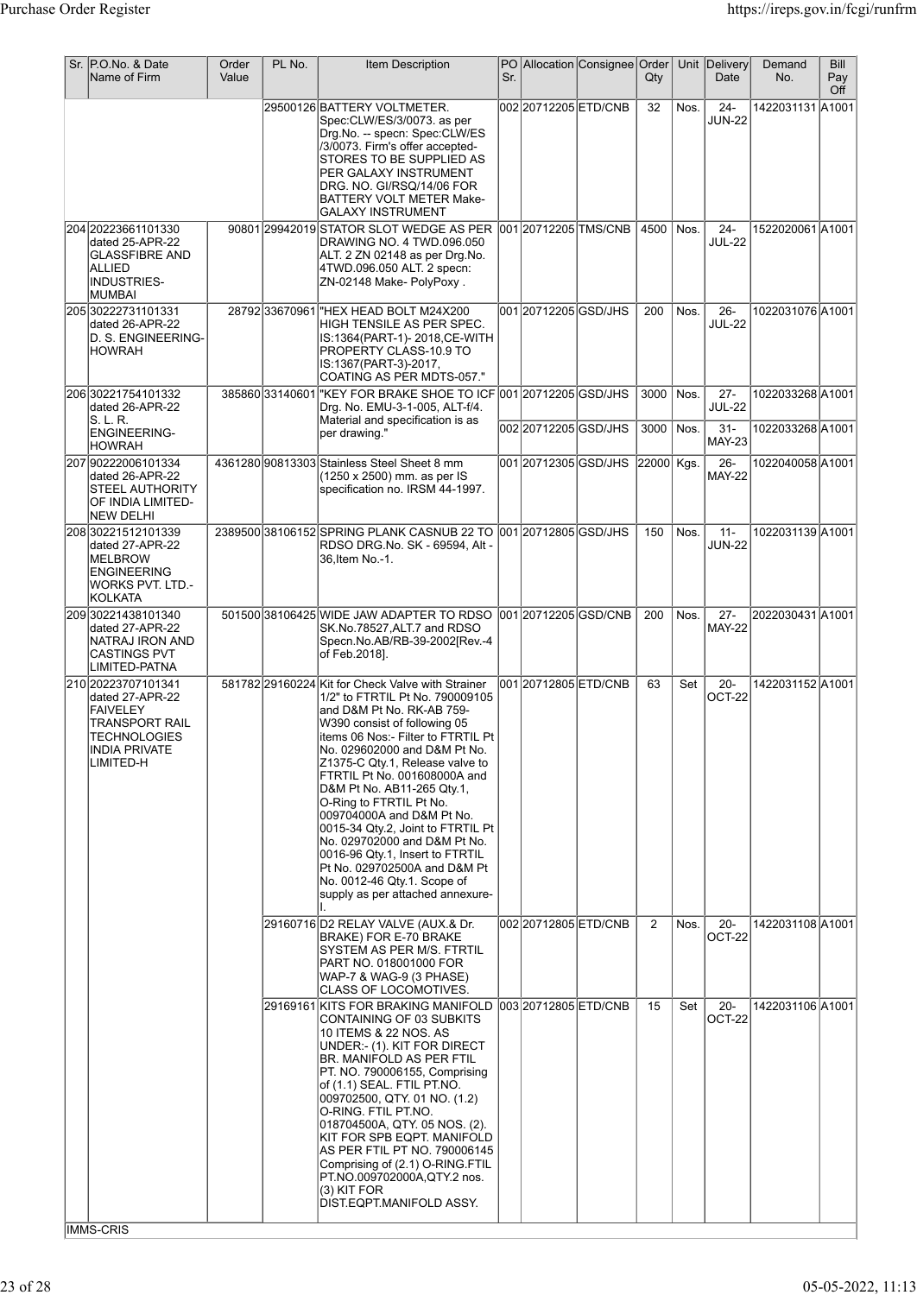| Sr. P.O.No. & Date<br>Name of Firm                                                                                                      | Order<br>Value | PL No.          | Item Description                                                                                                                                                                                                                                                                                                                                                                                                                                                                                                                                                                               | Sr. |                       | PO Allocation Consignee Order | Qty        |      | Unit Delivery<br>Date   | Demand<br>No.    | Bill<br>Pay<br>Off |
|-----------------------------------------------------------------------------------------------------------------------------------------|----------------|-----------------|------------------------------------------------------------------------------------------------------------------------------------------------------------------------------------------------------------------------------------------------------------------------------------------------------------------------------------------------------------------------------------------------------------------------------------------------------------------------------------------------------------------------------------------------------------------------------------------------|-----|-----------------------|-------------------------------|------------|------|-------------------------|------------------|--------------------|
|                                                                                                                                         |                |                 | 29500126 BATTERY VOLTMETER.<br>Spec:CLW/ES/3/0073. as per<br>Drg.No. -- specn: Spec:CLW/ES<br>/3/0073. Firm's offer accepted-<br>STORES TO BE SUPPLIED AS<br>PER GALAXY INSTRUMENT<br>DRG. NO. GI/RSQ/14/06 FOR<br>BATTERY VOLT METER Make-<br><b>GALAXY INSTRUMENT</b>                                                                                                                                                                                                                                                                                                                        |     | 00220712205ETD/CNB    |                               | 32         | Nos. | $24 -$<br><b>JUN-22</b> | 1422031131 A1001 |                    |
| 204 20223661101330<br>dated 25-APR-22<br><b>GLASSFIBRE AND</b><br>ALLIED<br><b>INDUSTRIES-</b><br>MUMBAI                                |                |                 | 90801 29942019 STATOR SLOT WEDGE AS PER<br>DRAWING NO. 4 TWD.096.050<br>ALT. 2 ZN 02148 as per Drg.No.<br>4TWD.096.050 ALT. 2 specn:<br>ZN-02148 Make- PolyPoxy.                                                                                                                                                                                                                                                                                                                                                                                                                               |     | 001 2071 2205 TMS/CNB |                               | 4500       | Nos. | $24 -$<br><b>JUL-22</b> | 1522020061 A1001 |                    |
| 205 30222731101331<br>dated 26-APR-22<br>D. S. ENGINEERING-<br><b>HOWRAH</b>                                                            |                |                 | 28792 33670961 "HEX HEAD BOLT M24X200<br>HIGH TENSILE AS PER SPEC.<br>IS:1364(PART-1)- 2018,CE-WITH<br>PROPERTY CLASS-10.9 TO<br>IS:1367(PART-3)-2017,<br>COATING AS PER MDTS-057."                                                                                                                                                                                                                                                                                                                                                                                                            |     | 001 20712205 GSD/JHS  |                               | 200        | Nos. | $26 -$<br><b>JUL-22</b> | 1022031076 A1001 |                    |
| 206 30221754101332<br>dated 26-APR-22<br>S. L. R.                                                                                       |                | 385860 33140601 | "KEY FOR BRAKE SHOE TO ICF 001 20712205 GSD/JHS<br>Drg. No. EMU-3-1-005, ALT-f/4.<br>Material and specification is as                                                                                                                                                                                                                                                                                                                                                                                                                                                                          |     |                       |                               | 3000       | Nos. | $27 -$<br><b>JUL-22</b> | 1022033268 A1001 |                    |
| <b>ENGINEERING-</b><br> HOWRAH                                                                                                          |                |                 | per drawing."                                                                                                                                                                                                                                                                                                                                                                                                                                                                                                                                                                                  |     | 002 20712205 GSD/JHS  |                               | 3000       | Nos. | $31 -$<br><b>MAY-23</b> | 1022033268 A1001 |                    |
| 207 90222006101334<br>dated 26-APR-22<br><b>STEEL AUTHORITY</b><br>OF INDIA LIMITED-<br><b>NEW DELHI</b>                                |                |                 | 4361280 90813303 Stainless Steel Sheet 8 mm<br>(1250 x 2500) mm. as per IS<br>specification no. IRSM 44-1997.                                                                                                                                                                                                                                                                                                                                                                                                                                                                                  |     | 001 20712305 GSD/JHS  |                               | 22000 Kgs. |      | $26 -$<br><b>MAY-22</b> | 1022040058A1001  |                    |
| 208 30221512101339<br>dated 27-APR-22<br><b>MELBROW</b><br><b>ENGINEERING</b><br>WORKS PVT. LTD.-<br>KOLKATA                            |                |                 | 2389500 38106152 SPRING PLANK CASNUB 22 TO 001 20712805 GSD/JHS<br>RDSO DRG.No. SK - 69594, Alt -<br>36, Item No.-1.                                                                                                                                                                                                                                                                                                                                                                                                                                                                           |     |                       |                               | 150        | Nos. | $11 -$<br><b>JUN-22</b> | 1022031139 A1001 |                    |
| 209 30221438101340<br>dated 27-APR-22<br>NATRAJ IRON AND<br><b>CASTINGS PVT</b><br>LIMITED-PATNA                                        |                |                 | 501500 38106425 WIDE JAW ADAPTER TO RDSO<br>SK.No.78527, ALT.7 and RDSO<br>Specn.No.AB/RB-39-2002[Rev.-4<br>of Feb.2018].                                                                                                                                                                                                                                                                                                                                                                                                                                                                      |     |                       | 001 20712205 GSD/CNB          | 200        | Nos. | $27 -$<br><b>MAY-22</b> | 2022030431 A1001 |                    |
| 210 20223707101341<br>dated 27-APR-22<br><b>FAIVELEY</b><br><b>TRANSPORT RAIL</b><br> TECHNOLOGIES<br><b>INDIA PRIVATE</b><br>LIMITED-H |                |                 | 581782 29160224 Kit for Check Valve with Strainer<br>1/2" to FTRTIL Pt No. 790009105<br>and D&M Pt No. RK-AB 759-<br>W390 consist of following 05<br> items 06 Nos:- Filter to FTRTIL Pt  <br>No. 029602000 and D&M Pt No.<br>Z1375-C Qty.1, Release valve to<br>FTRTIL Pt No. 001608000A and<br>D&M Pt No. AB11-265 Qtv.1,<br>O-Ring to FTRTIL Pt No.<br>009704000A and D&M Pt No.<br>0015-34 Qty.2, Joint to FTRTIL Pt<br>No. 029702000 and D&M Pt No.<br>0016-96 Qty.1, Insert to FTRTIL<br>Pt No. 029702500A and D&M Pt<br>No. 0012-46 Qty.1. Scope of<br>supply as per attached annexure- |     | 00120712805ETD/CNB    |                               | 63         | Set  | $20 -$<br>OCT-22        | 1422031152 A1001 |                    |
|                                                                                                                                         |                |                 | 29160716 D2 RELAY VALVE (AUX.& Dr.<br>BRAKE) FOR E-70 BRAKE<br>SYSTEM AS PER M/S. FTRTIL<br>PART NO. 018001000 FOR<br>WAP-7 & WAG-9 (3 PHASE)<br><b>CLASS OF LOCOMOTIVES.</b>                                                                                                                                                                                                                                                                                                                                                                                                                  |     | 002 2071 2805 ETD/CNB |                               | 2          | Nos. | $20 -$<br>OCT-22        | 1422031108 A1001 |                    |
|                                                                                                                                         |                |                 | 29169161 KITS FOR BRAKING MANIFOLD<br>CONTAINING OF 03 SUBKITS<br>10 ITEMS & 22 NOS. AS<br>UNDER:- (1). KIT FOR DIRECT<br><b>BR. MANIFOLD AS PER FTIL</b><br>PT. NO. 790006155, Comprising<br>of (1.1) SEAL. FTIL PT.NO.<br>009702500, QTY. 01 NO. (1.2)<br>O-RING. FTIL PT.NO.<br>018704500A, QTY. 05 NOS. (2).<br>KIT FOR SPB EQPT. MANIFOLD<br>AS PER FTIL PT NO. 790006145<br>Comprising of (2.1) O-RING.FTIL<br>PT.NO.009702000A, QTY.2 nos.<br>(3) KIT FOR<br>DIST.EQPT.MANIFOLD ASSY.                                                                                                   |     | 003 2071 2805 ETD/CNB |                               | 15         | Set  | $20 -$<br>OCT-22        | 1422031106 A1001 |                    |
| <b>IMMS-CRIS</b>                                                                                                                        |                |                 |                                                                                                                                                                                                                                                                                                                                                                                                                                                                                                                                                                                                |     |                       |                               |            |      |                         |                  |                    |

IMMS-CRIS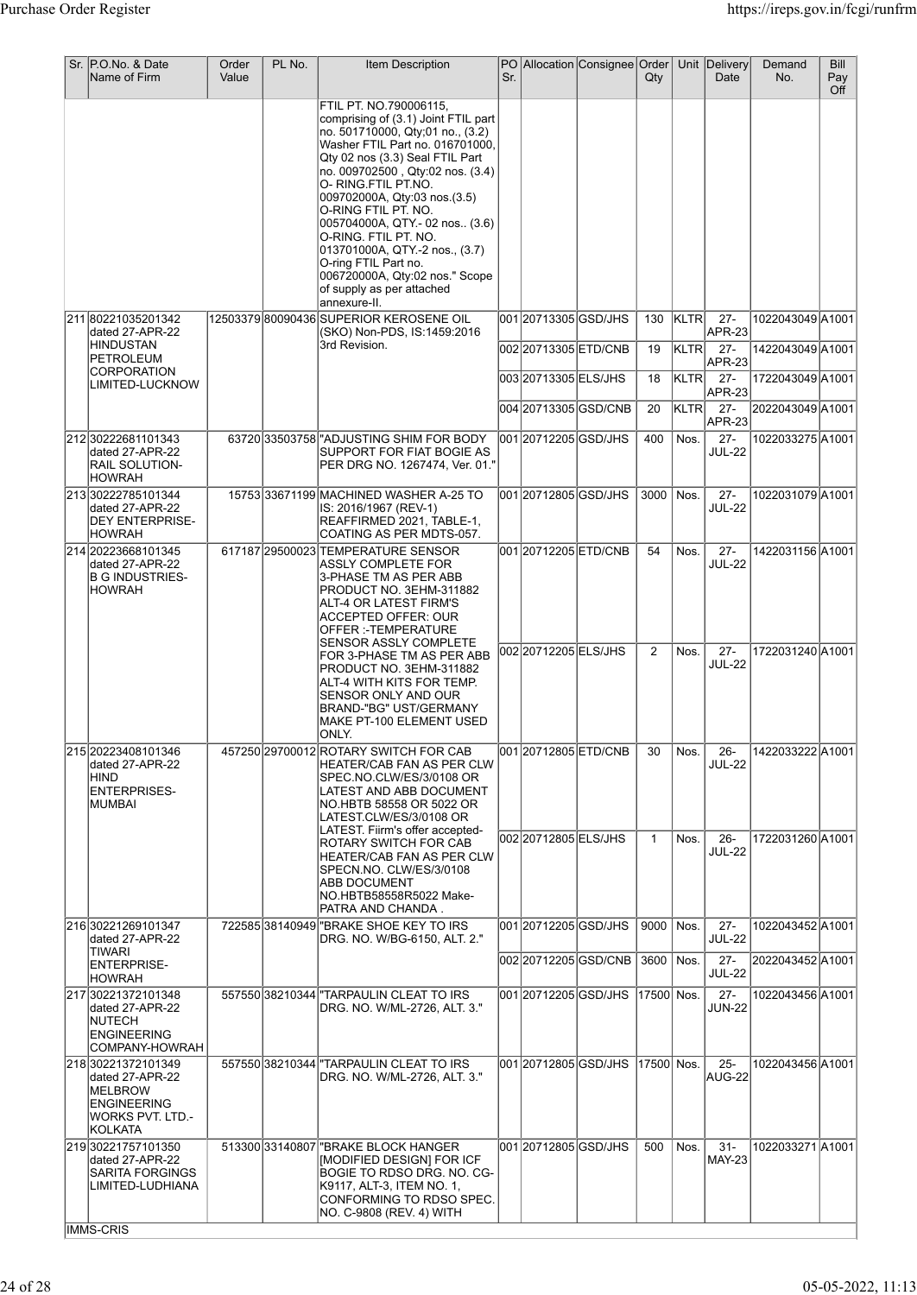| Sr. P.O.No. & Date<br>Name of Firm                                                                                         | Order<br>Value | PL No. | <b>Item Description</b>                                                                                                                                                                                                                                                                                                                                                                                                                                                                     | Sr. |                                              | PO Allocation Consignee Order     | $Q$ ty       |              | Unit Delivery<br>Date      | Demand<br>No.                        | <b>Bill</b><br>Pay<br>Off |
|----------------------------------------------------------------------------------------------------------------------------|----------------|--------|---------------------------------------------------------------------------------------------------------------------------------------------------------------------------------------------------------------------------------------------------------------------------------------------------------------------------------------------------------------------------------------------------------------------------------------------------------------------------------------------|-----|----------------------------------------------|-----------------------------------|--------------|--------------|----------------------------|--------------------------------------|---------------------------|
|                                                                                                                            |                |        | FTIL PT. NO.790006115,<br>comprising of (3.1) Joint FTIL part<br>no. 501710000, Qty:01 no., (3.2)<br>Washer FTIL Part no. 016701000,<br>Qty 02 nos (3.3) Seal FTIL Part<br>no. 009702500, Qty:02 nos. (3.4)<br>O-RING.FTIL PT.NO.<br>009702000A, Qty:03 nos.(3.5)<br>O-RING FTIL PT. NO.<br>005704000A, QTY.- 02 nos (3.6)<br>O-RING. FTIL PT. NO.<br>013701000A, QTY.-2 nos., (3.7)<br>O-ring FTIL Part no.<br>006720000A, Qty:02 nos." Scope<br>of supply as per attached<br>annexure-II. |     |                                              |                                   |              |              |                            |                                      |                           |
| 211 80221035201342<br>dated 27-APR-22<br><b>HINDUSTAN</b>                                                                  |                |        | 12503379 80090436 SUPERIOR KEROSENE OIL<br>(SKO) Non-PDS, IS:1459:2016<br>3rd Revision.                                                                                                                                                                                                                                                                                                                                                                                                     |     | 001 20713305 GSD/JHS<br>002 20713305 ETD/CNB |                                   | 130<br>19    | KLTR<br>KLTR | $27 -$<br>APR-23<br>$27 -$ | 1022043049 A1001<br>1422043049 A1001 |                           |
| PETROLEUM<br><b>CORPORATION</b>                                                                                            |                |        |                                                                                                                                                                                                                                                                                                                                                                                                                                                                                             |     | 003 20713305 ELS/JHS                         |                                   | 18           | KLTR         | <b>APR-23</b><br>$27 -$    | 1722043049 A1001                     |                           |
| LIMITED-LUCKNOW                                                                                                            |                |        |                                                                                                                                                                                                                                                                                                                                                                                                                                                                                             |     |                                              | 004 20713305 GSD/CNB              | 20           | KLTR         | APR-23<br>$27 -$           | 2022043049A1001                      |                           |
| 212 30222681101343                                                                                                         |                |        | 63720 33503758 HOJUSTING SHIM FOR BODY                                                                                                                                                                                                                                                                                                                                                                                                                                                      |     | 001 2071 2205 GSD/JHS                        |                                   | 400          | Nos.         | APR-23<br>$27 -$           | 1022033275 A1001                     |                           |
| dated 27-APR-22<br><b>RAIL SOLUTION-</b><br><b>HOWRAH</b>                                                                  |                |        | <b>SUPPORT FOR FIAT BOGIE AS</b><br> PER DRG NO. 1267474, Ver. 01."                                                                                                                                                                                                                                                                                                                                                                                                                         |     |                                              |                                   |              |              | <b>JUL-22</b>              |                                      |                           |
| 21330222785101344<br>dated 27-APR-22<br><b>DEY ENTERPRISE-</b><br><b>HOWRAH</b>                                            |                |        | 15753 33671199 MACHINED WASHER A-25 TO<br>IS: 2016/1967 (REV-1)<br>REAFFIRMED 2021, TABLE-1,<br>COATING AS PER MDTS-057.                                                                                                                                                                                                                                                                                                                                                                    |     | 001 20712805 GSD/JHS                         |                                   | 3000         | Nos.         | $27 -$<br><b>JUL-22</b>    | 1022031079 A1001                     |                           |
| 214 20223668101345<br>dated 27-APR-22<br><b>B G INDUSTRIES-</b><br><b>HOWRAH</b>                                           |                |        | 617187 29500023 TEMPERATURE SENSOR<br><b>ASSLY COMPLETE FOR</b><br>3-PHASE TM AS PER ABB<br>PRODUCT NO. 3EHM-311882<br>ALT-4 OR LATEST FIRM'S<br>ACCEPTED OFFER: OUR<br>OFFER :- TEMPERATURE<br><b>SENSOR ASSLY COMPLETE</b>                                                                                                                                                                                                                                                                |     | 001 20712205 ETD/CNB                         |                                   | 54           | Nos.         | $27 -$<br><b>JUL-22</b>    | 1422031156 A1001                     |                           |
|                                                                                                                            |                |        | FOR 3-PHASE TM AS PER ABB<br>PRODUCT NO. 3EHM-311882<br>ALT-4 WITH KITS FOR TEMP.<br>SENSOR ONLY AND OUR<br>BRAND-"BG" UST/GERMANY<br>MAKE PT-100 ELEMENT USED<br>ONLY.                                                                                                                                                                                                                                                                                                                     |     | 002 2071 2205 ELS/JHS                        |                                   | 2            | Nos.         | $27 -$<br><b>JUL-22</b>    | 1722031240 A1001                     |                           |
| 215 20223408101346<br>dated 27-APR-22<br>HIND<br><b>ENTERPRISES-</b><br>IMUMBAI                                            |                |        | 457250 29700012 ROTARY SWITCH FOR CAB<br>HEATER/CAB FAN AS PER CLW<br>SPEC.NO.CLW/ES/3/0108 OR<br>LATEST AND ABB DOCUMENT<br>NO.HBTB 58558 OR 5022 OR<br>LATEST.CLW/ES/3/0108 OR<br>LATEST. Fiirm's offer accepted-                                                                                                                                                                                                                                                                         |     |                                              | 001 20712805 ETD/CNB              | 30           | Nos.         | $26 -$<br>JUL-22           | 1422033222 A1001                     |                           |
|                                                                                                                            |                |        | <b>ROTARY SWITCH FOR CAB</b><br>HEATER/CAB FAN AS PER CLW<br>SPECN.NO. CLW/ES/3/0108<br><b>ABB DOCUMENT</b><br>NO.HBTB58558R5022 Make-<br>PATRA AND CHANDA.                                                                                                                                                                                                                                                                                                                                 |     | 002 2071 2805 ELS/JHS                        |                                   | $\mathbf{1}$ | Nos.         | $26 -$<br><b>JUL-22</b>    | 1722031260 A1001                     |                           |
| 216 30221269101347<br>dated 27-APR-22                                                                                      |                |        | 722585 38140949 BRAKE SHOE KEY TO IRS<br>DRG. NO. W/BG-6150, ALT. 2."                                                                                                                                                                                                                                                                                                                                                                                                                       |     | 001 2071 2005 GSD/JHS                        |                                   | 9000         | Nos.         | $27 -$<br><b>JUL-22</b>    | 1022043452A1001                      |                           |
| <b>TIWARI</b><br><b>ENTERPRISE-</b><br><b>HOWRAH</b>                                                                       |                |        |                                                                                                                                                                                                                                                                                                                                                                                                                                                                                             |     |                                              |                                   | 3600         | Nos.         | $27 -$<br><b>JUL-22</b>    | 2022043452A1001                      |                           |
| 217 30221372101348<br>dated 27-APR-22<br><b>NUTECH</b><br><b>ENGINEERING</b><br>COMPANY-HOWRAH                             |                |        | 557550 38210344 TARPAULIN CLEAT TO IRS<br>DRG. NO. W/ML-2726, ALT. 3."                                                                                                                                                                                                                                                                                                                                                                                                                      |     |                                              | 001 20712205 GSD/JHS 17500 Nos.   |              |              | $27 -$<br><b>JUN-22</b>    | 1022043456 A1001                     |                           |
| 218 30221372101349<br>dated 27-APR-22<br><b>MELBROW</b><br><b>ENGINEERING</b><br><b>WORKS PVT. LTD.-</b><br><b>KOLKATA</b> |                |        | 557550 38210344 TARPAULIN CLEAT TO IRS<br>DRG. NO. W/ML-2726, ALT. 3."                                                                                                                                                                                                                                                                                                                                                                                                                      |     |                                              | 001 20712805 GSD/JHS  17500  Nos. |              |              | $25 -$<br>AUG-22           | 1022043456 A1001                     |                           |
| 21930221757101350<br>dated 27-APR-22<br><b>SARITA FORGINGS</b><br>LIMITED-LUDHIANA                                         |                |        | 513300 33140807   "BRAKE BLOCK HANGER<br>[MODIFIED DESIGN] FOR ICF<br>BOGIE TO RDSO DRG. NO. CG-<br>K9117, ALT-3, ITEM NO. 1,<br>CONFORMING TO RDSO SPEC.<br>NO. C-9808 (REV. 4) WITH                                                                                                                                                                                                                                                                                                       |     |                                              | 001 20712805 GSD/JHS              | 500          | Nos.         | $31 -$<br><b>MAY-23</b>    | 1022033271A1001                      |                           |
| IMMS-CRIS                                                                                                                  |                |        |                                                                                                                                                                                                                                                                                                                                                                                                                                                                                             |     |                                              |                                   |              |              |                            |                                      |                           |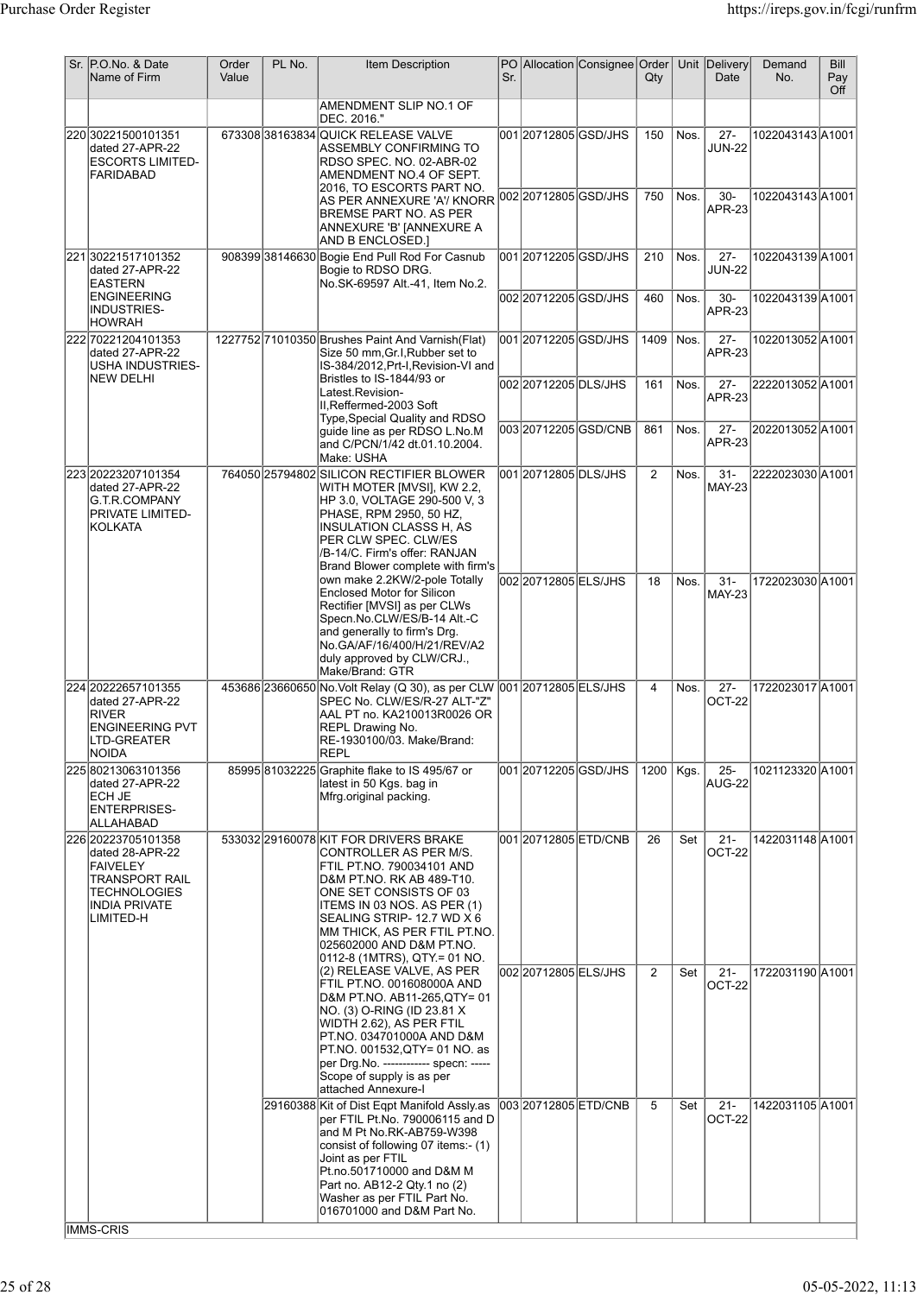| Sr. P.O.No. & Date<br>Name of Firm                                                                                                     | Order<br>Value | PL No. | <b>Item Description</b>                                                                                                                                                                                                                                                                                      | Sr. |                                                | PO Allocation Consignee Order | $Q$ ty         |              | Unit Delivery<br>Date            | Demand<br>No.                       | Bill<br>Pay<br>Off |
|----------------------------------------------------------------------------------------------------------------------------------------|----------------|--------|--------------------------------------------------------------------------------------------------------------------------------------------------------------------------------------------------------------------------------------------------------------------------------------------------------------|-----|------------------------------------------------|-------------------------------|----------------|--------------|----------------------------------|-------------------------------------|--------------------|
|                                                                                                                                        |                |        | AMENDMENT SLIP NO.1 OF<br>DEC. 2016."                                                                                                                                                                                                                                                                        |     |                                                |                               |                |              |                                  |                                     |                    |
| 22030221500101351<br>dated 27-APR-22<br><b>ESCORTS LIMITED-</b><br><b>FARIDABAD</b>                                                    |                |        | 67330838163834 QUICK RELEASE VALVE<br>ASSEMBLY CONFIRMING TO<br>RDSO SPEC. NO. 02-ABR-02<br>AMENDMENT NO.4 OF SEPT.<br>2016. TO ESCORTS PART NO.                                                                                                                                                             |     | 001 20712805 GSD/JHS                           |                               | 150            | Nos.         | $27 -$<br><b>JUN-22</b>          | 1022043143 A1001                    |                    |
|                                                                                                                                        |                |        | AS PER ANNEXURE 'A'/ KNORR 002 20712805 GSD/JHS<br><b>BREMSE PART NO. AS PER</b><br>ANNEXURE 'B' [ANNEXURE A<br>AND B ENCLOSED.]                                                                                                                                                                             |     |                                                |                               | 750            | Nos.         | $30-$<br><b>APR-23</b>           | 1022043143 A1001                    |                    |
| 22130221517101352<br>dated 27-APR-22<br><b>EASTERN</b><br><b>ENGINEERING</b>                                                           |                |        | 908399 38146630 Bogie End Pull Rod For Casnub<br>Bogie to RDSO DRG.<br>No.SK-69597 Alt.-41, Item No.2.                                                                                                                                                                                                       |     | 001 2071 2205 GSD/JHS<br>002 2071 2205 GSD/JHS |                               | 210<br>460     | Nos.<br>Nos. | $27 -$<br><b>JUN-22</b><br>$30-$ | 1022043139 A1001<br>1022043139A1001 |                    |
| INDUSTRIES-<br> HOWRAH                                                                                                                 |                |        |                                                                                                                                                                                                                                                                                                              |     |                                                |                               |                |              | APR-23                           |                                     |                    |
| 222 70221204101353<br>dated 27-APR-22<br>USHA INDUSTRIES-<br>NEW DELHI                                                                 |                |        | 1227752 71010350 Brushes Paint And Varnish (Flat)<br>Size 50 mm, Gr.I, Rubber set to<br>IS-384/2012, Prt-I, Revision-VI and<br>Bristles to IS-1844/93 or                                                                                                                                                     |     | 001 20712205 GSD/JHS                           |                               | 1409           | Nos.         | $27 -$<br><b>APR-23</b>          | 1022013052A1001                     |                    |
|                                                                                                                                        |                |        | Latest.Revision-<br>II, Reffermed-2003 Soft<br>Type, Special Quality and RDSO                                                                                                                                                                                                                                |     | 002 20712205 DLS/JHS                           |                               | 161            | Nos.         | $27 -$<br><b>APR-23</b>          | 2222013052A1001                     |                    |
|                                                                                                                                        |                |        | quide line as per RDSO L.No.M<br>and C/PCN/1/42 dt.01.10.2004.<br>Make: USHA                                                                                                                                                                                                                                 |     |                                                | 00320712205GSD/CNB            | 861            | Nos.         | $27 -$<br><b>APR-23</b>          | 2022013052A1001                     |                    |
| 223 20223207101354<br>dated 27-APR-22<br><b>G.T.R.COMPANY</b><br>PRIVATE LIMITED-<br> KOLKATA                                          |                |        | 764050 25794802 SILICON RECTIFIER BLOWER<br>WITH MOTER [MVSI], KW 2.2,<br>HP 3.0, VOLTAGE 290-500 V, 3<br>PHASE, RPM 2950, 50 HZ,<br><b>INSULATION CLASSS H, AS</b><br>PER CLW SPEC. CLW/ES<br>/B-14/C. Firm's offer: RANJAN<br>Brand Blower complete with firm's                                            |     | 001 2071 2805 DLS/JHS                          |                               | 2              | Nos.         | $31 -$<br><b>MAY-23</b>          | 2222023030 A1001                    |                    |
|                                                                                                                                        |                |        | own make 2.2KW/2-pole Totally<br><b>Enclosed Motor for Silicon</b><br>Rectifier [MVSI] as per CLWs<br>Specn.No.CLW/ES/B-14 Alt.-C<br>and generally to firm's Drg.<br>No.GA/AF/16/400/H/21/REV/A2<br>duly approved by CLW/CRJ.,<br>Make/Brand: GTR                                                            |     | 002 2071 2805 ELS/JHS                          |                               | 18             | Nos.         | $31 -$<br><b>MAY-23</b>          | 1722023030 A1001                    |                    |
| 224 2022 2657101355<br>dated 27-APR-22<br><b>RIVER</b><br><b>ENGINEERING PVT</b><br>LTD-GREATER<br>NOIDA                               |                |        | 453686 23660650 No. Volt Relay (Q 30), as per CLW 001 20712805 ELS/JHS<br>SPEC No. CLW/ES/R-27 ALT-"Z"<br>AAL PT no. KA210013R0026 OR<br>REPL Drawing No.<br>RE-1930100/03. Make/Brand:<br><b>REPL</b>                                                                                                       |     |                                                |                               | 4              | Nos.         | $27 -$<br>OCT-22                 | 1722023017 A1001                    |                    |
| 225 80213063101356<br>dated 27-APR-22<br>ECH JE<br>ENTERPRISES-<br> ALLAHABAD                                                          |                |        | 85995 81032225 Graphite flake to IS 495/67 or<br>latest in 50 Kgs. bag in<br>Mfrg.original packing.                                                                                                                                                                                                          |     | 001 20712205 GSD/JHS                           |                               | 1200           | Kgs.         | $25 -$<br>AUG-22                 | 1021123320 A1001                    |                    |
| 226 20223705101358<br>dated 28-APR-22<br><b>FAIVELEY</b><br>TRANSPORT RAIL<br><b>TECHNOLOGIES</b><br><b>INDIA PRIVATE</b><br>LIMITED-H |                |        | 533032 29160078 KIT FOR DRIVERS BRAKE<br>CONTROLLER AS PER M/S.<br>FTIL PT.NO. 790034101 AND<br>D&M PT.NO. RK AB 489-T10.<br>ONE SET CONSISTS OF 03<br>ITEMS IN 03 NOS. AS PER (1)<br>SEALING STRIP-12.7 WD X 6<br>MM THICK, AS PER FTIL PT.NO.<br>025602000 AND D&M PT.NO.<br>0112-8 (1MTRS), QTY = 01 NO.  |     | 001 20712805 ETD/CNB                           |                               | 26             | Set          | $21 -$<br>OCT-22                 | 1422031148 A1001                    |                    |
|                                                                                                                                        |                |        | (2) RELEASE VALVE, AS PER<br>FTIL PT.NO. 001608000A AND<br>D&M PT.NO. AB11-265,QTY= 01<br>NO. (3) O-RING (ID 23.81 X<br>WIDTH 2.62), AS PER FTIL<br>PT.NO. 034701000A AND D&M<br>PT.NO. 001532, QTY= 01 NO. as<br>per Drg. No. ------------ specn: -----<br>Scope of supply is as per<br>attached Annexure-I |     | 002 2071 2805 ELS/JHS                          |                               | $\overline{2}$ | Set          | $21 -$<br>OCT-22                 | 1722031190 A1001                    |                    |
|                                                                                                                                        |                |        | 29160388 Kit of Dist Eqpt Manifold Assly.as<br>per FTIL Pt.No. 790006115 and D<br>and M Pt No.RK-AB759-W398<br>consist of following 07 items:- (1)<br>Joint as per FTIL<br>Pt.no.501710000 and D&M M<br>Part no. AB12-2 Qty.1 no (2)<br>Washer as per FTIL Part No.<br>016701000 and D&M Part No.            |     | 003 2071 2805 ETD/CNB                          |                               | 5              | Set          | $21 -$<br>OCT-22                 | 1422031105 A1001                    |                    |
| <b>IMMS-CRIS</b>                                                                                                                       |                |        |                                                                                                                                                                                                                                                                                                              |     |                                                |                               |                |              |                                  |                                     |                    |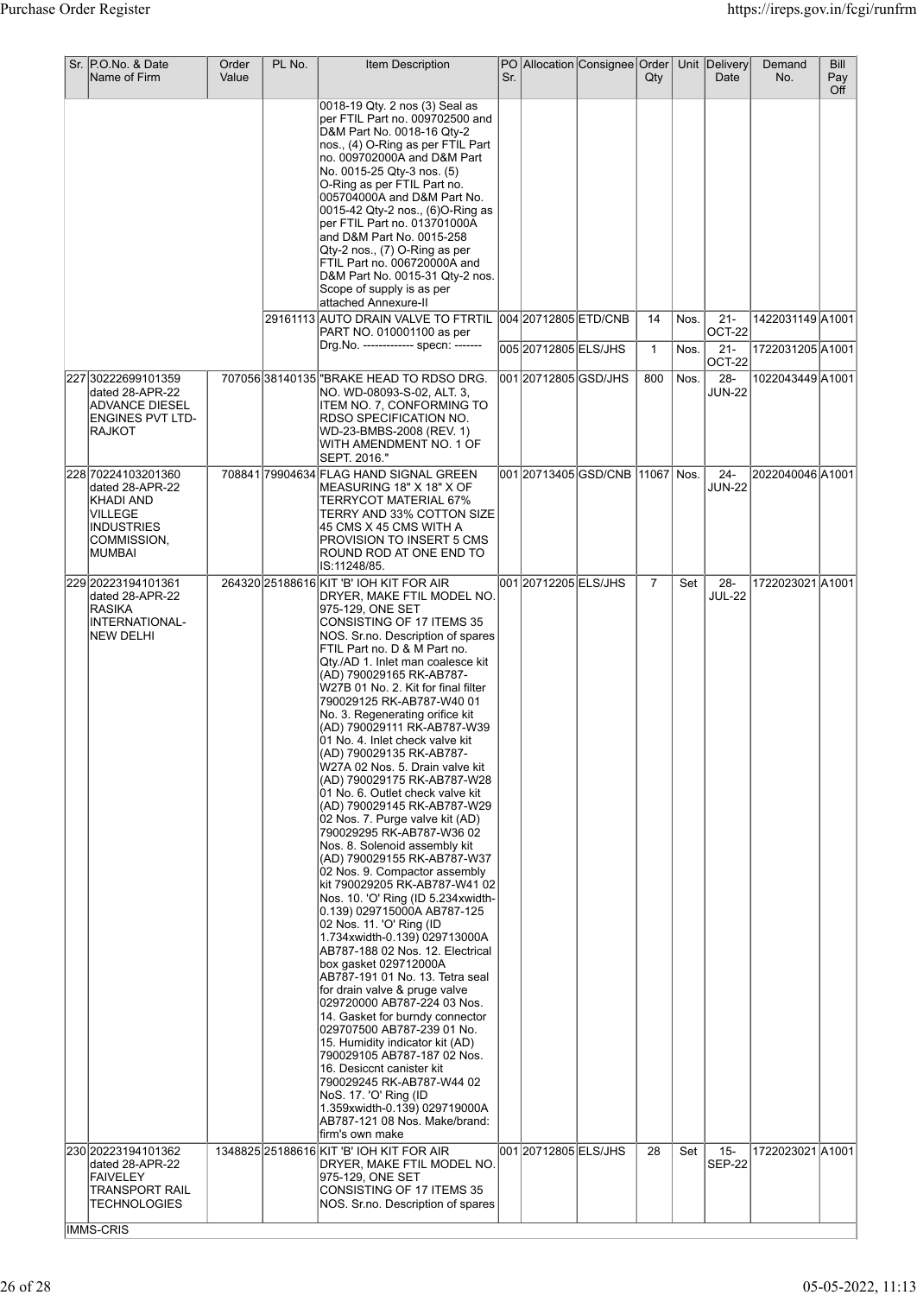| Sr. P.O.No. & Date<br>Name of Firm                                                                           | Order<br>Value | PL No. | Item Description                                                                                                                                                                                                                                                                                                                                                                                                                                                                                                                                                                                                                                                                                                                                                                                                                                                                                                                                                                                                                                                                                                                                                                                                                                                                                                                                                                                                        | Sr. |                       | PO Allocation Consignee Order | Qty                |              | Unit Delivery<br>Date      | Demand<br>No.                        | Bill<br>Pay<br>Off |
|--------------------------------------------------------------------------------------------------------------|----------------|--------|-------------------------------------------------------------------------------------------------------------------------------------------------------------------------------------------------------------------------------------------------------------------------------------------------------------------------------------------------------------------------------------------------------------------------------------------------------------------------------------------------------------------------------------------------------------------------------------------------------------------------------------------------------------------------------------------------------------------------------------------------------------------------------------------------------------------------------------------------------------------------------------------------------------------------------------------------------------------------------------------------------------------------------------------------------------------------------------------------------------------------------------------------------------------------------------------------------------------------------------------------------------------------------------------------------------------------------------------------------------------------------------------------------------------------|-----|-----------------------|-------------------------------|--------------------|--------------|----------------------------|--------------------------------------|--------------------|
|                                                                                                              |                |        | 0018-19 Qty. 2 nos (3) Seal as<br>per FTIL Part no. 009702500 and<br>D&M Part No. 0018-16 Qty-2<br>nos., (4) O-Ring as per FTIL Part<br>no. 009702000A and D&M Part<br>No. 0015-25 Qty-3 nos. (5)<br>O-Ring as per FTIL Part no.<br>005704000A and D&M Part No.<br>0015-42 Qty-2 nos., (6)O-Ring as<br>per FTIL Part no. 013701000A<br>and D&M Part No. 0015-258<br>Qty-2 nos., (7) O-Ring as per<br>FTIL Part no. 006720000A and<br>D&M Part No. 0015-31 Qty-2 nos.<br>Scope of supply is as per<br>attached Annexure-II                                                                                                                                                                                                                                                                                                                                                                                                                                                                                                                                                                                                                                                                                                                                                                                                                                                                                               |     |                       |                               |                    |              |                            |                                      |                    |
|                                                                                                              |                |        | 29161113 AUTO DRAIN VALVE TO FTRTIL 004 20712805 ETD/CNB<br>PART NO. 010001100 as per<br>Drg.No. ------------- specn: -------                                                                                                                                                                                                                                                                                                                                                                                                                                                                                                                                                                                                                                                                                                                                                                                                                                                                                                                                                                                                                                                                                                                                                                                                                                                                                           |     | 005 20712805 ELS/JHS  |                               | 14<br>$\mathbf{1}$ | Nos.<br>Nos. | $21 -$<br>OCT-22<br>$21 -$ | 1422031149 A1001<br>1722031205 A1001 |                    |
| 227 30222699101359                                                                                           |                |        | 707056 38140135   "BRAKE HEAD TO RDSO DRG.                                                                                                                                                                                                                                                                                                                                                                                                                                                                                                                                                                                                                                                                                                                                                                                                                                                                                                                                                                                                                                                                                                                                                                                                                                                                                                                                                                              |     | 001 20712805 GSD/JHS  |                               | 800                | Nos.         | OCT-22<br>28-              | 1022043449 A1001                     |                    |
| dated 28-APR-22<br>ADVANCE DIESEL<br>ENGINES PVT LTD-<br><b>RAJKOT</b>                                       |                |        | NO. WD-08093-S-02, ALT. 3,<br>ITEM NO. 7, CONFORMING TO<br>RDSO SPECIFICATION NO.<br>WD-23-BMBS-2008 (REV. 1)<br>WITH AMENDMENT NO. 1 OF<br>SEPT. 2016."                                                                                                                                                                                                                                                                                                                                                                                                                                                                                                                                                                                                                                                                                                                                                                                                                                                                                                                                                                                                                                                                                                                                                                                                                                                                |     |                       |                               |                    |              | <b>JUN-22</b>              |                                      |                    |
| 228 70224103201360<br>dated 28-APR-22<br>KHADI AND<br>VILLEGE<br><b>INDUSTRIES</b><br>COMMISSION,<br> MUMBAI |                |        | 708841 79904634 FLAG HAND SIGNAL GREEN<br>MEASURING 18" X 18" X OF<br>TERRYCOT MATERIAL 67%<br>TERRY AND 33% COTTON SIZE<br> 45 CMS X 45 CMS WITH A<br><b>PROVISION TO INSERT 5 CMS</b><br>ROUND ROD AT ONE END TO<br>IS:11248/85.                                                                                                                                                                                                                                                                                                                                                                                                                                                                                                                                                                                                                                                                                                                                                                                                                                                                                                                                                                                                                                                                                                                                                                                      |     |                       |                               |                    |              | $24-$<br><b>JUN-22</b>     | 2022040046 A1001                     |                    |
| 229 20223194101361<br>dated 28-APR-22<br><b>RASIKA</b><br>INTERNATIONAL-<br>NEW DELHI                        |                |        | 264320 25188616 KIT 'B' IOH KIT FOR AIR<br>DRYER, MAKE FTIL MODEL NO.<br>975-129, ONE SET<br>CONSISTING OF 17 ITEMS 35<br>NOS. Sr.no. Description of spares<br>FTIL Part no. D & M Part no.<br>Qty./AD 1. Inlet man coalesce kit<br>(AD) 790029165 RK-AB787-<br>W27B 01 No. 2. Kit for final filter<br>790029125 RK-AB787-W40 01<br>No. 3. Regenerating orifice kit<br>(AD) 790029111 RK-AB787-W39<br>01 No. 4. Inlet check valve kit<br>(AD) 790029135 RK-AB787-<br>W27A 02 Nos. 5. Drain valve kit<br>(AD) 790029175 RK-AB787-W28<br>01 No. 6. Outlet check valve kit<br>(AD) 790029145 RK-AB787-W29<br>02 Nos. 7. Purge valve kit (AD)<br>790029295 RK-AB787-W36 02<br>Nos. 8. Solenoid assembly kit<br>(AD) 790029155 RK-AB787-W37<br>02 Nos. 9. Compactor assembly<br>kit 790029205 RK-AB787-W41 02<br>Nos. 10. 'O' Ring (ID 5.234xwidth-<br>0.139) 029715000A AB787-125<br>02 Nos. 11. 'O' Ring (ID<br>1.734xwidth-0.139) 029713000A<br>AB787-188 02 Nos. 12. Electrical<br>box gasket 029712000A<br> AB787-191 01 No. 13. Tetra seal<br>for drain valve & pruge valve<br>029720000 AB787-224 03 Nos.<br>14. Gasket for burndy connector<br>029707500 AB787-239 01 No.<br>15. Humidity indicator kit (AD)<br>790029105 AB787-187 02 Nos.<br>16. Desiccnt canister kit<br>790029245 RK-AB787-W44 02<br>NoS. 17. 'O' Ring (ID<br>1.359xwidth-0.139) 029719000A<br> AB787-121 08 Nos. Make/brand:<br>firm's own make |     | 001 20712205 ELS/JHS  |                               | $\overline{7}$     | Set          | $28 -$<br><b>JUL-22</b>    | 1722023021 A1001                     |                    |
| 230 20223194101362<br>dated 28-APR-22<br><b>FAIVELEY</b><br>TRANSPORT RAIL<br>TECHNOLOGIES                   |                |        | 1348825 25188616 KIT 'B' IOH KIT FOR AIR<br>DRYER, MAKE FTIL MODEL NO.<br>975-129, ONE SET<br>CONSISTING OF 17 ITEMS 35<br>NOS. Sr.no. Description of spares                                                                                                                                                                                                                                                                                                                                                                                                                                                                                                                                                                                                                                                                                                                                                                                                                                                                                                                                                                                                                                                                                                                                                                                                                                                            |     | 001 2071 2805 ELS/JHS |                               | 28                 | Set          | $15 -$<br><b>SEP-22</b>    | 1722023021 A1001                     |                    |
| <b>IMMS-CRIS</b>                                                                                             |                |        |                                                                                                                                                                                                                                                                                                                                                                                                                                                                                                                                                                                                                                                                                                                                                                                                                                                                                                                                                                                                                                                                                                                                                                                                                                                                                                                                                                                                                         |     |                       |                               |                    |              |                            |                                      |                    |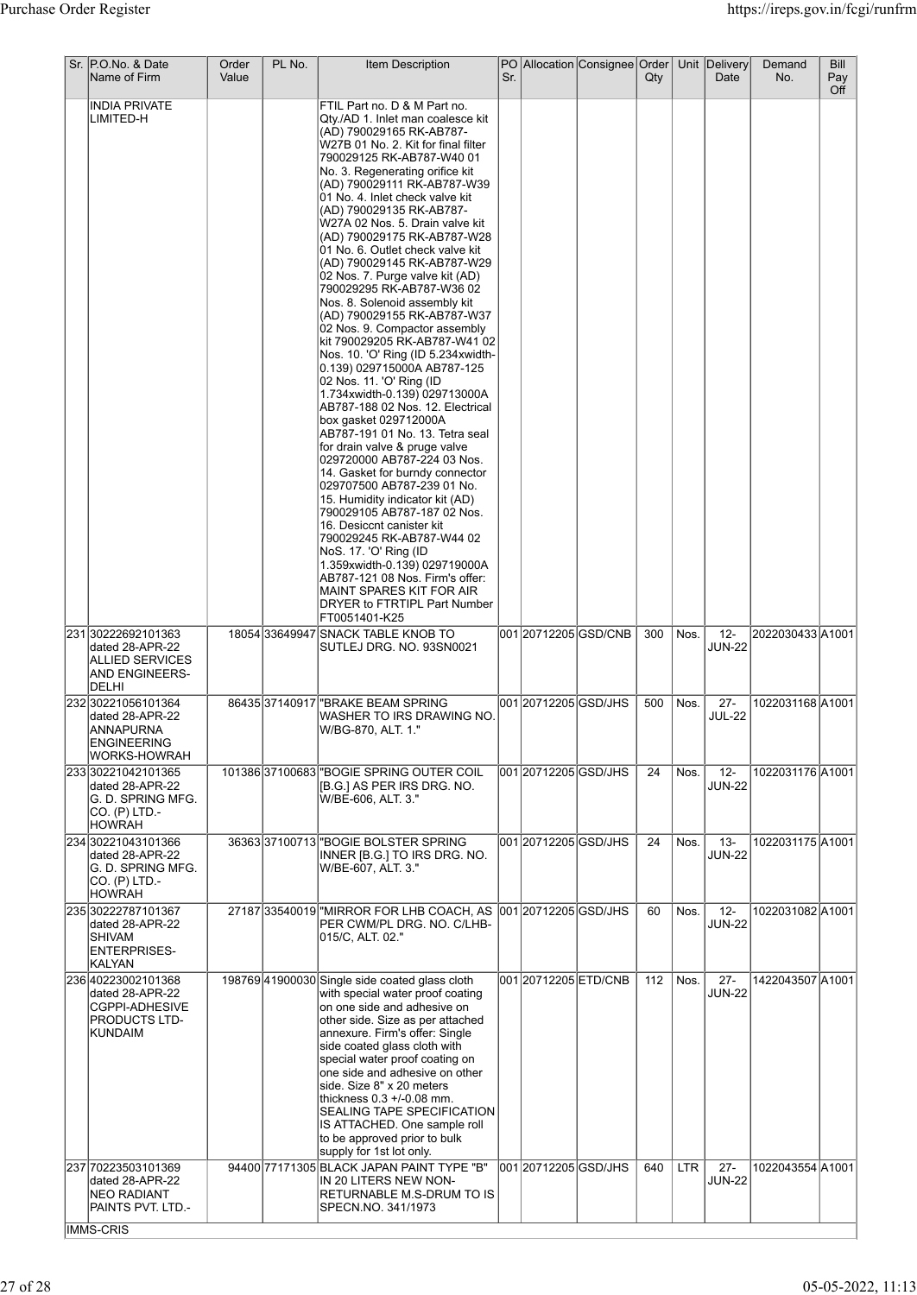|           | Name of Firm                                                                                             | Value |                                                                                                                                                                                                                                                                                                                                                                                                                                                                                                                                                                                                                                                                                                                                                                                                                                                                                                                                                                                                                                                                                                                                                                                                                                                                                                                     | Sr. |                       | PO Allocation Consignee Order | Qty |            | Unit Delivery<br>Date            | Demand<br>No.    | Bill<br>Pay<br>Off |
|-----------|----------------------------------------------------------------------------------------------------------|-------|---------------------------------------------------------------------------------------------------------------------------------------------------------------------------------------------------------------------------------------------------------------------------------------------------------------------------------------------------------------------------------------------------------------------------------------------------------------------------------------------------------------------------------------------------------------------------------------------------------------------------------------------------------------------------------------------------------------------------------------------------------------------------------------------------------------------------------------------------------------------------------------------------------------------------------------------------------------------------------------------------------------------------------------------------------------------------------------------------------------------------------------------------------------------------------------------------------------------------------------------------------------------------------------------------------------------|-----|-----------------------|-------------------------------|-----|------------|----------------------------------|------------------|--------------------|
|           | <b>INDIA PRIVATE</b><br>LIMITED-H                                                                        |       | FTIL Part no. D & M Part no.<br>Qty./AD 1. Inlet man coalesce kit<br>(AD) 790029165 RK-AB787-<br>W27B 01 No. 2. Kit for final filter<br>790029125 RK-AB787-W40 01<br>No. 3. Regenerating orifice kit<br>(AD) 790029111 RK-AB787-W39<br>01 No. 4. Inlet check valve kit<br>(AD) 790029135 RK-AB787-<br>W27A 02 Nos. 5. Drain valve kit<br>(AD) 790029175 RK-AB787-W28<br>01 No. 6. Outlet check valve kit<br>(AD) 790029145 RK-AB787-W29<br>02 Nos. 7. Purge valve kit (AD)<br>790029295 RK-AB787-W36 02<br>Nos. 8. Solenoid assembly kit<br>(AD) 790029155 RK-AB787-W37<br>02 Nos. 9. Compactor assembly<br>kit 790029205 RK-AB787-W41 02<br>Nos. 10. 'O' Ring (ID 5.234xwidth-<br>0.139) 029715000A AB787-125<br>02 Nos. 11. 'O' Ring (ID<br>1.734xwidth-0.139) 029713000A<br>AB787-188 02 Nos. 12. Electrical<br>box gasket 029712000A<br>AB787-191 01 No. 13. Tetra seal<br>for drain valve & pruge valve<br>029720000 AB787-224 03 Nos.<br>14. Gasket for burndy connector<br>029707500 AB787-239 01 No.<br>15. Humidity indicator kit (AD)<br>790029105 AB787-187 02 Nos.<br>16. Desiccnt canister kit<br>790029245 RK-AB787-W44 02<br> NoS. 17. 'O' Ring (ID<br>1.359xwidth-0.139) 029719000A<br>AB787-121 08 Nos. Firm's offer:<br>MAINT SPARES KIT FOR AIR<br>DRYER to FTRTIPL Part Number<br>FT0051401-K25 |     |                       |                               |     |            |                                  |                  |                    |
|           | 23130222692101363<br>dated 28-APR-22<br><b>ALLIED SERVICES</b><br><b>AND ENGINEERS-</b><br>DELHI         |       | 18054 33649947 SNACK TABLE KNOB TO<br>SUTLEJ DRG. NO. 93SN0021                                                                                                                                                                                                                                                                                                                                                                                                                                                                                                                                                                                                                                                                                                                                                                                                                                                                                                                                                                                                                                                                                                                                                                                                                                                      |     |                       | 001 20712205 GSD/CNB          | 300 | Nos.       | $12 -$<br><b>JUN-22</b>          | 2022030433 A1001 |                    |
|           | 232 30221056101364<br>dated 28-APR-22<br>ANNAPURNA<br><b>ENGINEERING</b><br><b>WORKS-HOWRAH</b>          |       | 86435 37140917 BRAKE BEAM SPRING<br>WASHER TO IRS DRAWING NO.<br> W/BG-870, ALT. 1."                                                                                                                                                                                                                                                                                                                                                                                                                                                                                                                                                                                                                                                                                                                                                                                                                                                                                                                                                                                                                                                                                                                                                                                                                                |     | 001 2071 2205 GSD/JHS |                               | 500 | Nos.       | $27 -$<br><b>JUL-22</b>          | 1022031168 A1001 |                    |
|           | 233 30221042101365<br>dated 28-APR-22<br>G. D. SPRING MFG.<br>CO. (P) LTD.-<br><b>HOWRAH</b>             |       | 101386 37100683 BOGIE SPRING OUTER COIL<br>[[B.G.] AS PER IRS DRG. NO.<br>W/BE-606, ALT. 3."                                                                                                                                                                                                                                                                                                                                                                                                                                                                                                                                                                                                                                                                                                                                                                                                                                                                                                                                                                                                                                                                                                                                                                                                                        |     | 00120712205GSD/JHS    |                               | 24  | Nos.       | $\overline{12}$<br><b>JUN-22</b> | 1022031176 A1001 |                    |
|           | 234 30221043101366<br>dated 28-APR-22<br>G. D. SPRING MFG.<br>CO. (P) LTD.-<br><b>HOWRAH</b>             |       | 36363 37100713 BOGIE BOLSTER SPRING<br>INNER [B.G.] TO IRS DRG. NO.<br>W/BE-607, ALT. 3."                                                                                                                                                                                                                                                                                                                                                                                                                                                                                                                                                                                                                                                                                                                                                                                                                                                                                                                                                                                                                                                                                                                                                                                                                           |     | 00120712205GSD/JHS    |                               | 24  | Nos.       | $13 -$<br><b>JUN-22</b>          | 1022031175 A1001 |                    |
|           | 235 30222787101367<br>dated 28-APR-22<br>SHIVAM<br><b>ENTERPRISES-</b><br>KALYAN                         |       | 27187 33540019 MIRROR FOR LHB COACH, AS 001 2071 2205 GSD/JHS<br>PER CWM/PL DRG. NO. C/LHB-<br>015/C, ALT. 02."                                                                                                                                                                                                                                                                                                                                                                                                                                                                                                                                                                                                                                                                                                                                                                                                                                                                                                                                                                                                                                                                                                                                                                                                     |     |                       |                               | 60  | Nos.       | $12 -$<br><b>JUN-22</b>          | 1022031082 A1001 |                    |
|           | 236 40223002101368<br>dated 28-APR-22<br><b>CGPPI-ADHESIVE</b><br><b>PRODUCTS LTD-</b><br><b>KUNDAIM</b> |       | 198769 41900030 Single side coated glass cloth<br>with special water proof coating<br>on one side and adhesive on<br>other side. Size as per attached<br>annexure. Firm's offer: Single<br>side coated glass cloth with<br>special water proof coating on<br>one side and adhesive on other<br>side. Size 8" x 20 meters<br>thickness 0.3 +/-0.08 mm.<br><b>SEALING TAPE SPECIFICATION</b><br>IS ATTACHED. One sample roll<br>to be approved prior to bulk<br>supply for 1st lot only.                                                                                                                                                                                                                                                                                                                                                                                                                                                                                                                                                                                                                                                                                                                                                                                                                              |     | 001 20712205 ETD/CNB  |                               | 112 | Nos.       | $27 -$<br><b>JUN-22</b>          | 1422043507 A1001 |                    |
| IMMS-CRIS | 237 70223503101369<br>dated 28-APR-22<br><b>NEO RADIANT</b><br>PAINTS PVT. LTD.-                         |       | 94400 77171305 BLACK JAPAN PAINT TYPE "B"<br>IN 20 LITERS NEW NON-<br>RETURNABLE M.S-DRUM TO IS<br>SPECN.NO. 341/1973                                                                                                                                                                                                                                                                                                                                                                                                                                                                                                                                                                                                                                                                                                                                                                                                                                                                                                                                                                                                                                                                                                                                                                                               |     | 001 20712205 GSD/JHS  |                               | 640 | <b>LTR</b> | $27 -$<br><b>JUN-22</b>          | 1022043554 A1001 |                    |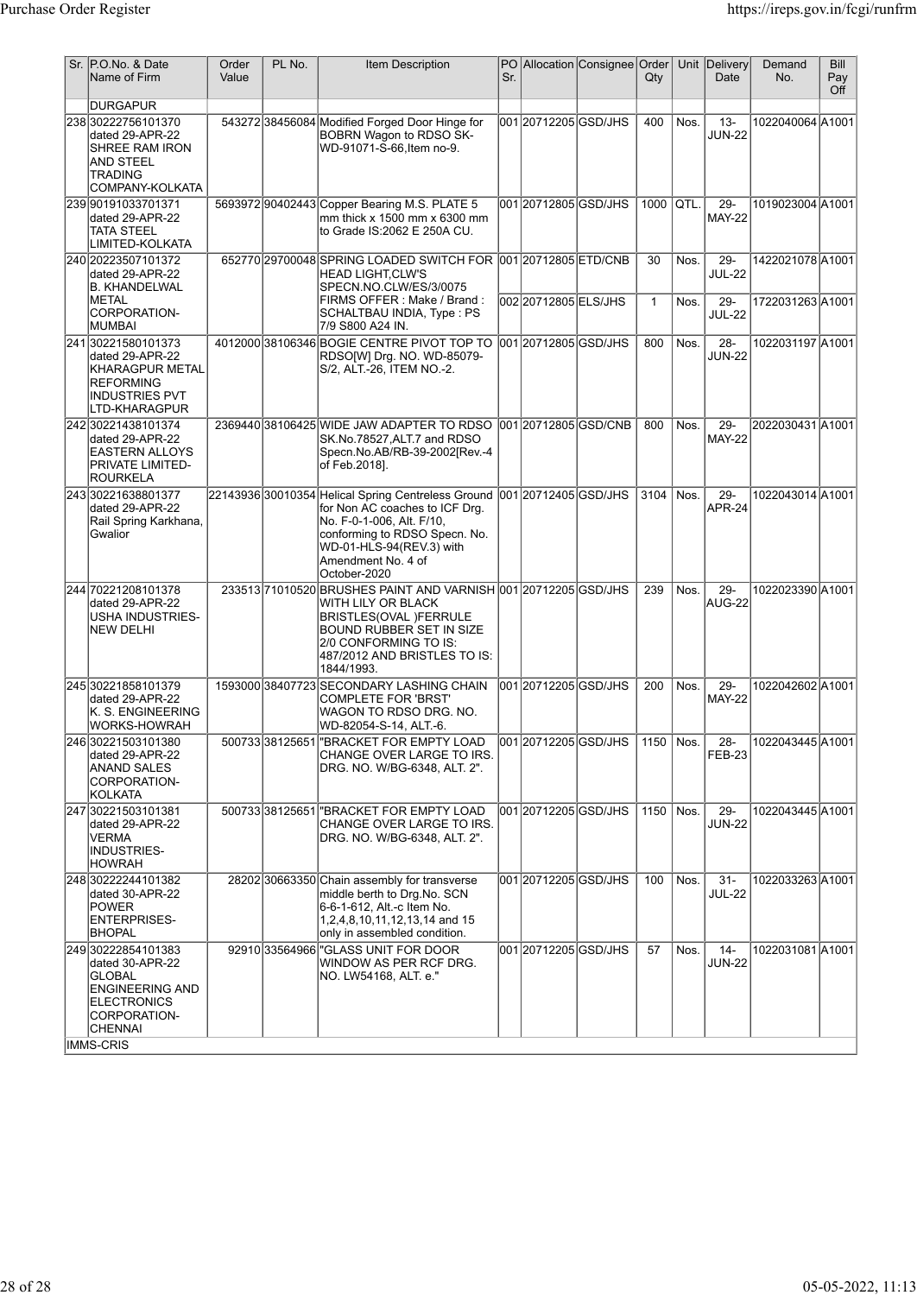| Sr. P.O.No. & Date<br>Name of Firm                                                                                                             | Order<br>Value | PL No. | Item Description                                                                                                                                                                                                                          | Sr. |                                               | PO Allocation Consignee Order | Qty                |              | Unit Delivery<br>Date          | Demand<br>No.                       | <b>Bill</b><br>Pay<br>Off |
|------------------------------------------------------------------------------------------------------------------------------------------------|----------------|--------|-------------------------------------------------------------------------------------------------------------------------------------------------------------------------------------------------------------------------------------------|-----|-----------------------------------------------|-------------------------------|--------------------|--------------|--------------------------------|-------------------------------------|---------------------------|
| <b>DURGAPUR</b>                                                                                                                                |                |        |                                                                                                                                                                                                                                           |     |                                               |                               |                    |              |                                |                                     |                           |
| 238 30222756101370<br>dated 29-APR-22<br><b>SHREE RAM IRON</b><br>AND STEEL<br><b>TRADING</b><br>COMPANY-KOLKATA                               |                |        | 543272 38456084 Modified Forged Door Hinge for<br>BOBRN Wagon to RDSO SK-<br>WD-91071-S-66.Item no-9.                                                                                                                                     |     | 001 20712205 GSD/JHS                          |                               | 400                | Nos.         | $13 -$<br><b>JUN-22</b>        | 1022040064 A1001                    |                           |
| 239 90191033701371<br>dated 29-APR-22<br><b>TATA STEEL</b><br>LIMITED-KOLKATA                                                                  |                |        | 5693972 90402443 Copper Bearing M.S. PLATE 5<br>mm thick $x$ 1500 mm $x$ 6300 mm<br>to Grade IS:2062 E 250A CU.                                                                                                                           |     | 001 2071 2805 GSD/JHS                         |                               | 1000               | QTL.         | $29 -$<br><b>MAY-22</b>        | 1019023004 A1001                    |                           |
| 240 20223507101372<br>dated 29-APR-22<br>B. KHANDELWAL<br><b>IMETAL</b>                                                                        |                |        | 652770 29700048 SPRING LOADED SWITCH FOR<br><b>HEAD LIGHT,CLW'S</b><br>SPECN.NO.CLW/ES/3/0075<br> FIRMS OFFER : Make / Brand :                                                                                                            |     | 001 20712805 ETD/CNB<br>002 2071 2805 ELS/JHS |                               | 30<br>$\mathbf{1}$ | Nos.<br>Nos. | 29-<br><b>JUL-22</b><br>$29 -$ | 1422021078 A1001<br>1722031263A1001 |                           |
| CORPORATION-<br> MUMBAI                                                                                                                        |                |        | SCHALTBAU INDIA, Type: PS<br>7/9 S800 A24 IN.                                                                                                                                                                                             |     |                                               |                               |                    |              | <b>JUL-22</b>                  |                                     |                           |
| 241 30221580101373<br>dated 29-APR-22<br><b>KHARAGPUR METAL</b><br>REFORMING<br><b>INDUSTRIES PVT</b><br>LTD-KHARAGPUR                         |                |        | 4012000 38106346 BOGIE CENTRE PIVOT TOP TO<br>RDSO[W] Drg. NO. WD-85079-<br>S/2, ALT.-26, ITEM NO.-2.                                                                                                                                     |     | 001 2071 2805 GSD/JHS                         |                               | 800                | Nos.         | $28 -$<br><b>JUN-22</b>        | 1022031197 A1001                    |                           |
| 242 30221438101374<br>dated 29-APR-22<br><b>EASTERN ALLOYS</b><br><b>PRIVATE LIMITED-</b><br><b>ROURKELA</b>                                   |                |        | 2369440 38106425 WIDE JAW ADAPTER TO RDSO 001 2071 2805 GSD/CNB<br>SK.No.78527, ALT.7 and RDSO<br>Specn.No.AB/RB-39-2002[Rev.-4<br>of Feb.2018].                                                                                          |     |                                               |                               | 800                | Nos.         | 29-<br><b>MAY-22</b>           | 2022030431 A1001                    |                           |
| 24330221638801377<br>dated 29-APR-22<br>Rail Spring Karkhana,<br>Gwalior                                                                       |                |        | 22143936 30010354 Helical Spring Centreless Ground 001 20712405 GSD/JHS<br>for Non AC coaches to ICF Drg.<br>No. F-0-1-006, Alt. F/10,<br>conforming to RDSO Specn. No.<br>WD-01-HLS-94(REV.3) with<br>Amendment No. 4 of<br>October-2020 |     |                                               |                               | 3104               | l Nos.       | $29 -$<br><b>APR-24</b>        | 1022043014 A1001                    |                           |
| 244 70221208101378<br>dated 29-APR-22<br><b>USHA INDUSTRIES-</b><br><b>NEW DELHI</b>                                                           |                |        | 233513 71010520 BRUSHES PAINT AND VARNISH 001 20712205 GSD/JHS<br>WITH LILY OR BLACK<br><b>BRISTLES(OVAL )FERRULE</b><br>BOUND RUBBER SET IN SIZE<br>2/0 CONFORMING TO IS:<br>487/2012 AND BRISTLES TO IS:<br>1844/1993.                  |     |                                               |                               | 239                | Nos.         | $29 -$<br>AUG-22               | 1022023390 A1001                    |                           |
| 245 30221858101379<br>dated 29-APR-22<br>K. S. ENGINEERING<br>WORKS-HOWRAH                                                                     |                |        | 1593000 38407723 SECONDARY LASHING CHAIN<br>COMPLETE FOR 'BRST'<br>WAGON TO RDSO DRG. NO.<br>WD-82054-S-14, ALT.-6.                                                                                                                       |     | 001 20712205 GSD/JHS                          |                               | 200                | Nos.         | $29 -$<br><b>MAY-22</b>        | 1022042602A1001                     |                           |
| 24630221503101380<br>dated 29-APR-22<br>ANAND SALES<br>CORPORATION-<br> KOLKATA                                                                |                |        | 500733 38125651 BRACKET FOR EMPTY LOAD<br>CHANGE OVER LARGE TO IRS.<br>DRG. NO. W/BG-6348, ALT. 2".                                                                                                                                       |     |                                               | loo1l20712205lGSD/JHS         | 1150 $ $ Nos.      |              | $28 -$<br>FEB-23               | 1022043445 A1001                    |                           |
| 247 30221503101381<br>dated 29-APR-22<br><b>VERMA</b><br><b>INDUSTRIES-</b><br><b>HOWRAH</b>                                                   |                |        | 500733338125651 BRACKET FOR EMPTY LOAD<br>CHANGE OVER LARGE TO IRS.<br>DRG. NO. W/BG-6348, ALT. 2".                                                                                                                                       |     | 001 2071 2205 GSD/JHS                         |                               | 1150 Nos.          |              | $29 -$<br><b>JUN-22</b>        | 1022043445 A1001                    |                           |
| 248 30222244101382<br>dated 30-APR-22<br><b>POWER</b><br><b>ENTERPRISES-</b><br> BHOPAL                                                        |                |        | 28202 30663350 Chain assembly for transverse<br>middle berth to Drg.No. SCN<br>6-6-1-612, Alt.-c Item No.<br>1,2,4,8,10,11,12,13,14 and 15<br>only in assembled condition.                                                                |     | 001 20712205 GSD/JHS                          |                               | 100                | Nos.         | $31 -$<br><b>JUL-22</b>        | 1022033263A1001                     |                           |
| 249 30222854101383<br>dated 30-APR-22<br>GLOBAL<br><b>ENGINEERING AND</b><br><b>ELECTRONICS</b><br>CORPORATION-<br><b>CHENNAI</b><br>IMMS-CRIS |                |        | 92910 33564966 "GLASS UNIT FOR DOOR<br>WINDOW AS PER RCF DRG.<br>NO. LW54168, ALT. e."                                                                                                                                                    |     | 001 2071 2205 GSD/JHS                         |                               | 57                 | Nos.         | $14 -$<br><b>JUN-22</b>        | 1022031081 A1001                    |                           |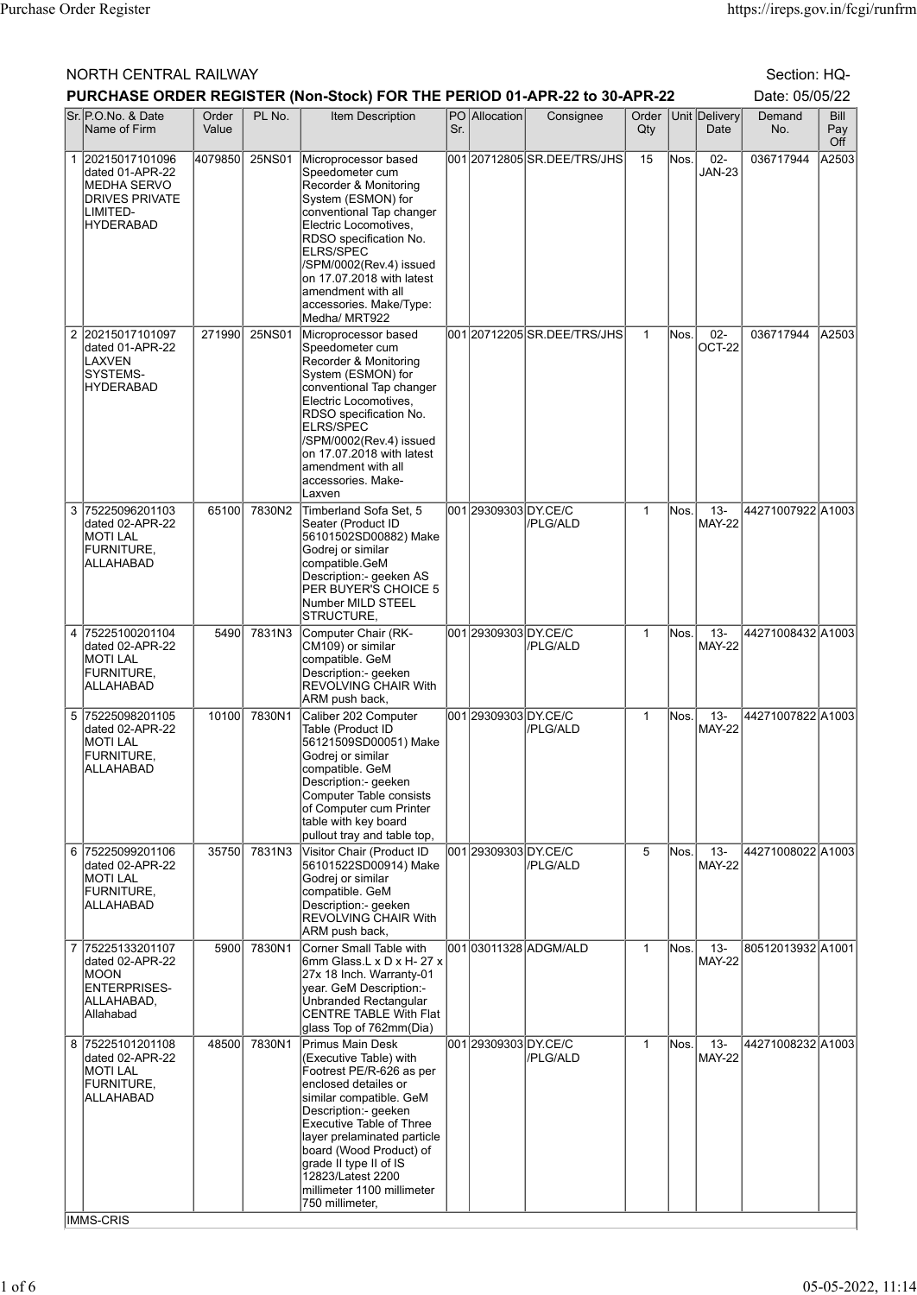## NORTH CENTRAL RAILWAY Section: HQ-

|   | PURCHASE ORDER REGISTER (Non-Stock) FOR THE PERIOD 01-APR-22 to 30-APR-22<br>Date: 05/05/22<br>PO Allocation<br>Sr. P.O.No. & Date<br>PL No.<br>Order   Unit   Delivery<br>Demand<br>Bill |                |        |                                                                                                                                                                                                                                                                                                                                         |     |                      |                             |              |       |                         |                   |            |
|---|-------------------------------------------------------------------------------------------------------------------------------------------------------------------------------------------|----------------|--------|-----------------------------------------------------------------------------------------------------------------------------------------------------------------------------------------------------------------------------------------------------------------------------------------------------------------------------------------|-----|----------------------|-----------------------------|--------------|-------|-------------------------|-------------------|------------|
|   | Name of Firm                                                                                                                                                                              | Order<br>Value |        | <b>Item Description</b>                                                                                                                                                                                                                                                                                                                 | Sr. |                      | Consignee                   | $Q$ ty       |       | Date                    | No.               | Pay<br>Off |
|   | 1 20215017101096<br>dated 01-APR-22<br>MEDHA SERVO<br><b>DRIVES PRIVATE</b><br>LIMITED-<br><b>HYDERABAD</b>                                                                               | 4079850        | 25NS01 | Microprocessor based<br>Speedometer cum<br>Recorder & Monitoring<br>System (ESMON) for<br>conventional Tap changer<br>Electric Locomotives,<br>RDSO specification No.<br><b>ELRS/SPEC</b><br>/SPM/0002(Rev.4) issued<br>on 17.07.2018 with latest<br>amendment with all<br>accessories. Make/Type:<br>Medha/ MRT922                     |     |                      | 001 20712805 SR.DEE/TRS/JHS | 15           | Nos.  | $02 -$<br><b>JAN-23</b> | 036717944         | A2503      |
|   | 2 20215017101097<br>dated 01-APR-22<br>LAXVEN<br>SYSTEMS-<br>HYDERABAD                                                                                                                    | 271990         | 25NS01 | Microprocessor based<br>Speedometer cum<br>Recorder & Monitoring<br>System (ESMON) for<br>conventional Tap changer<br>Electric Locomotives,<br>RDSO specification No.<br><b>ELRS/SPEC</b><br>/SPM/0002(Rev.4) issued<br>on 17.07.2018 with latest<br>amendment with all<br>accessories. Make-<br>Laxven                                 |     |                      | 001 20712205 SR.DEE/TRS/JHS | $\mathbf{1}$ | Nos.  | $02-$<br>OCT-22         | 036717944         | A2503      |
| 3 | 75225096201103<br>dated 02-APR-22<br><b>MOTI LAL</b><br>FURNITURE,<br>ALLAHABAD                                                                                                           | 65100          | 7830N2 | Timberland Sofa Set, 5<br>Seater (Product ID<br>56101502SD00882) Make<br>Godrej or similar<br>compatible.GeM<br>Description:- geeken AS<br>PER BUYER'S CHOICE 5<br>Number MILD STEEL<br>STRUCTURE,                                                                                                                                      |     | 001 29309303 DY.CE/C | /PLG/ALD                    | $\mathbf{1}$ | Nos.  | $13 -$<br><b>MAY-22</b> | 44271007922 A1003 |            |
|   | 4 75225100201104<br>dated 02-APR-22<br><b>MOTI LAL</b><br>FURNITURE,<br>ALLAHABAD                                                                                                         | 5490           | 7831N3 | Computer Chair (RK-<br>CM109) or similar<br>compatible. GeM<br>Description:- geeken<br><b>REVOLVING CHAIR With</b><br>ARM push back,                                                                                                                                                                                                    |     | 001 29309303 DY.CE/C | /PLG/ALD                    | $\mathbf{1}$ | Nos.  | $13 -$<br><b>MAY-22</b> | 44271008432 A1003 |            |
|   | 5 75225098201105<br>dated 02-APR-22<br>MOTI LAL<br>FURNITURE,<br>ALLAHABAD                                                                                                                | 10100          | 7830N1 | Caliber 202 Computer<br>Table (Product ID<br>56121509SD00051) Make<br>Godrej or similar<br>compatible. GeM<br>Description:- geeken<br>Computer Table consists<br>of Computer cum Printer<br>table with key board<br>pullout tray and table top,                                                                                         |     | 001 29309303 DY.CE/C | //PLG/ALD                   | $\mathbf{1}$ | Nos.  | $13 -$<br><b>MAY-22</b> | 44271007822 A1003 |            |
|   | 6 75225099201106<br>dated 02-APR-22<br><b>MOTI LAL</b><br>FURNITURE,<br>ALLAHABAD                                                                                                         | 35750          | 7831N3 | Visitor Chair (Product ID<br>56101522SD00914) Make<br>Godrej or similar<br>compatible. GeM<br>Description:- geeken<br><b>REVOLVING CHAIR With</b><br>ARM push back,                                                                                                                                                                     |     | 001 29309303 DY.CE/C | //PLG/ALD                   | 5            | Nos.  | $13 -$<br><b>MAY-22</b> | 44271008022 A1003 |            |
|   | 7 75225133201107<br>dated 02-APR-22<br>MOON<br><b>ENTERPRISES-</b><br>ALLAHABAD,<br>Allahabad                                                                                             | 5900           | 7830N1 | Corner Small Table with<br>6mm Glass.L x D x H- 27 x<br>27x 18 Inch. Warranty-01<br>year. GeM Description:-<br>Unbranded Rectangular<br>CENTRE TABLE With Flat<br>glass Top of 762mm(Dia)                                                                                                                                               |     |                      | 001 03011328 ADGM/ALD       | $\mathbf{1}$ | lNos. | $13 -$<br><b>MAY-22</b> | 80512013932 A1001 |            |
| 8 | 75225101201108<br>dated 02-APR-22<br><b>MOTILAL</b><br>FURNITURE,<br>ALLAHABAD<br><b>IMMS-CRIS</b>                                                                                        | 48500          | 7830N1 | Primus Main Desk<br>(Executive Table) with<br>Footrest PE/R-626 as per<br>enclosed detailes or<br>similar compatible. GeM<br>Description:- geeken<br>Executive Table of Three<br>layer prelaminated particle<br>board (Wood Product) of<br>grade II type II of IS<br>12823/Latest 2200<br>millimeter 1100 millimeter<br>750 millimeter, |     | 001 29309303 DY.CE/C | /PLG/ALD                    | $\mathbf{1}$ | Nos.  | $13 -$<br><b>MAY-22</b> | 44271008232 A1003 |            |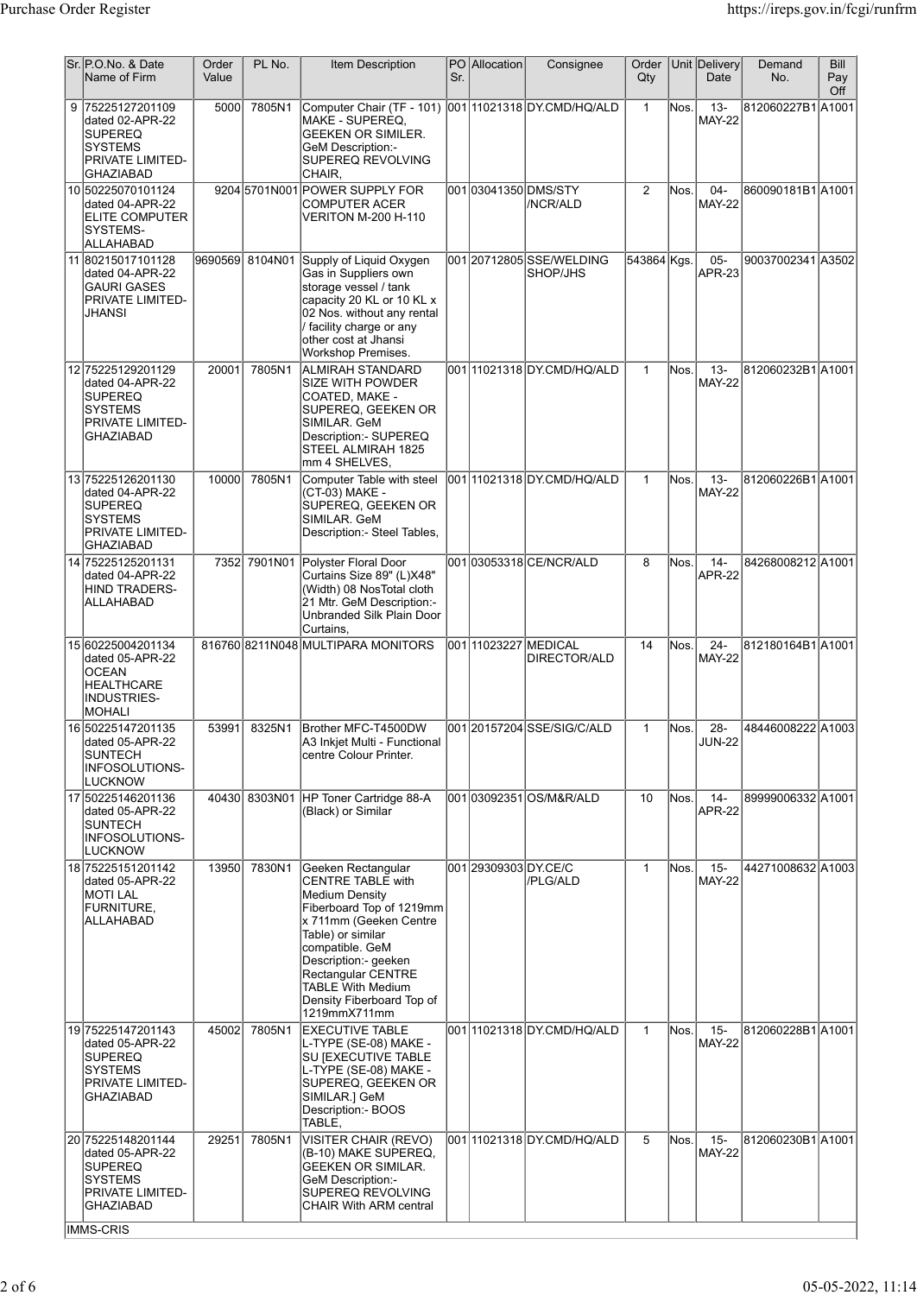|   | Sr. P.O.No. & Date<br>Name of Firm                                                                        | Order<br>Value | PL No.          | Item Description                                                                                                                                                                                                                                                                             | Sr. | PO Allocation        | Consignee                            | Order<br>$Q$ ty |       | Unit Delivery<br>Date   | Demand<br>No.     | <b>Bill</b><br>Pay<br>Off |
|---|-----------------------------------------------------------------------------------------------------------|----------------|-----------------|----------------------------------------------------------------------------------------------------------------------------------------------------------------------------------------------------------------------------------------------------------------------------------------------|-----|----------------------|--------------------------------------|-----------------|-------|-------------------------|-------------------|---------------------------|
| 9 | 75225127201109<br>dated 02-APR-22<br>SUPEREQ<br><b>SYSTEMS</b><br>PRIVATE LIMITED-<br>GHAZIABAD           | 5000           | 7805N1          | Computer Chair (TF - 101) 001 11021318 DY.CMD/HQ/ALD<br>MAKE - SUPEREQ,<br>GEEKEN OR SIMILER.<br>GeM Description:-<br>SUPEREQ REVOLVING<br>CHAIR,                                                                                                                                            |     |                      |                                      | $\mathbf{1}$    | Nos.  | $13 -$<br><b>MAY-22</b> | 812060227B1 A1001 |                           |
|   | 10 50225070101124<br>dated 04-APR-22<br>ELITE COMPUTER<br>SYSTEMS-<br>ALLAHABAD                           |                |                 | 9204 5701 N001 POWER SUPPLY FOR<br><b>COMPUTER ACER</b><br>VERITON M-200 H-110                                                                                                                                                                                                               |     |                      | 001 03041350 DMS/STY<br>/NCR/ALD     | $\overline{2}$  | Nos.  | $04 -$<br><b>MAY-22</b> | 860090181B1 A1001 |                           |
|   | 11 80215017101128<br>dated 04-APR-22<br>GAURI GASES<br>PRIVATE LIMITED-<br>JHANSI                         |                | 9690569 8104N01 | Supply of Liquid Oxygen<br>Gas in Suppliers own<br>storage vessel / tank<br>capacity 20 KL or 10 KL x<br>02 Nos. without any rental<br>facility charge or any<br>other cost at Jhansi<br>Workshop Premises.                                                                                  |     |                      | 001 20712805 SSE/WELDING<br>SHOP/JHS | 543864 Kgs.     |       | $05-$<br><b>APR-23</b>  | 90037002341 A3502 |                           |
|   | 12 75225129201129<br>dated 04-APR-22<br>SUPEREQ<br><b>SYSTEMS</b><br>PRIVATE LIMITED-<br><b>GHAZIABAD</b> | 20001          | 7805N1          | ALMIRAH STANDARD<br>SIZE WITH POWDER<br>COATED, MAKE -<br>SUPEREQ, GEEKEN OR<br>SIMILAR. GeM<br>Description:- SUPEREQ<br>STEEL ALMIRAH 1825<br>mm 4 SHELVES.                                                                                                                                 |     |                      | 00111021318DY.CMD/HQ/ALD             | $\mathbf{1}$    | Nos.  | $13 -$<br><b>MAY-22</b> | 812060232B1 A1001 |                           |
|   | 13 75225126201130<br>dated 04-APR-22<br>SUPEREQ<br><b>SYSTEMS</b><br>PRIVATE LIMITED-<br><b>GHAZIABAD</b> | 10000          | 7805N1          | Computer Table with steel 001 11021318 DY.CMD/HQ/ALD<br>(CT-03) MAKE -<br>SUPEREQ, GEEKEN OR<br>SIMILAR. GeM<br>Description: - Steel Tables,                                                                                                                                                 |     |                      |                                      | $\mathbf{1}$    | Nos.  | $13 -$<br><b>MAY-22</b> | 812060226B1 A1001 |                           |
|   | 14 75225125201131<br>dated 04-APR-22<br>HIND TRADERS-<br>ALLAHABAD                                        |                | 7352 7901N01    | Polyster Floral Door<br>Curtains Size 89" (L)X48"<br>(Width) 08 NosTotal cloth<br>21 Mtr. GeM Description:-<br>Unbranded Silk Plain Door<br>Curtains,                                                                                                                                        |     |                      | 001 03053318 CE/NCR/ALD              | 8               | Nos.  | $14 -$<br><b>APR-22</b> | 84268008212 A1001 |                           |
|   | 15 60225004201134<br>dated 05-APR-22<br>OCEAN<br><b>HEALTHCARE</b><br>INDUSTRIES-<br><b>MOHALI</b>        |                |                 | 816760 8211N048 MULTIPARA MONITORS                                                                                                                                                                                                                                                           |     | 001 1023227 MEDICAL  | DIRECTOR/ALD                         | 14              | lNos. | $24 -$<br><b>MAY-22</b> | 812180164B1 A1001 |                           |
|   | 16 50225147201135<br>dated 05-APR-22<br>SUNTECH<br>INFOSOLUTIONS-<br>LUCKNOW                              | 53991          | 8325N1          | Brother MFC-T4500DW<br>A3 Inkjet Multi - Functional<br>centre Colour Printer.                                                                                                                                                                                                                |     |                      | 00120157204SSE/SIG/C/ALD             | $\mathbf{1}$    | Nos.  | $28 -$<br><b>JUN-22</b> | 48446008222 A1003 |                           |
|   | 17 50225146201136<br>dated 05-APR-22<br><b>SUNTECH</b><br><b>INFOSOLUTIONS-</b><br>LUCKNOW                |                |                 | 40430 8303N01 HP Toner Cartridge 88-A<br>(Black) or Similar                                                                                                                                                                                                                                  |     |                      | 001 03092351 OS/M&R/ALD              | 10              | Nos.  | $14 -$<br><b>APR-22</b> | 89999006332 A1001 |                           |
|   | 18 75225151201142<br>dated 05-APR-22<br><b>MOTI LAL</b><br>FURNITURE,<br>ALLAHABAD                        | 13950          | 7830N1          | Geeken Rectangular<br><b>CENTRE TABLE with</b><br><b>Medium Density</b><br>Fiberboard Top of 1219mm<br>x 711mm (Geeken Centre<br>Table) or similar<br>compatible. GeM<br>Description:- geeken<br>Rectangular CENTRE<br><b>TABLE With Medium</b><br>Density Fiberboard Top of<br>1219mmX711mm |     | 001 29309303 DY.CE/C | //PLG/ALD                            | $\mathbf{1}$    | Nos.  | $15 -$<br><b>MAY-22</b> | 44271008632 A1003 |                           |
|   | 19 75225147201143<br>dated 05-APR-22<br>SUPEREQ<br>SYSTEMS<br>PRIVATE LIMITED-<br>GHAZIABAD               | 45002          | 7805N1          | <b>EXECUTIVE TABLE</b><br>L-TYPE (SE-08) MAKE -<br>SU JEXECUTIVE TABLE<br>L-TYPE (SE-08) MAKE -<br>SUPEREQ, GEEKEN OR<br>SIMILAR.] GeM<br>Description:- BOOS<br>TABLE,                                                                                                                       |     |                      | 001 11021318 DY.CMD/HQ/ALD           | $\mathbf{1}$    | Nos.  | $15 -$<br><b>MAY-22</b> | 812060228B1 A1001 |                           |
|   | 20 75225148201144<br>dated 05-APR-22<br><b>SUPEREQ</b><br>SYSTEMS<br><b>PRIVATE LIMITED-</b><br>GHAZIABAD | 29251          | 7805N1          | VISITER CHAIR (REVO)<br>(B-10) MAKE SUPEREQ,<br>GEEKEN OR SIMILAR.<br>GeM Description:-<br><b>SUPEREQ REVOLVING</b><br><b>CHAIR With ARM central</b>                                                                                                                                         |     |                      | 00111021318DY.CMD/HQ/ALD             | 5               | Nos.  | $15 -$<br><b>MAY-22</b> | 812060230B1 A1001 |                           |
|   | <b>IMMS-CRIS</b>                                                                                          |                |                 |                                                                                                                                                                                                                                                                                              |     |                      |                                      |                 |       |                         |                   |                           |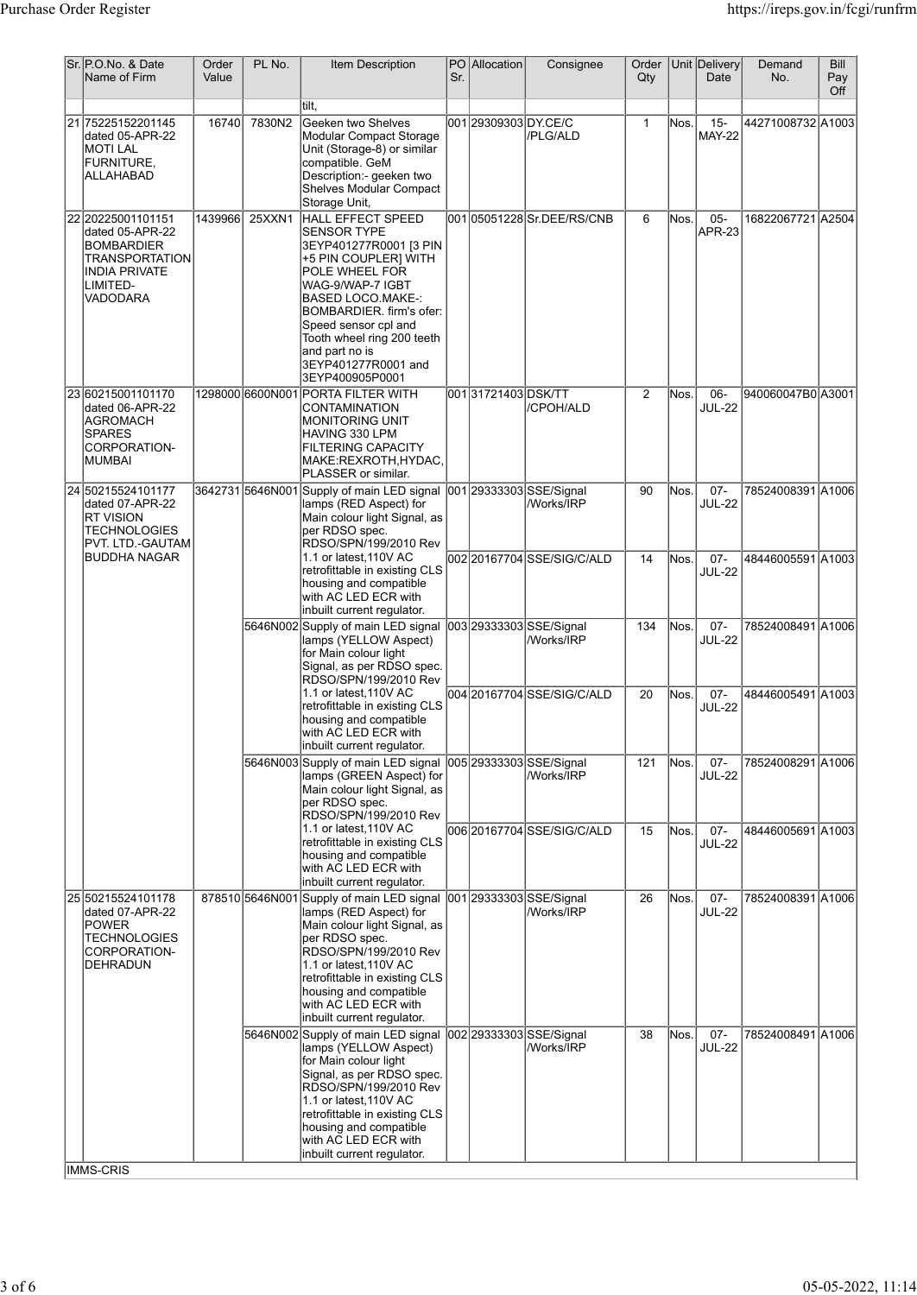| Sr. P.O.No. & Date<br>Name of Firm                                                                                                 | Order<br>Value | PL No.           | Item Description                                                                                                                                                                                                                                                                                                  | Sr. | PO Allocation        | Consignee                             | Order<br>Qty   |       | Unit Delivery<br>Date   | Demand<br>No.     | Bill<br>Pay<br>Off |
|------------------------------------------------------------------------------------------------------------------------------------|----------------|------------------|-------------------------------------------------------------------------------------------------------------------------------------------------------------------------------------------------------------------------------------------------------------------------------------------------------------------|-----|----------------------|---------------------------------------|----------------|-------|-------------------------|-------------------|--------------------|
| 21 75225152201145<br>dated 05-APR-22<br>MOTI LAL<br><b>FURNITURE.</b><br>ALLAHABAD                                                 | 16740          | 7830N2           | tilt.<br>Geeken two Shelves<br>Modular Compact Storage<br>Unit (Storage-8) or similar<br>compatible. GeM<br>Description:- geeken two<br>Shelves Modular Compact<br>Storage Unit,                                                                                                                                  |     | 001 29309303 DY.CE/C | /PLG/ALD                              | $\mathbf{1}$   | lNos. | $15 -$<br><b>MAY-22</b> | 44271008732 A1003 |                    |
| 22 20225001101151<br>dated 05-APR-22<br><b>BOMBARDIER</b><br><b>TRANSPORTATION</b><br><b>INDIA PRIVATE</b><br>LIMITED-<br>VADODARA | 1439966        | 25XXN1           | HALL EFFECT SPEED<br><b>SENSOR TYPE</b><br>3EYP401277R0001 [3 PIN<br>+5 PIN COUPLER] WITH<br>POLE WHEEL FOR<br>WAG-9/WAP-7 IGBT<br><b>BASED LOCO.MAKE-:</b><br>BOMBARDIER. firm's ofer:<br>Speed sensor cpl and<br>Tooth wheel ring 200 teeth<br>and part no is<br>3EYP401277R0001 and<br>3EYP400905P0001         |     |                      |                                       | 6              | Nos.  | $05 -$<br><b>APR-23</b> | 16822067721 A2504 |                    |
| 2360215001101170<br>dated 06-APR-22<br>AGROMACH<br><b>SPARES</b><br>CORPORATION-<br>MUMBAI                                         |                |                  | 1298000 6600N001 PORTA FILTER WITH<br>CONTAMINATION<br><b>MONITORING UNIT</b><br>HAVING 330 LPM<br><b>FILTERING CAPACITY</b><br>MAKE:REXROTH,HYDAC,<br>PLASSER or similar.                                                                                                                                        |     | 00131721403DSK/TT    | /CPOH/ALD                             | $\overline{2}$ | Nos.  | 06-<br><b>JUL-22</b>    | 940060047B0 A3001 |                    |
| 24 50215524101177<br>dated 07-APR-22<br>RT VISION<br><b>TECHNOLOGIES</b><br>PVT. LTD.-GAUTAM                                       |                | 3642731 5646N001 | Supply of main LED signal 001 29333303 SSE/Signal<br>lamps (RED Aspect) for<br>Main colour light Signal, as<br>per RDSO spec.<br>RDSO/SPN/199/2010 Rev                                                                                                                                                            |     |                      | /Works/IRP                            | 90             | lNos. | $07 -$<br><b>JUL-22</b> | 78524008391 A1006 |                    |
| BUDDHA NAGAR                                                                                                                       |                |                  | 1.1 or latest, 110V AC<br>retrofittable in existing CLS<br>housing and compatible<br>with AC LED ECR with<br>inbuilt current regulator.                                                                                                                                                                           |     |                      | 002 20167704 SSE/SIG/C/ALD            | 14             | Nos.  | $07 -$<br><b>JUL-22</b> | 48446005591 A1003 |                    |
|                                                                                                                                    |                |                  | 5646N002 Supply of main LED signal 003 29333303 SSE/Signal<br>lamps (YELLOW Aspect)<br>for Main colour light<br>Signal, as per RDSO spec.<br>RDSO/SPN/199/2010 Rev                                                                                                                                                |     |                      | /Works/IRP                            | 134            | Nos.  | $07 -$<br><b>JUL-22</b> | 78524008491 A1006 |                    |
|                                                                                                                                    |                |                  | 1.1 or latest, 110V AC<br>retrofittable in existing CLS<br>housing and compatible<br>with AC LED ECR with<br>inbuilt current regulator.                                                                                                                                                                           |     |                      | 004 20167704 SSE/SIG/C/ALD            | 20             | Nos.  | $07 -$<br><b>JUL-22</b> | 48446005491 A1003 |                    |
|                                                                                                                                    |                |                  | 5646N003 Supply of main LED signal 005 29333303 SSE/Signal<br>lamps (GREEN Aspect) for<br>Main colour light Signal, as<br>per RDSO spec.<br>RDSO/SPN/199/2010 Rev                                                                                                                                                 |     |                      | /Works/IRP                            | 121            | Nos.  | $07 -$<br><b>JUL-22</b> | 78524008291 A1006 |                    |
|                                                                                                                                    |                |                  | 1.1 or latest, 110V AC<br>retrofittable in existing CLS<br>housing and compatible<br>with AC LED ECR with<br>inbuilt current regulator.                                                                                                                                                                           |     |                      | 006 20167704 SSE/SIG/C/ALD            | 15             | Nos.  | $07 -$<br><b>JUL-22</b> | 48446005691 A1003 |                    |
| 25 50215524101178<br>dated 07-APR-22<br><b>POWER</b><br><b>TECHNOLOGIES</b><br>CORPORATION-<br>DEHRADUN                            |                |                  | 878510 5646N001 Supply of main LED signal 001 29333303 SSE/Signal<br>lamps (RED Aspect) for<br>Main colour light Signal, as<br>per RDSO spec.<br>RDSO/SPN/199/2010 Rev<br>1.1 or latest, 110V AC<br>retrofittable in existing CLS<br>housing and compatible<br>with AC LED ECR with<br>inbuilt current regulator. |     |                      | /Works/IRP                            | 26             | Nos.  | $07 -$<br><b>JUL-22</b> | 78524008391 A1006 |                    |
|                                                                                                                                    |                | 5646N002         | Supply of main LED signal<br>lamps (YELLOW Aspect)<br>for Main colour light<br>Signal, as per RDSO spec.<br>RDSO/SPN/199/2010 Rev<br>1.1 or latest, 110V AC<br>retrofittable in existing CLS<br>housing and compatible<br>with AC LED ECR with<br>inbuilt current regulator.                                      |     |                      | 002 29333303 SSE/Signal<br>/Works/IRP | 38             | Nos.  | $07 -$<br><b>JUL-22</b> | 78524008491 A1006 |                    |
| IMMS-CRIS                                                                                                                          |                |                  |                                                                                                                                                                                                                                                                                                                   |     |                      |                                       |                |       |                         |                   |                    |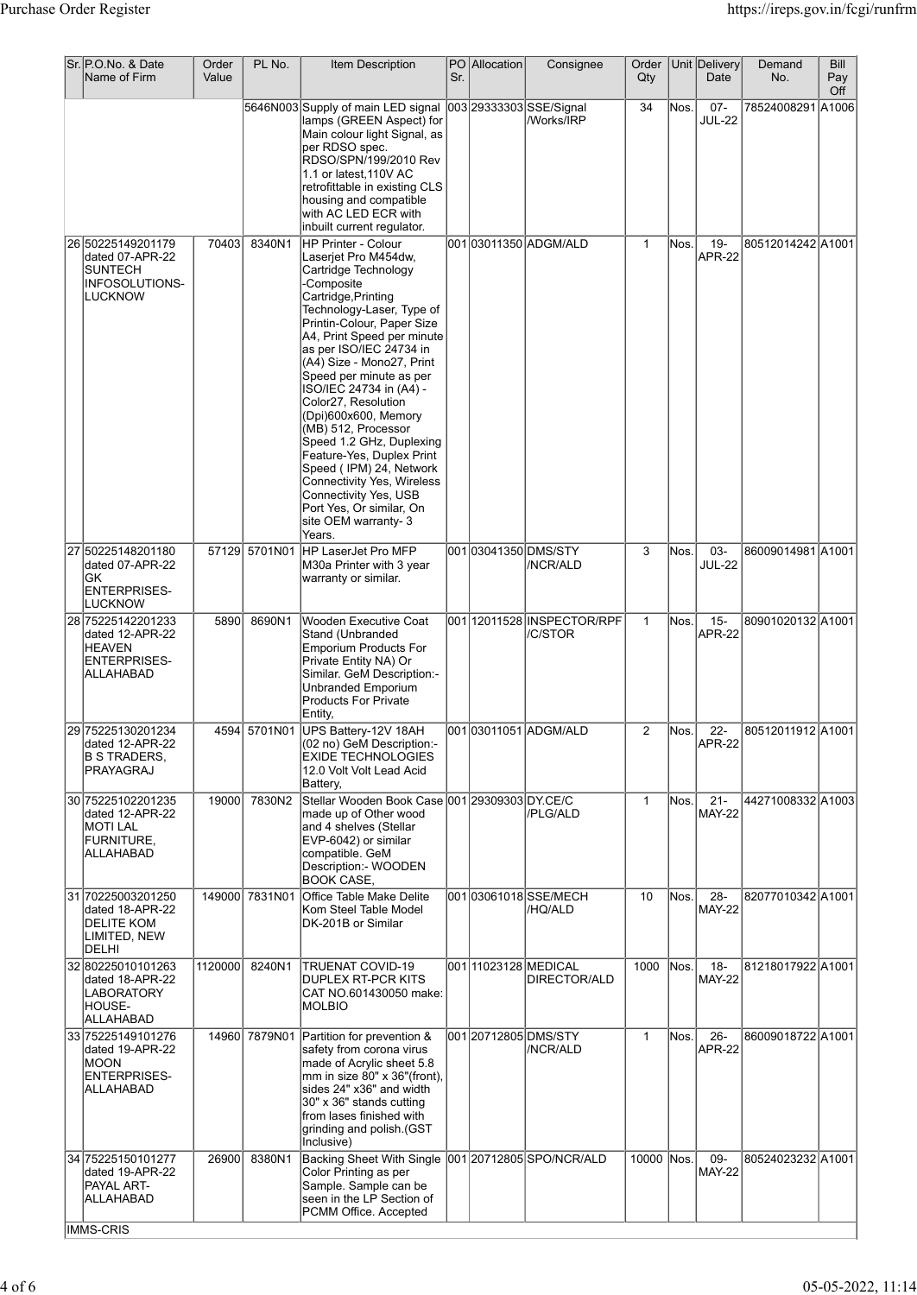| Sr. IP.O.No. & Date<br>Name of Firm                                                       | Order<br>Value | PL No.         | Item Description                                                                                                                                                                                                                                                                                                                                                                                                                                                                                                                                | Sr. | PO Allocation        | Consignee                             | Order<br>Qty |      | Unit Delivery<br>Date   | Demand<br>No.     | Bill<br>Pay |
|-------------------------------------------------------------------------------------------|----------------|----------------|-------------------------------------------------------------------------------------------------------------------------------------------------------------------------------------------------------------------------------------------------------------------------------------------------------------------------------------------------------------------------------------------------------------------------------------------------------------------------------------------------------------------------------------------------|-----|----------------------|---------------------------------------|--------------|------|-------------------------|-------------------|-------------|
|                                                                                           |                |                | 5646N003 Supply of main LED signal 003 29333303 SSE/Signal                                                                                                                                                                                                                                                                                                                                                                                                                                                                                      |     |                      |                                       | 34           | Nos. | $07 -$                  | 78524008291 A1006 | Off         |
|                                                                                           |                |                | lamps (GREEN Aspect) for<br>Main colour light Signal, as<br>per RDSO spec.<br>RDSO/SPN/199/2010 Rev<br>1.1 or latest, 110V AC<br>retrofittable in existing CLS<br>housing and compatible<br>with AC LED ECR with<br>inbuilt current regulator.                                                                                                                                                                                                                                                                                                  |     |                      | /Works/IRP                            |              |      | <b>JUL-22</b>           |                   |             |
| 26 50225149201179<br>dated 07-APR-22                                                      | 70403          | 8340N1         | HP Printer - Colour<br>Laserjet Pro M454dw,                                                                                                                                                                                                                                                                                                                                                                                                                                                                                                     |     |                      | l001 l03011350 lADGM/ALD              | $\mathbf{1}$ | Nos. | $19 -$<br><b>APR-22</b> | 80512014242 A1001 |             |
| SUNTECH<br>INFOSOLUTIONS-<br>LUCKNOW                                                      |                |                | Cartridge Technology<br>-Composite<br>Cartridge, Printing<br>Technology-Laser, Type of<br>Printin-Colour, Paper Size<br>A4, Print Speed per minute<br>as per ISO/IEC 24734 in<br>(A4) Size - Mono27, Print<br>Speed per minute as per<br>ISO/IEC 24734 in (A4) -<br>Color27, Resolution<br>(Dpi)600x600, Memory<br>(MB) 512, Processor<br>Speed 1.2 GHz, Duplexing<br>Feature-Yes, Duplex Print<br>Speed (IPM) 24, Network<br>Connectivity Yes, Wireless<br>Connectivity Yes, USB<br>Port Yes, Or similar, On<br>site OEM warranty- 3<br>Years. |     |                      |                                       |              |      |                         |                   |             |
| 27 50225148201180<br>dated 07-APR-22<br>GK<br><b>ENTERPRISES-</b><br>LUCKNOW              |                | 57129 5701N01  | HP LaserJet Pro MFP<br>M30a Printer with 3 year<br>warranty or similar.                                                                                                                                                                                                                                                                                                                                                                                                                                                                         |     | 001 03041350 DMS/STY | /NCR/ALD                              | 3            | Nos. | 03-<br><b>JUL-22</b>    | 86009014981 A1001 |             |
| 28 75225142201233<br>dated 12-APR-22<br><b>HEAVEN</b><br><b>ENTERPRISES-</b><br>ALLAHABAD | 5890           | 8690N1         | Wooden Executive Coat<br>Stand (Unbranded<br><b>Emporium Products For</b><br>Private Entity NA) Or<br>Similar. GeM Description:-<br>Unbranded Emporium<br><b>Products For Private</b><br>Entity,                                                                                                                                                                                                                                                                                                                                                |     |                      | 001 12011528 INSPECTOR/RPF<br>/C/STOR | $\mathbf{1}$ | Nos. | $15 -$<br><b>APR-22</b> | 80901020132 A1001 |             |
| 29 75225130201234<br>dated 12-APR-22<br><b>B S TRADERS.</b><br>PRAYAGRAJ                  |                | 4594 5701N01   | UPS Battery-12V 18AH<br>(02 no) GeM Description:-<br><b>EXIDE TECHNOLOGIES</b><br>12.0 Volt Volt Lead Acid<br> Battery,                                                                                                                                                                                                                                                                                                                                                                                                                         |     |                      | 00103011051 ADGM/ALD                  | 2            | Nos. | $22 -$<br><b>APR-22</b> | 80512011912 A1001 |             |
| 30 75225102201235<br>dated 12-APR-22<br><b>MOTILAL</b><br>FURNITURE,<br> ALLAHABAD        | 19000          | 7830N2         | Stellar Wooden Book Case 001 29309303 DY.CE/C<br>made up of Other wood<br>and 4 shelves (Stellar<br>EVP-6042) or similar<br>compatible. GeM<br>Description:- WOODEN<br><b>BOOK CASE,</b>                                                                                                                                                                                                                                                                                                                                                        |     |                      | /PLG/ALD                              | $\mathbf{1}$ | Nos. | $21 -$<br><b>MAY-22</b> | 44271008332 A1003 |             |
| 31 70225003201250<br>dated 18-APR-22<br><b>DELITE KOM</b><br>LIMITED, NEW<br>DELHI        |                | 149000 7831N01 | <b>Office Table Make Delite</b><br>Kom Steel Table Model<br>DK-201B or Similar                                                                                                                                                                                                                                                                                                                                                                                                                                                                  |     |                      | 00103061018SSE/MECH<br>/HQ/ALD        | 10           | Nos. | $28 -$<br><b>MAY-22</b> | 82077010342 A1001 |             |
| 32 80225010101263<br>dated 18-APR-22<br>LABORATORY<br>HOUSE-<br>ALLAHABAD                 | 1120000        | 8240N1         | <b>TRUENAT COVID-19</b><br><b>DUPLEX RT-PCR KITS</b><br>CAT NO.601430050 make:<br>MOLBIO                                                                                                                                                                                                                                                                                                                                                                                                                                                        |     | 001 11023128 MEDICAL | <b>DIRECTOR/ALD</b>                   | 1000         | Nos. | $18 -$<br><b>MAY-22</b> | 81218017922 A1001 |             |
| 33 75225149101276<br>dated 19-APR-22<br><b>MOON</b><br><b>ENTERPRISES-</b><br>ALLAHABAD   |                | 14960 7879N01  | Partition for prevention &<br>safety from corona virus<br>made of Acrylic sheet 5.8<br>mm in size 80" x 36"(front),<br>sides 24" x36" and width<br>30" x 36" stands cutting<br>from lases finished with<br>grinding and polish.(GST<br>Inclusive)                                                                                                                                                                                                                                                                                               |     | 001 20712805 DMS/STY | /NCR/ALD                              | $\mathbf{1}$ | Nos. | $26 -$<br><b>APR-22</b> | 86009018722 A1001 |             |
| 34 75225150101277<br>dated 19-APR-22<br>PAYAL ART-<br>ALLAHABAD                           | 26900          | 8380N1         | Backing Sheet With Single 001 20712805 SPO/NCR/ALD<br>Color Printing as per<br>Sample. Sample can be<br>seen in the LP Section of<br>PCMM Office. Accepted                                                                                                                                                                                                                                                                                                                                                                                      |     |                      |                                       | 10000 Nos.   |      | 09-<br><b>MAY-22</b>    | 80524023232 A1001 |             |
| <b>IMMS-CRIS</b>                                                                          |                |                |                                                                                                                                                                                                                                                                                                                                                                                                                                                                                                                                                 |     |                      |                                       |              |      |                         |                   |             |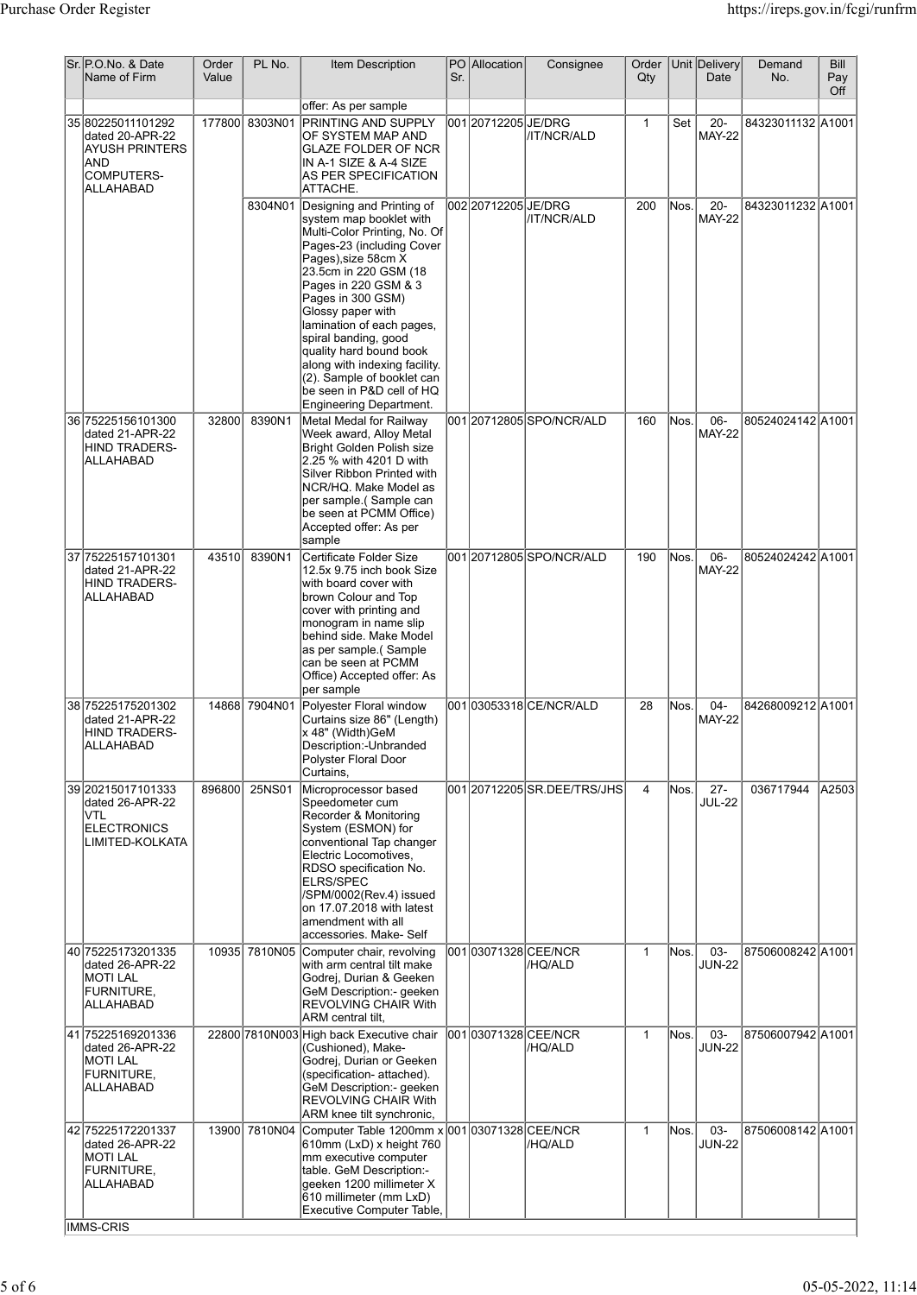| Sr. IP.O.No. & Date<br>Name of Firm                                                             | Order<br>Value | PL No.         | Item Description                                                                                                                                                                                                                                                                                                                                                                                                                           | Sr. | PO Allocation        | Consignee                       | Order<br>Qty |       | Unit Delivery<br>Date   | Demand<br>No.     | <b>Bill</b><br>Pay<br>Off |
|-------------------------------------------------------------------------------------------------|----------------|----------------|--------------------------------------------------------------------------------------------------------------------------------------------------------------------------------------------------------------------------------------------------------------------------------------------------------------------------------------------------------------------------------------------------------------------------------------------|-----|----------------------|---------------------------------|--------------|-------|-------------------------|-------------------|---------------------------|
| 35 80225011101292<br>dated 20-APR-22<br><b>AYUSH PRINTERS</b><br>AND<br>COMPUTERS-<br>ALLAHABAD |                | 177800 8303N01 | offer: As per sample<br><b>PRINTING AND SUPPLY</b><br>OF SYSTEM MAP AND<br><b>GLAZE FOLDER OF NCR</b><br>IN A-1 SIZE & A-4 SIZE<br>AS PER SPECIFICATION<br>ATTACHE.                                                                                                                                                                                                                                                                        |     | 001 20712205 JE/DRG  | /IT/NCR/ALD                     | $\mathbf{1}$ | Set   | $20 -$<br><b>MAY-22</b> | 84323011132 A1001 |                           |
|                                                                                                 |                | 8304N01        | Designing and Printing of<br>system map booklet with<br>Multi-Color Printing, No. Of<br>Pages-23 (including Cover<br>Pages), size 58cm X<br>23.5cm in 220 GSM (18<br>Pages in 220 GSM & 3<br>Pages in 300 GSM)<br>Glossy paper with<br>lamination of each pages,<br>spiral banding, good<br>quality hard bound book<br>along with indexing facility.<br>(2). Sample of booklet can<br>be seen in P&D cell of HQ<br>Engineering Department. |     | l002 20712205 JE/DRG | /IT/NCR/ALD                     | 200          | Nos.  | $20 -$<br><b>MAY-22</b> | 84323011232 A1001 |                           |
| 36 75225156101300<br>dated 21-APR-22<br>HIND TRADERS-<br>ALLAHABAD                              | 32800          | 8390N1         | Metal Medal for Railway<br>Week award, Alloy Metal<br>Bright Golden Polish size<br>2.25 % with 4201 D with<br>Silver Ribbon Printed with<br>NCR/HQ. Make Model as<br>per sample.(Sample can<br>be seen at PCMM Office)<br>Accepted offer: As per<br>sample                                                                                                                                                                                 |     |                      | 00120712805SPO/NCR/ALD          | 160          | ĪNos. | 06-<br><b>MAY-22</b>    | 80524024142 A1001 |                           |
| 37 75225157101301<br>dated 21-APR-22<br>HIND TRADERS-<br>ALLAHABAD                              | 43510          | 8390N1         | Certificate Folder Size<br>12.5x 9.75 inch book Size<br>with board cover with<br>brown Colour and Top<br>cover with printing and<br>monogram in name slip<br>behind side. Make Model<br>as per sample.(Sample<br>can be seen at PCMM<br>Office) Accepted offer: As<br>per sample                                                                                                                                                           |     |                      | 001 20712805 SPO/NCR/ALD        | 190          | Nos.  | 06-<br><b>MAY-22</b>    | 80524024242 A1001 |                           |
| 38 75225175201302<br>dated 21-APR-22<br>HIND TRADERS-<br>ALLAHABAD                              |                | 14868 7904N01  | Polyester Floral window<br>Curtains size 86" (Length)<br>x 48" (Width)GeM<br>Description:-Unbranded<br>Polyster Floral Door<br>Curtains,                                                                                                                                                                                                                                                                                                   |     |                      | 001 03053318 CE/NCR/ALD         | 28           | Nos.  | $04 -$<br><b>MAY-22</b> | 84268009212 A1001 |                           |
| 39 20215017101333<br>dated 26-APR-22<br>VTL<br>ELECTRONICS<br>LIMITED-KOLKATA                   | 896800         | 25NS01         | Microprocessor based<br>Speedometer cum<br>Recorder & Monitoring<br>System (ESMON) for<br>conventional Tap changer<br>Electric Locomotives,<br>RDSO specification No.<br><b>ELRS/SPEC</b><br>/SPM/0002(Rev.4) issued<br>on 17.07.2018 with latest<br>amendment with all<br>accessories, Make-Self                                                                                                                                          |     |                      | 001 20712205 SR.DEE/TRS/JHS     | 4            | Nos.  | $27 -$<br><b>JUL-22</b> | 036717944         | A2503                     |
| 40 75225173201335<br>dated 26-APR-22<br><b>MOTILAL</b><br>FURNITURE,<br>ALLAHABAD               | 10935          | 7810N05        | Computer chair, revolving<br>with arm central tilt make<br>Godrej, Durian & Geeken<br>GeM Description:- geeken<br><b>REVOLVING CHAIR With</b><br>ARM central tilt,                                                                                                                                                                                                                                                                         |     |                      | 001 03071328 CEE/NCR<br>/HQ/ALD | $\mathbf{1}$ | Nos.  | 03-<br><b>JUN-22</b>    | 87506008242 A1001 |                           |
| 41 75225169201336<br>dated 26-APR-22<br><b>MOTI LAL</b><br>FURNITURE,<br>ALLAHABAD              |                |                | 22800 7810 N003 High back Executive chair<br>(Cushioned), Make-<br>Godrej, Durian or Geeken<br>(specification- attached).<br>GeM Description:- geeken<br><b>REVOLVING CHAIR With</b><br>ARM knee tilt synchronic,                                                                                                                                                                                                                          |     |                      | 00103071328 CEE/NCR<br>/HQ/ALD  | $\mathbf{1}$ | lNos. | 03-<br><b>JUN-22</b>    | 87506007942 A1001 |                           |
| 42 75225172201337<br>dated 26-APR-22<br><b>MOTI LAL</b><br>FURNITURE,<br>ALLAHABAD              |                | 13900 7810N04  | Computer Table 1200mm x 001 03071328 CEE/NCR<br>610mm (LxD) x height 760<br>mm executive computer<br>table. GeM Description:-<br>geeken 1200 millimeter X<br>610 millimeter (mm LxD)<br>Executive Computer Table,                                                                                                                                                                                                                          |     |                      | /HQ/ALD                         | $\mathbf{1}$ | Nos.  | 03-<br><b>JUN-22</b>    | 87506008142 A1001 |                           |
| <b>IMMS-CRIS</b>                                                                                |                |                |                                                                                                                                                                                                                                                                                                                                                                                                                                            |     |                      |                                 |              |       |                         |                   |                           |